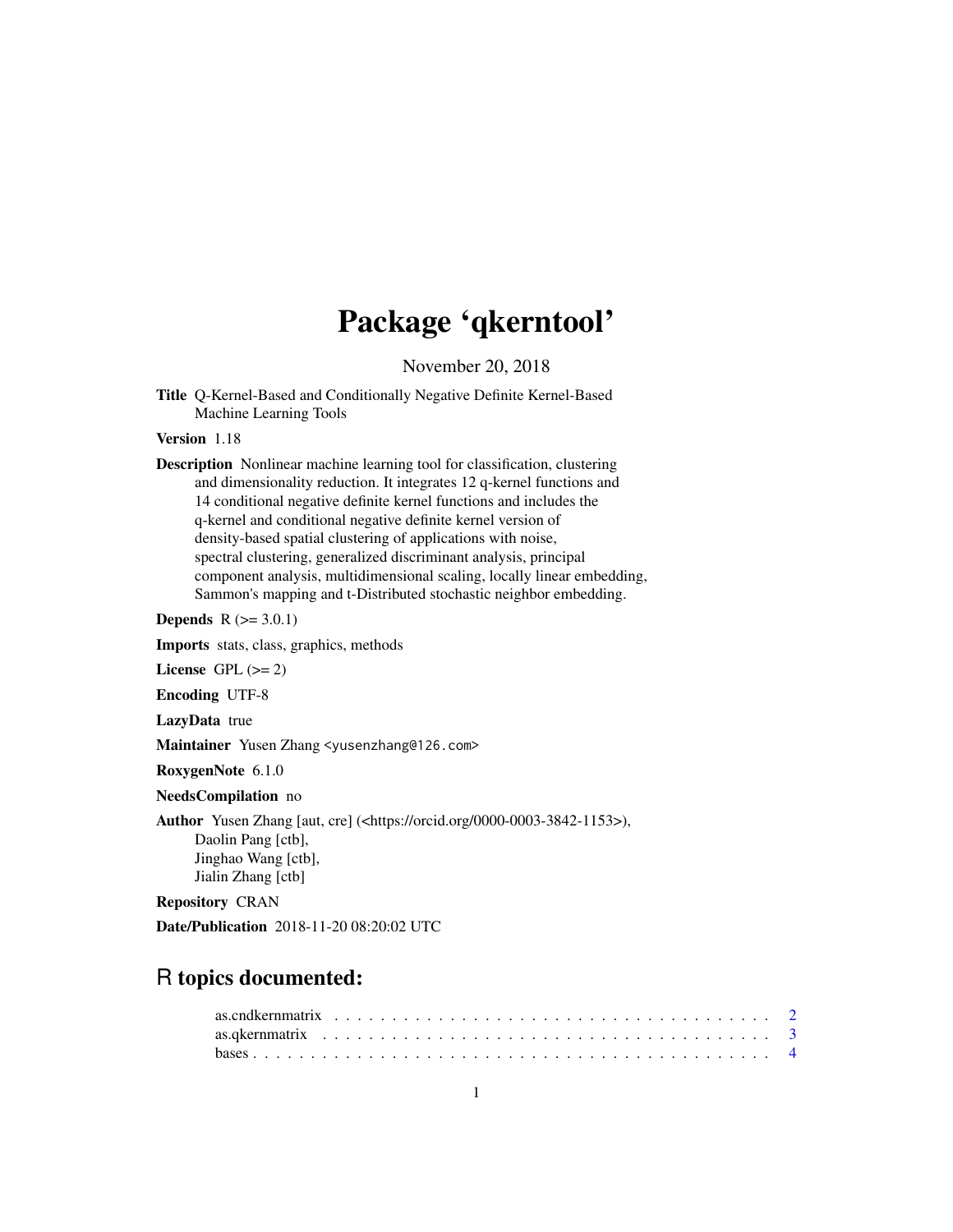## Package 'qkerntool'

November 20, 2018

Title Q-Kernel-Based and Conditionally Negative Definite Kernel-Based Machine Learning Tools

Version 1.18

Description Nonlinear machine learning tool for classification, clustering and dimensionality reduction. It integrates 12 q-kernel functions and 14 conditional negative definite kernel functions and includes the q-kernel and conditional negative definite kernel version of density-based spatial clustering of applications with noise, spectral clustering, generalized discriminant analysis, principal component analysis, multidimensional scaling, locally linear embedding, Sammon's mapping and t-Distributed stochastic neighbor embedding.

**Depends**  $R (= 3.0.1)$ 

Imports stats, class, graphics, methods

License GPL  $(>= 2)$ 

Encoding UTF-8

LazyData true

Maintainer Yusen Zhang <yusenzhang@126.com>

RoxygenNote 6.1.0

NeedsCompilation no

Author Yusen Zhang [aut, cre] (<https://orcid.org/0000-0003-3842-1153>), Daolin Pang [ctb], Jinghao Wang [ctb], Jialin Zhang [ctb]

Repository CRAN

Date/Publication 2018-11-20 08:20:02 UTC

## R topics documented: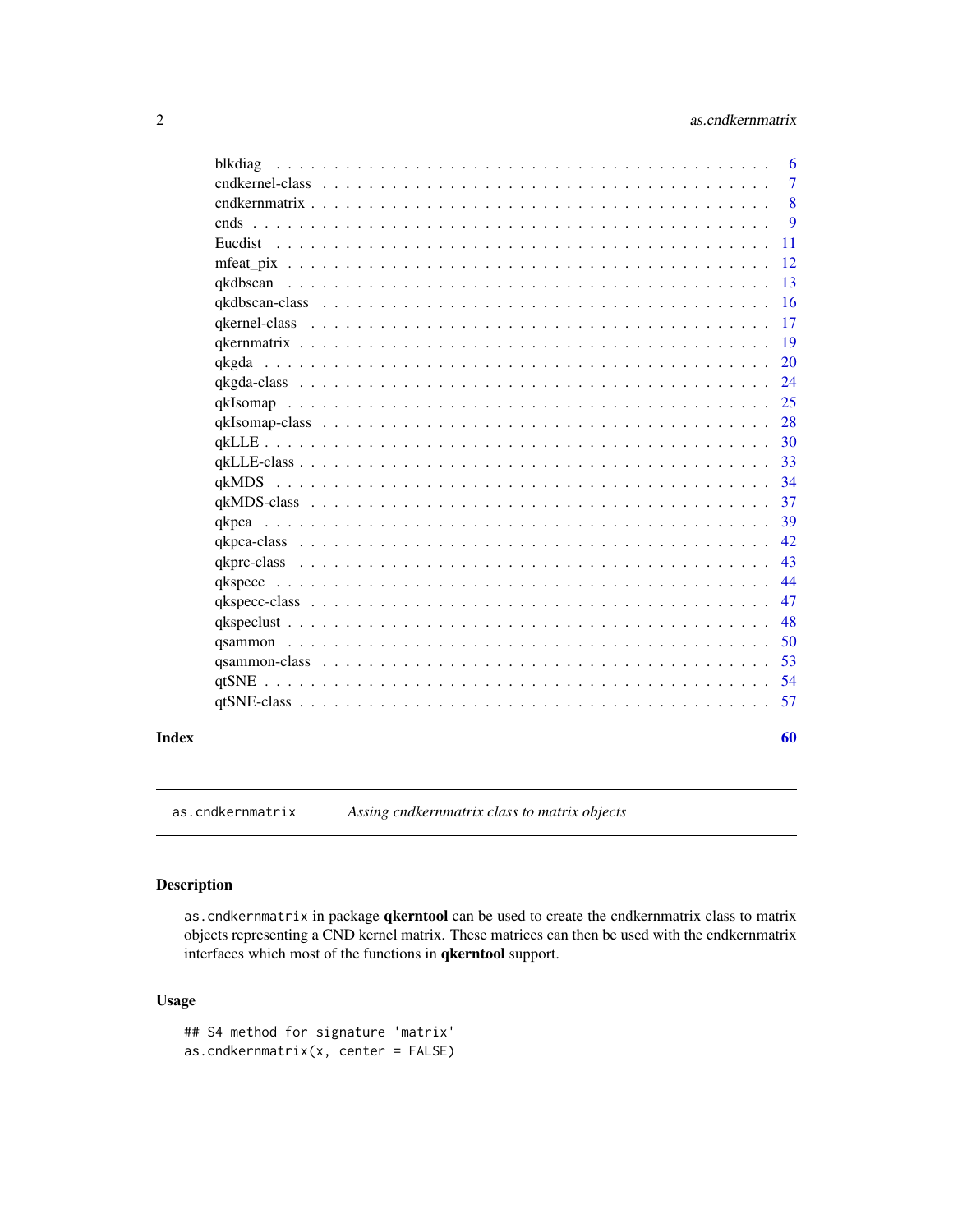### <span id="page-1-0"></span>2 as.cndkernmatrix

| blkdiag | 6  |
|---------|----|
|         | 7  |
|         | 8  |
|         | 9  |
| Eucdist | 11 |
|         | 12 |
|         | 13 |
|         | 16 |
|         | 17 |
|         | 19 |
|         | 20 |
|         | 24 |
|         | 25 |
|         | 28 |
|         | 30 |
|         | 33 |
|         | 34 |
|         | 37 |
|         | 39 |
|         | 42 |
|         | 43 |
|         | 44 |
|         | 47 |
|         | 48 |
|         | 50 |
|         | 53 |
|         | 54 |
|         | 57 |
|         |    |

#### $\blacksquare$  Index  $\blacksquare$

as.cndkernmatrix *Assing cndkernmatrix class to matrix objects*

### Description

as.cndkernmatrix in package qkerntool can be used to create the cndkernmatrix class to matrix objects representing a CND kernel matrix. These matrices can then be used with the cndkernmatrix interfaces which most of the functions in qkerntool support.

### Usage

## S4 method for signature 'matrix' as.cndkernmatrix(x, center = FALSE)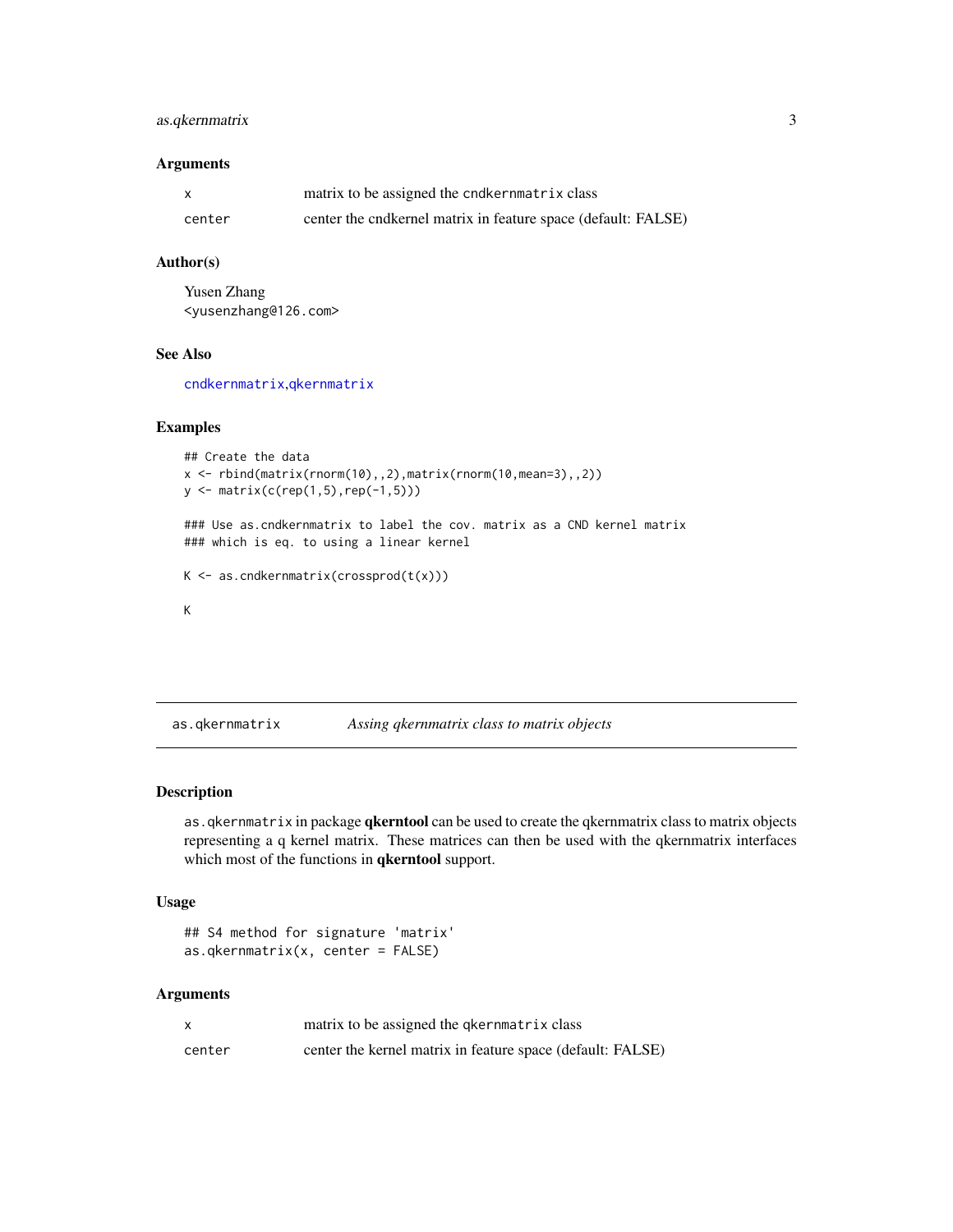### <span id="page-2-0"></span>as.qkernmatrix 3

### Arguments

|        | matrix to be assigned the cndkernmatrix class                 |
|--------|---------------------------------------------------------------|
| center | center the cndkernel matrix in feature space (default: FALSE) |

#### Author(s)

Yusen Zhang <yusenzhang@126.com>

### See Also

[cndkernmatrix](#page-7-1),[qkernmatrix](#page-18-1)

### Examples

```
## Create the data
x <- rbind(matrix(rnorm(10),,2),matrix(rnorm(10,mean=3),,2))
y \leftarrow \text{matrix}(c(\text{rep}(1,5), \text{rep}(-1,5)))
```
### Use as.cndkernmatrix to label the cov. matrix as a CND kernel matrix ### which is eq. to using a linear kernel

```
K \leftarrow as.cndkernmatrix(crossprod(t(x)))
```
#### K

as.qkernmatrix *Assing qkernmatrix class to matrix objects*

### Description

as. qkernmatrix in package qkerntool can be used to create the qkernmatrix class to matrix objects representing a q kernel matrix. These matrices can then be used with the qkernmatrix interfaces which most of the functions in qkerntool support.

#### Usage

```
## S4 method for signature 'matrix'
as. qkernmatrix(x, center = FALSE)
```
### Arguments

|        | matrix to be assigned the qkernmatrix class                |
|--------|------------------------------------------------------------|
| center | center the kernel matrix in feature space (default: FALSE) |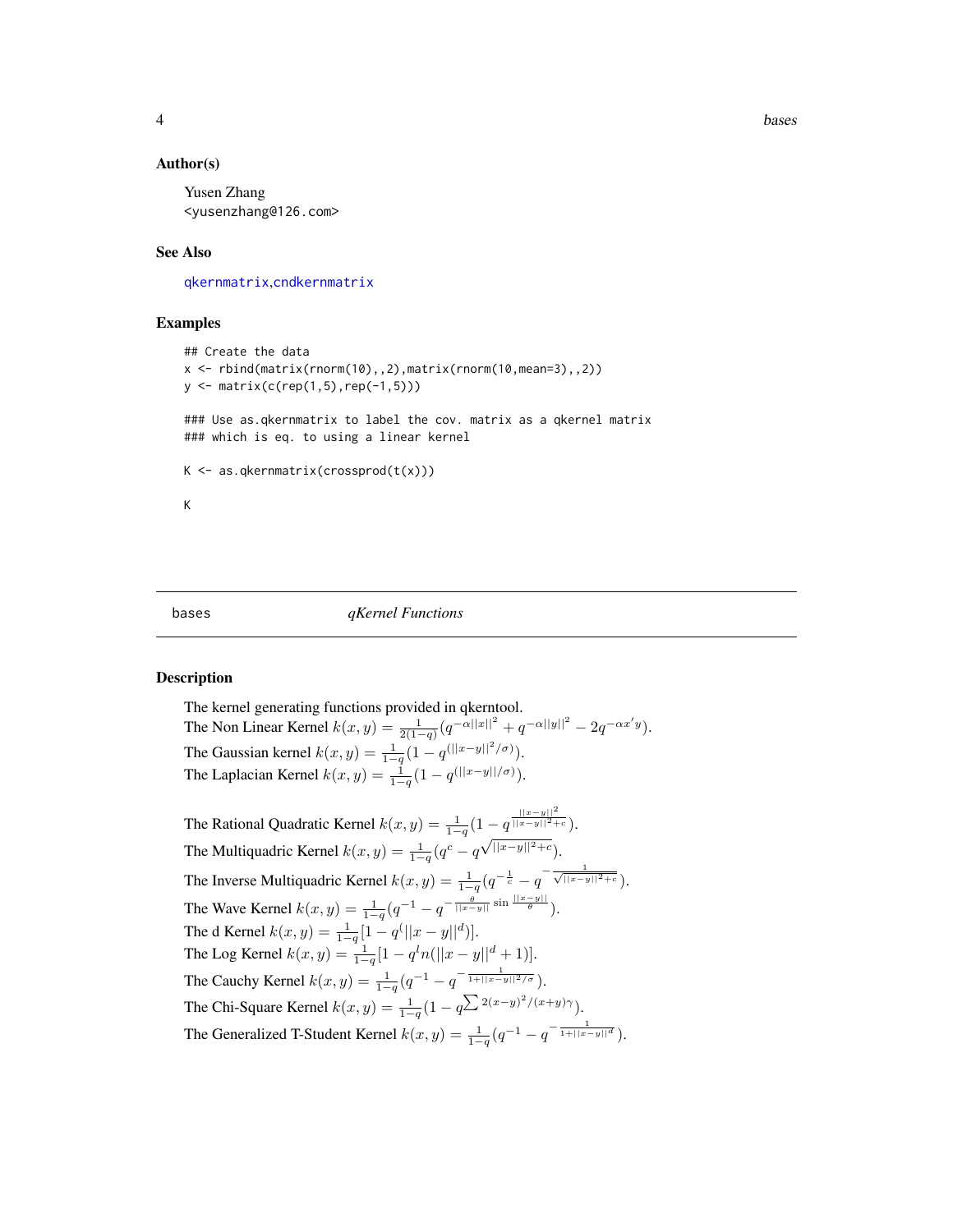**4** bases **bases bases bases bases bases** 

#### Author(s)

Yusen Zhang <yusenzhang@126.com>

#### See Also

[qkernmatrix](#page-18-1),[cndkernmatrix](#page-7-1)

#### Examples

```
## Create the data
x \le - rbind(matrix(rnorm(10),,2),matrix(rnorm(10,mean=3),,2))
y <- matrix(c(rep(1,5),rep(-1,5)))
### Use as.qkernmatrix to label the cov. matrix as a qkernel matrix
### which is eq. to using a linear kernel
K <- as.qkernmatrix(crossprod(t(x)))
K
```
#### bases *qKernel Functions*

#### <span id="page-3-1"></span>Description

The kernel generating functions provided in qkerntool. The Non Linear Kernel  $k(x, y) = \frac{1}{2(1-q)} (q^{-\alpha||x||^2} + q^{-\alpha||y||^2} - 2q^{-\alpha x'y}).$ The Gaussian kernel  $k(x, y) = \frac{1}{1-q} (1 - q^{(||x-y||^2/\sigma)})$ . The Laplacian Kernel  $k(x, y) = \frac{1}{1-q} (1 - q^{(||x-y||/\sigma)})$ .

The Rational Quadratic Kernel  $k(x, y) = \frac{1}{1-q} (1 - q^{\frac{||x-y||^2}{||x-y||^2 + c}}).$ The Multiquadric Kernel  $k(x, y) = \frac{1}{1-q} (q^c - q^{\sqrt{||x-y||^2} + c}).$ The Inverse Multiquadric Kernel  $k(x, y) = \frac{1}{1-q} (q^{-\frac{1}{c}} - q^{-\frac{1}{\sqrt{||x-y||^2+c}}}).$ The Wave Kernel  $k(x, y) = \frac{1}{1-q} (q^{-1} - q^{-\frac{\theta}{||x-y||}}^{\sin \frac{||x-y||}{\theta}}).$ The d Kernel  $k(x, y) = \frac{1}{1-q} [1 - q^{(x - y||d)].$ The Log Kernel  $k(x, y) = \frac{1}{1-q} [1 - q^l n (||x - y||^d + 1)].$ The Cauchy Kernel  $k(x, y) = \frac{1}{1-q} (q^{-1} - q^{-\frac{1}{1+||x-y||^2/\sigma}})$ . The Chi-Square Kernel  $k(x, y) = \frac{1}{1-q} (1 - q^{\sum (x-y)^2/(x+y)\gamma}).$ The Generalized T-Student Kernel  $k(x, y) = \frac{1}{1-q} (q^{-1} - q^{-\frac{1}{1+||x-y||^d}})$ .

<span id="page-3-0"></span>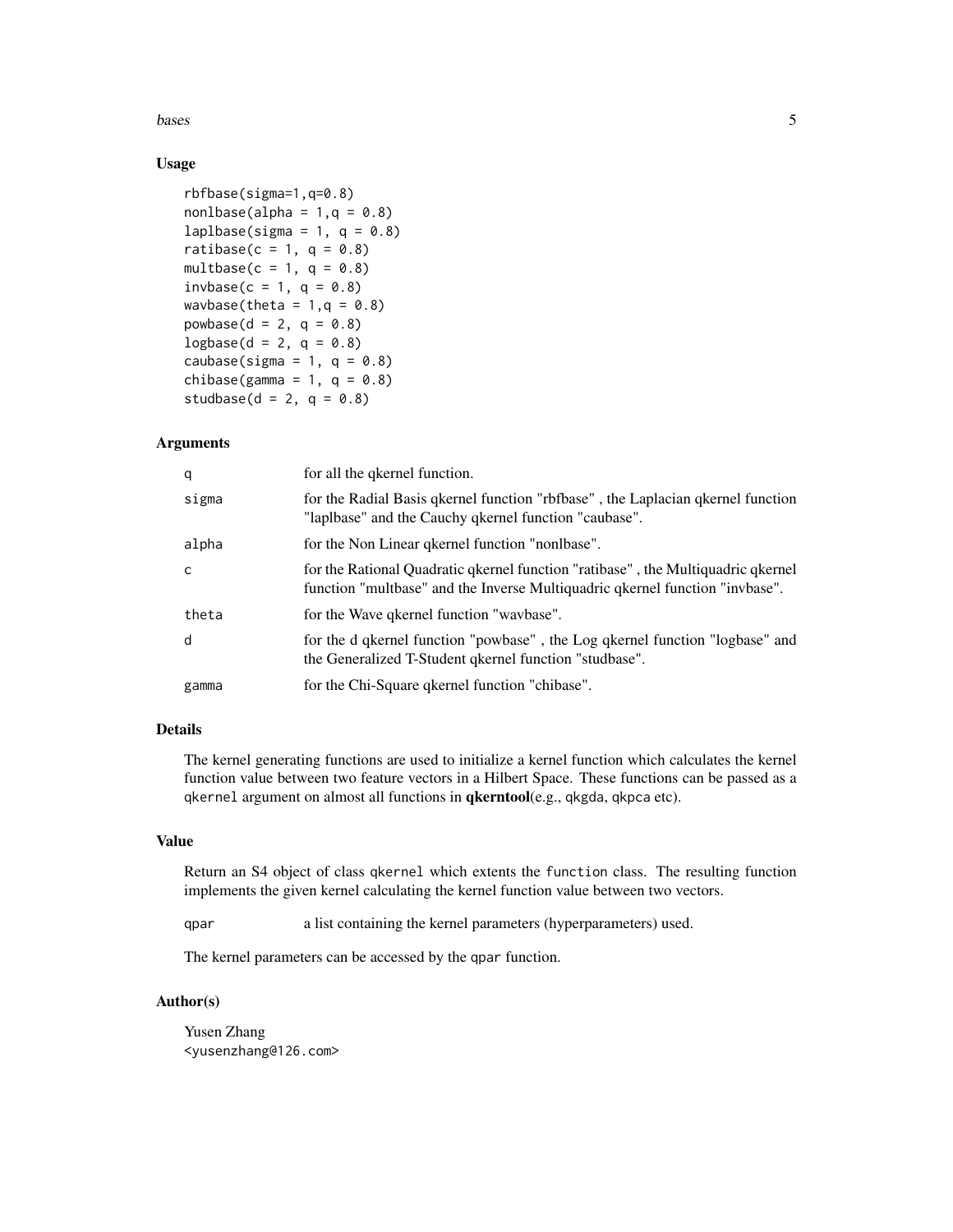**bases** 5

### Usage

```
rbfbase(sigma=1,q=0.8)
nonbase(alpha = 1, q = 0.8)laplbase(sigma = 1, q = 0.8)
ratibase(c = 1, q = 0.8)
multbase(c = 1, q = 0.8)
invbase(c = 1, q = 0.8)wavbase(theta = 1,q = 0.8)
powbase(d = 2, q = 0.8)logbase(d = 2, q = 0.8)
caubase(sigma = 1, q = 0.8)
chibase(gamma = 1, q = 0.8)
studbase(d = 2, q = 0.8)
```
#### Arguments

| q     | for all the qkernel function.                                                                                                                                    |
|-------|------------------------------------------------------------------------------------------------------------------------------------------------------------------|
| sigma | for the Radial Basis qkernel function "rbfbase", the Laplacian qkernel function<br>"laplbase" and the Cauchy qkernel function "caubase".                         |
| alpha | for the Non Linear gkernel function "nonlbase".                                                                                                                  |
| C     | for the Rational Quadratic gkernel function "ratibase", the Multiquadric gkernel<br>function "multbase" and the Inverse Multiquadric gkernel function "invbase". |
| theta | for the Wave gkernel function "wavbase".                                                                                                                         |
| d     | for the d qkernel function "powbase", the Log qkernel function "logbase" and<br>the Generalized T-Student gkernel function "studbase".                           |
| gamma | for the Chi-Square gkernel function "chibase".                                                                                                                   |

### Details

The kernel generating functions are used to initialize a kernel function which calculates the kernel function value between two feature vectors in a Hilbert Space. These functions can be passed as a qkernel argument on almost all functions in **qkerntool**(e.g., qkgda, qkpca etc).

#### Value

Return an S4 object of class qkernel which extents the function class. The resulting function implements the given kernel calculating the kernel function value between two vectors.

qpar a list containing the kernel parameters (hyperparameters) used.

The kernel parameters can be accessed by the qpar function.

#### Author(s)

Yusen Zhang <yusenzhang@126.com>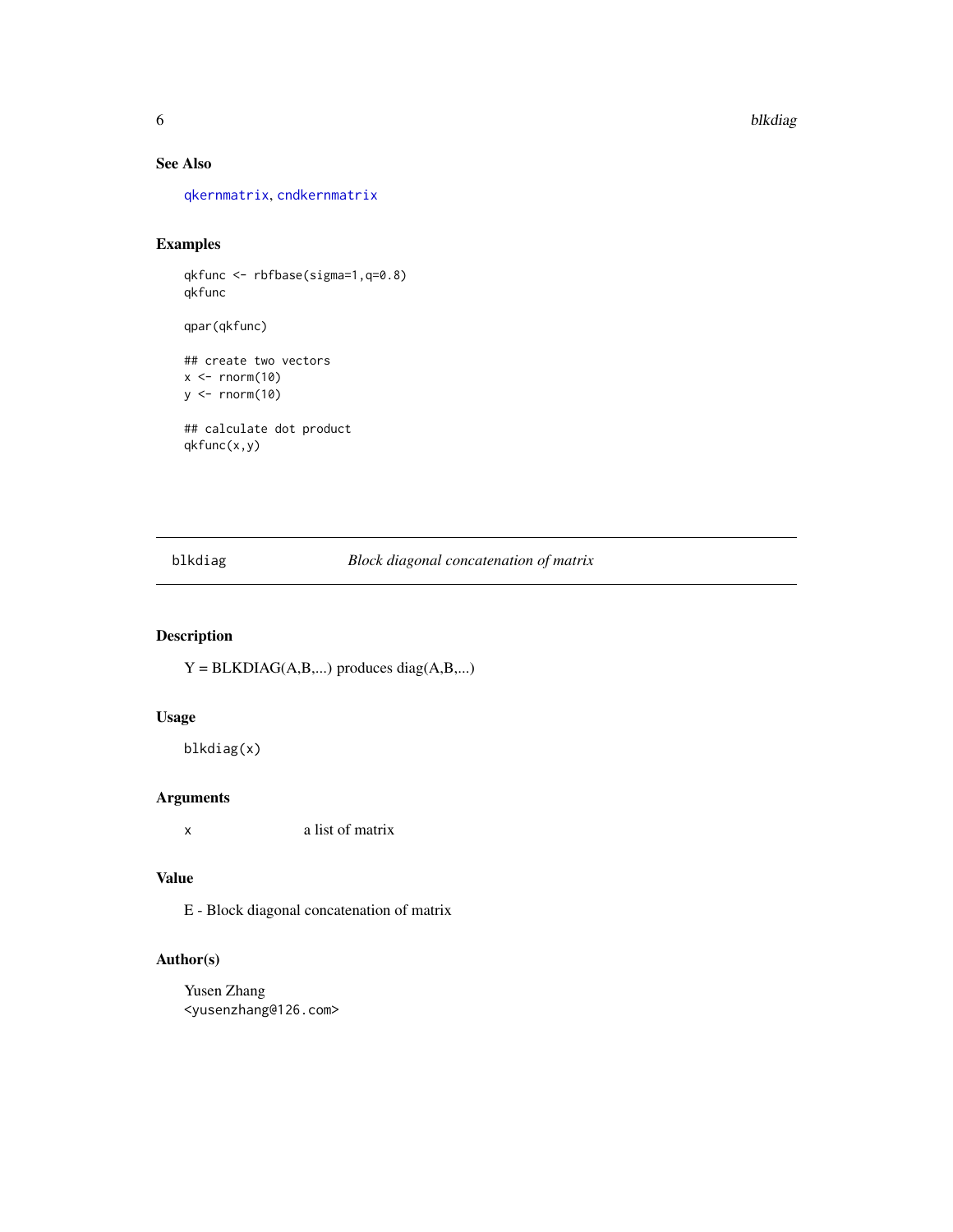### See Also

[qkernmatrix](#page-18-1), [cndkernmatrix](#page-7-1)

### Examples

qkfunc <- rbfbase(sigma=1,q=0.8) qkfunc qpar(qkfunc)

## create two vectors  $x < -$  rnorm(10)  $y \leftarrow \text{norm}(10)$ 

## calculate dot product qkfunc(x,y)

blkdiag *Block diagonal concatenation of matrix*

### Description

 $Y = BLKDIAG(A,B,...)$  produces diag $(A,B,...)$ 

#### Usage

blkdiag(x)

### Arguments

x a list of matrix

### Value

E - Block diagonal concatenation of matrix

### Author(s)

Yusen Zhang <yusenzhang@126.com>

<span id="page-5-0"></span>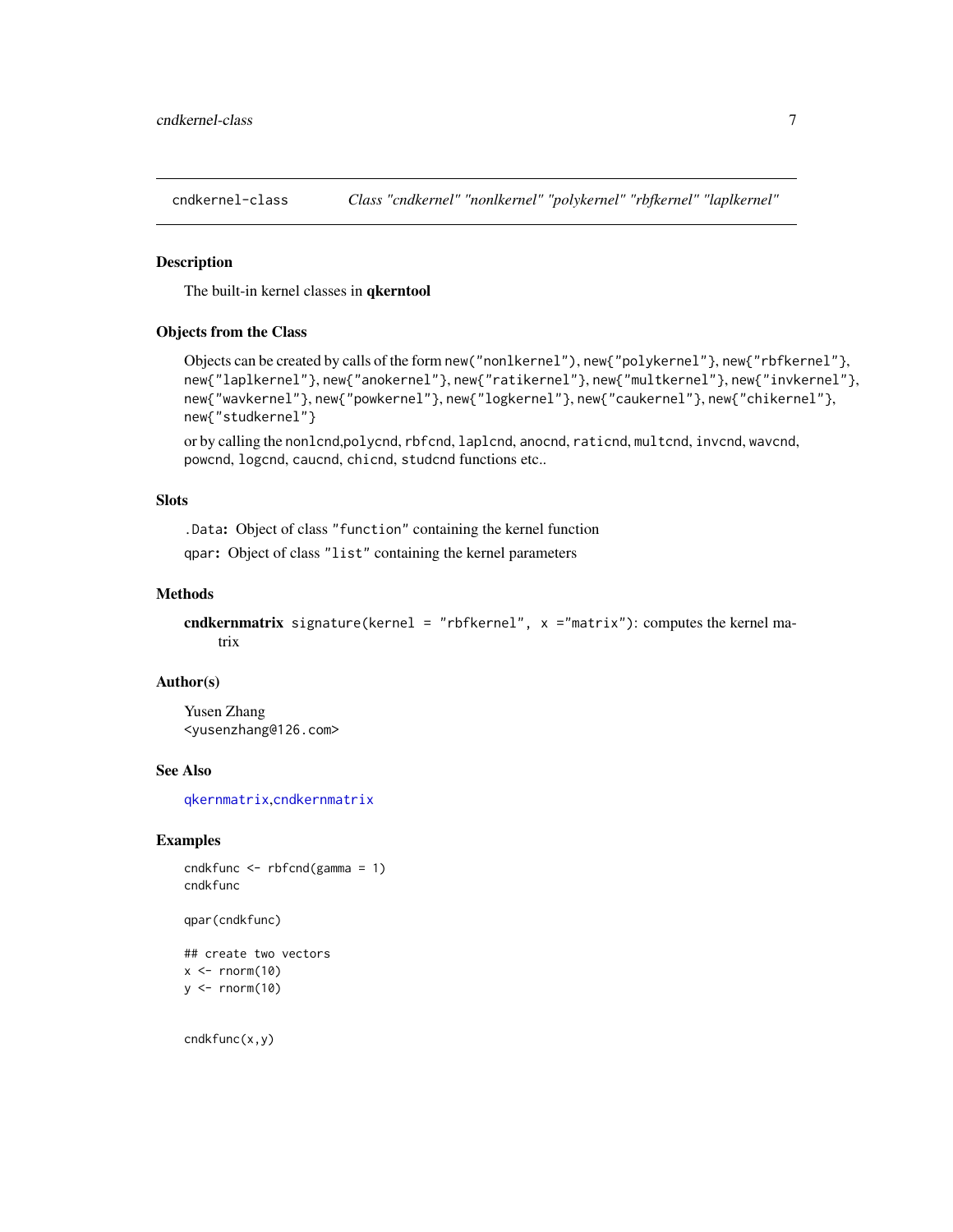<span id="page-6-1"></span><span id="page-6-0"></span>

#### Description

The built-in kernel classes in qkerntool

#### Objects from the Class

Objects can be created by calls of the form new("nonlkernel"), new{"polykernel"}, new{"rbfkernel"}, new{"laplkernel"}, new{"anokernel"}, new{"ratikernel"}, new{"multkernel"}, new{"invkernel"}, new{"wavkernel"}, new{"powkernel"}, new{"logkernel"}, new{"caukernel"}, new{"chikernel"}, new{"studkernel"}

or by calling the nonlcnd,polycnd, rbfcnd, laplcnd, anocnd, raticnd, multcnd, invcnd, wavcnd, powcnd, logcnd, caucnd, chicnd, studcnd functions etc..

#### **Slots**

.Data: Object of class "function" containing the kernel function qpar: Object of class "list" containing the kernel parameters

#### Methods

```
cndkernmatrix signature(kernel = "rbfkernel", x ="matrix"): computes the kernel ma-
    trix
```
#### Author(s)

Yusen Zhang <yusenzhang@126.com>

#### See Also

[qkernmatrix](#page-18-1),[cndkernmatrix](#page-7-1)

#### Examples

```
cndkfunc <- rbfcnd(gamma = 1)
cndkfunc
```

```
qpar(cndkfunc)
```

```
## create two vectors
x \leq -rnorm(10)y \le - rnorm(10)
```
cndkfunc(x,y)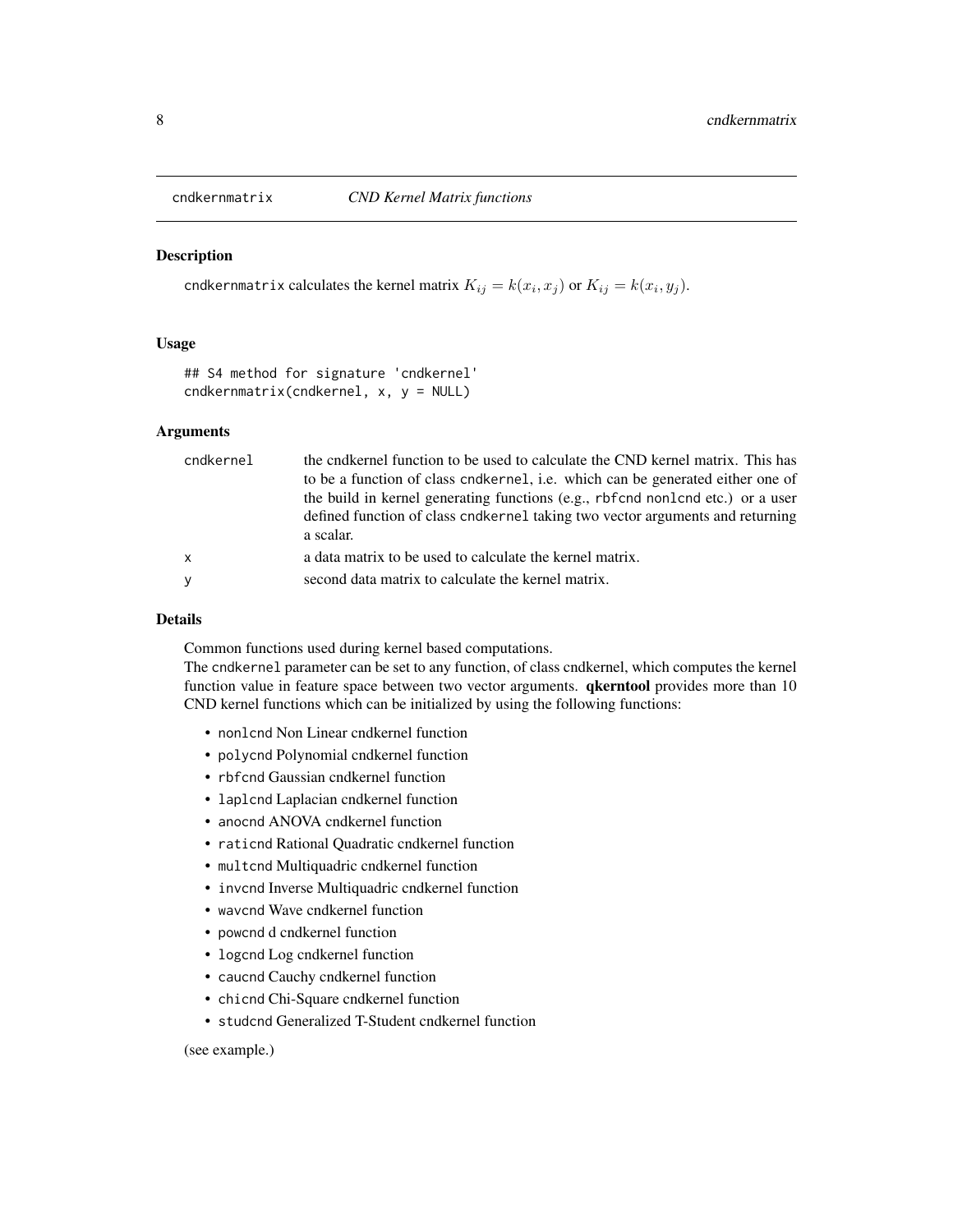<span id="page-7-1"></span><span id="page-7-0"></span>

### **Description**

cndkernmatrix calculates the kernel matrix  $K_{ij} = k(x_i, x_j)$  or  $K_{ij} = k(x_i, y_j)$ .

#### Usage

```
## S4 method for signature 'cndkernel'
cndkernmatrix(cndkernel, x, y = NULL)
```
#### Arguments

| cndkernel    | the cndkernel function to be used to calculate the CND kernel matrix. This has<br>to be a function of class cndkernel, i.e. which can be generated either one of |
|--------------|------------------------------------------------------------------------------------------------------------------------------------------------------------------|
|              | the build in kernel generating functions (e.g., rbf cnd nonl cnd etc.) or a user                                                                                 |
|              | defined function of class cndkernel taking two vector arguments and returning<br>a scalar.                                                                       |
| $\mathsf{x}$ | a data matrix to be used to calculate the kernel matrix.                                                                                                         |
| y            | second data matrix to calculate the kernel matrix.                                                                                                               |

#### Details

Common functions used during kernel based computations.

The cndkernel parameter can be set to any function, of class cndkernel, which computes the kernel function value in feature space between two vector arguments. *qkerntool* provides more than 10 CND kernel functions which can be initialized by using the following functions:

- nonlcnd Non Linear cndkernel function
- polycnd Polynomial cndkernel function
- rbfcnd Gaussian cndkernel function
- laplcnd Laplacian cndkernel function
- anocnd ANOVA cndkernel function
- raticnd Rational Quadratic cndkernel function
- multcnd Multiquadric cndkernel function
- invcnd Inverse Multiquadric cndkernel function
- wavcnd Wave cndkernel function
- powcnd d cndkernel function
- logcnd Log cndkernel function
- caucnd Cauchy cndkernel function
- chicnd Chi-Square cndkernel function
- studcnd Generalized T-Student cndkernel function

(see example.)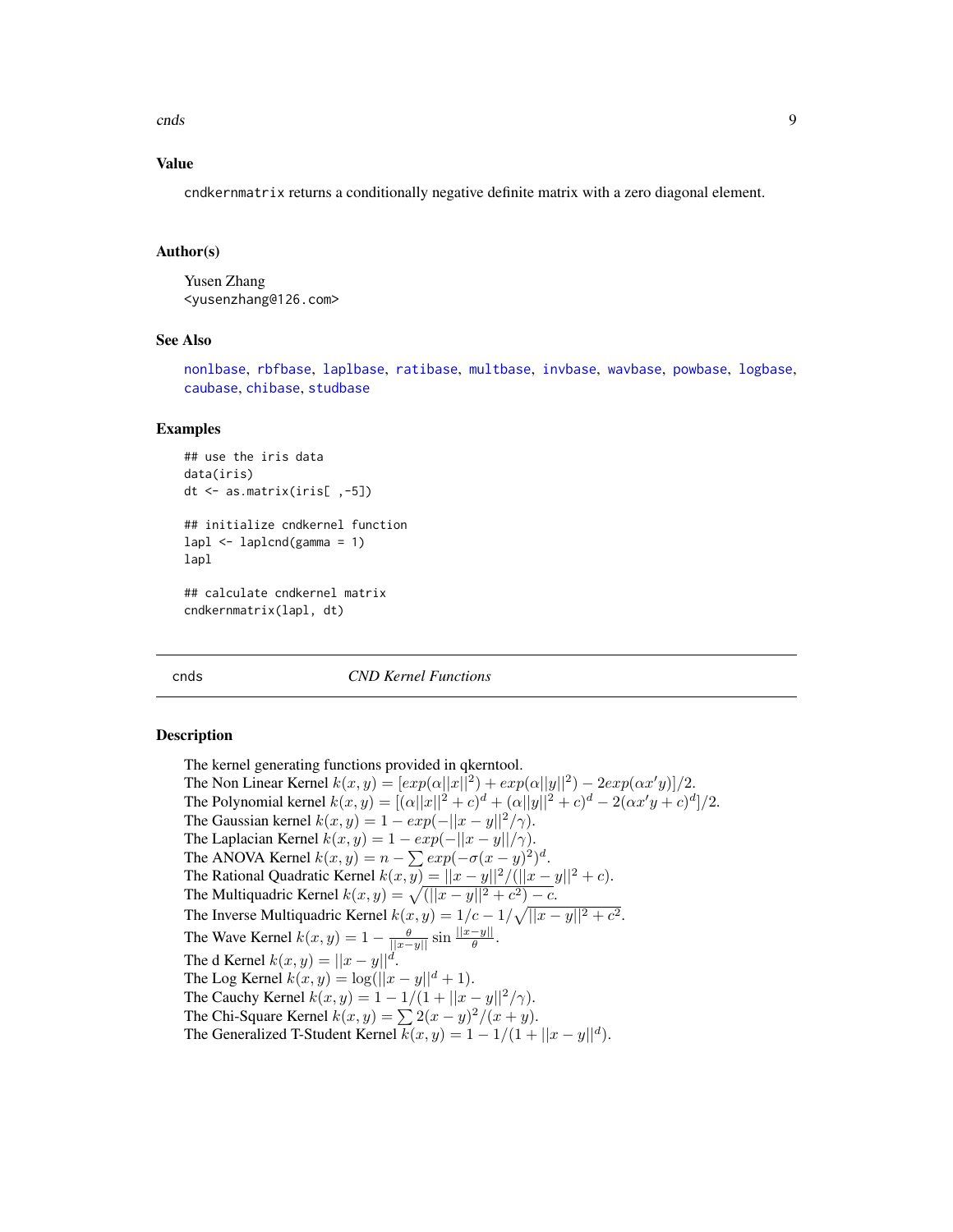<span id="page-8-0"></span>cnds and the contract of the contract of the contract of the contract of the contract of the contract of the contract of the contract of the contract of the contract of the contract of the contract of the contract of the c

#### Value

cndkernmatrix returns a conditionally negative definite matrix with a zero diagonal element.

#### Author(s)

Yusen Zhang <yusenzhang@126.com>

### See Also

[nonlbase](#page-3-1), [rbfbase](#page-3-1), [laplbase](#page-3-1), [ratibase](#page-3-1), [multbase](#page-3-1), [invbase](#page-3-1), [wavbase](#page-3-1), [powbase](#page-3-1), [logbase](#page-3-1), [caubase](#page-3-1), [chibase](#page-3-1), [studbase](#page-3-1)

#### Examples

```
## use the iris data
data(iris)
dt <- as.matrix(iris[ ,-5])
## initialize cndkernel function
lap1 < - laplcnd(gamma = 1)
lapl
## calculate cndkernel matrix
```
cndkernmatrix(lapl, dt)

#### cnds *CND Kernel Functions*

#### <span id="page-8-1"></span>Description

The kernel generating functions provided in qkerntool. The Non Linear Kernel  $k(x, y) = [exp(\alpha ||x||^2) + exp(\alpha ||y||^2) - 2exp(\alpha x' y)]/2$ . The Polynomial kernel  $k(x, y) = [(\alpha ||x||^2 + c)^d + (\alpha ||y||^2 + c)^d - 2(\alpha x'y + c)^d]/2$ . The Gaussian kernel  $k(x, y) = 1 - exp(-||x - y||^2/\gamma)$ . The Laplacian Kernel  $k(x, y) = 1 - exp(-||x - y||/\gamma)$ . The ANOVA Kernel  $k(x, y) = n - \sum exp(-\sigma(x - y)^2)^d$ . The Rational Quadratic Kernel  $k(x, y) = ||x - y||^2 / (||x - y||^2 + c)$ . The Multiquadric Kernel  $k(x, y) = \sqrt{(||x - y||^2 + c^2) - c}.$ The Inverse Multiquadric Kernel  $k(x, y) = 1/c - 1/\sqrt{||x - y||^2 + c^2}$ . The Wave Kernel  $k(x, y) = 1 - \frac{\theta}{\|x-y\|} \sin \frac{\|x-y\|}{\theta}$ . The d Kernel  $k(x, y) = ||x - y||^d$ . The Log Kernel  $k(x, y) = \log(||x - y||^d + 1)$ . The Cauchy Kernel  $k(x, y) = 1 - 1/(1 + ||x - y||^2 / \gamma)$ . The Chi-Square Kernel  $k(x, y) = \sum 2(x - y)^2/(x + y)$ . The Generalized T-Student Kernel  $k(x, y) = 1 - 1/(1 + ||x - y||^d)$ .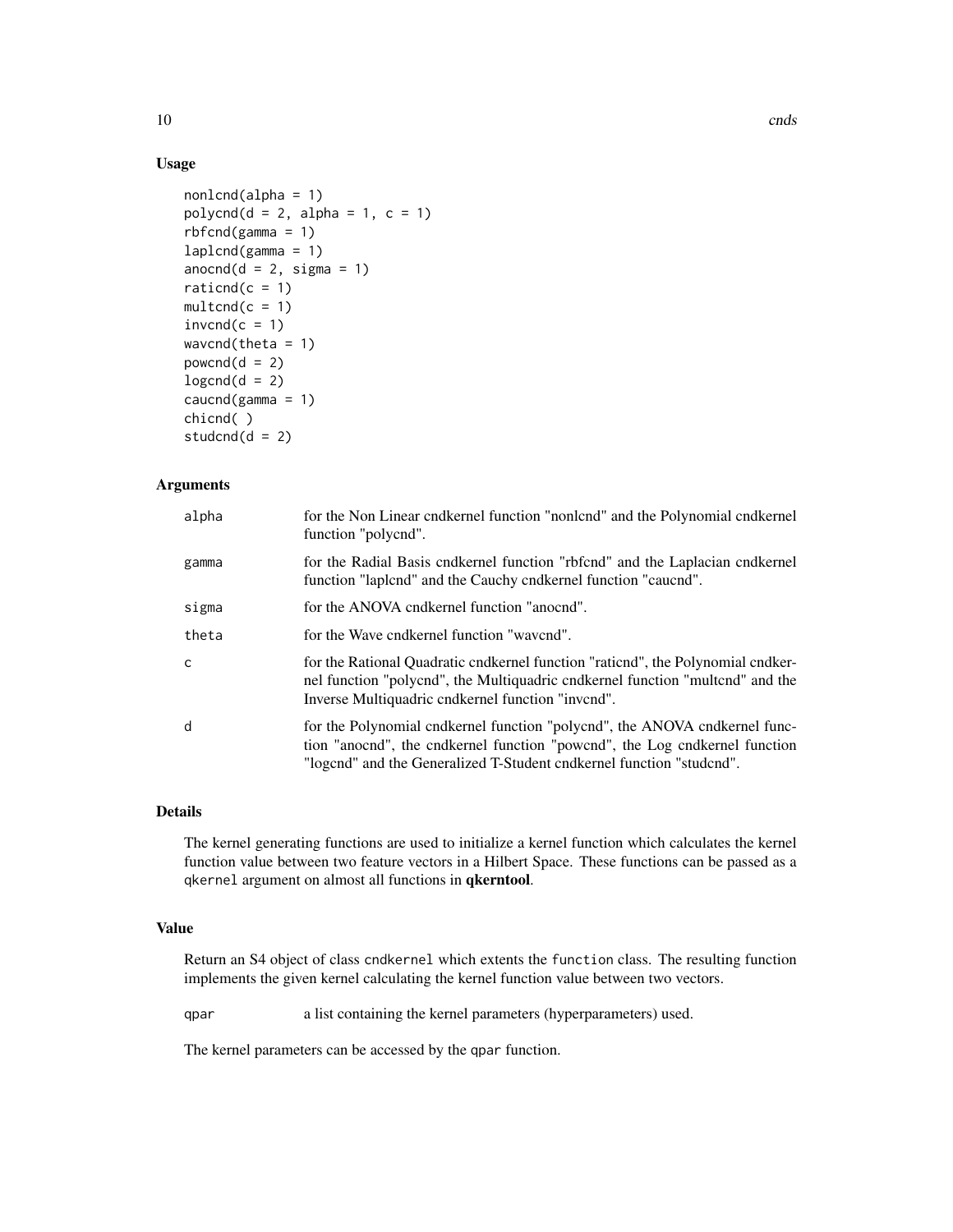### Usage

```
nonlcnd(alpha = 1)
polycmd(d = 2, alpha = 1, c = 1)rbfend(gamma = 1)laplend(gamma = 1)anocnd(d = 2, sigma = 1)raticnd(c = 1)multend(c = 1)invend(c = 1)wavcnd(theta = 1)
powcnd(d = 2)logcnd(d = 2)caucnd(gamma = 1)
chicnd( )
studcnd(d = 2)
```
#### Arguments

| alpha | for the Non Linear cndkernel function "nonlend" and the Polynomial cndkernel<br>function "polycnd".                                                                                                                              |
|-------|----------------------------------------------------------------------------------------------------------------------------------------------------------------------------------------------------------------------------------|
| gamma | for the Radial Basis cndkernel function "rbfcnd" and the Laplacian cndkernel<br>function "laplend" and the Cauchy endkernel function "caucnd".                                                                                   |
| sigma | for the ANOVA cndkernel function "anocnd".                                                                                                                                                                                       |
| theta | for the Wave cndkernel function "wavend".                                                                                                                                                                                        |
| C     | for the Rational Quadratic cndkernel function "rationd", the Polynomial cndker-<br>nel function "polycnd", the Multiquadric cndkernel function "multend" and the<br>Inverse Multiquadric cndkernel function "invend".            |
| d     | for the Polynomial cndkernel function "polycnd", the ANOVA cndkernel func-<br>tion "anocnd", the cndkernel function "powend", the Log cndkernel function<br>"logcnd" and the Generalized T-Student cndkernel function "studcnd". |

### Details

The kernel generating functions are used to initialize a kernel function which calculates the kernel function value between two feature vectors in a Hilbert Space. These functions can be passed as a qkernel argument on almost all functions in qkerntool.

### Value

Return an S4 object of class cndkernel which extents the function class. The resulting function implements the given kernel calculating the kernel function value between two vectors.

qpar a list containing the kernel parameters (hyperparameters) used.

The kernel parameters can be accessed by the qpar function.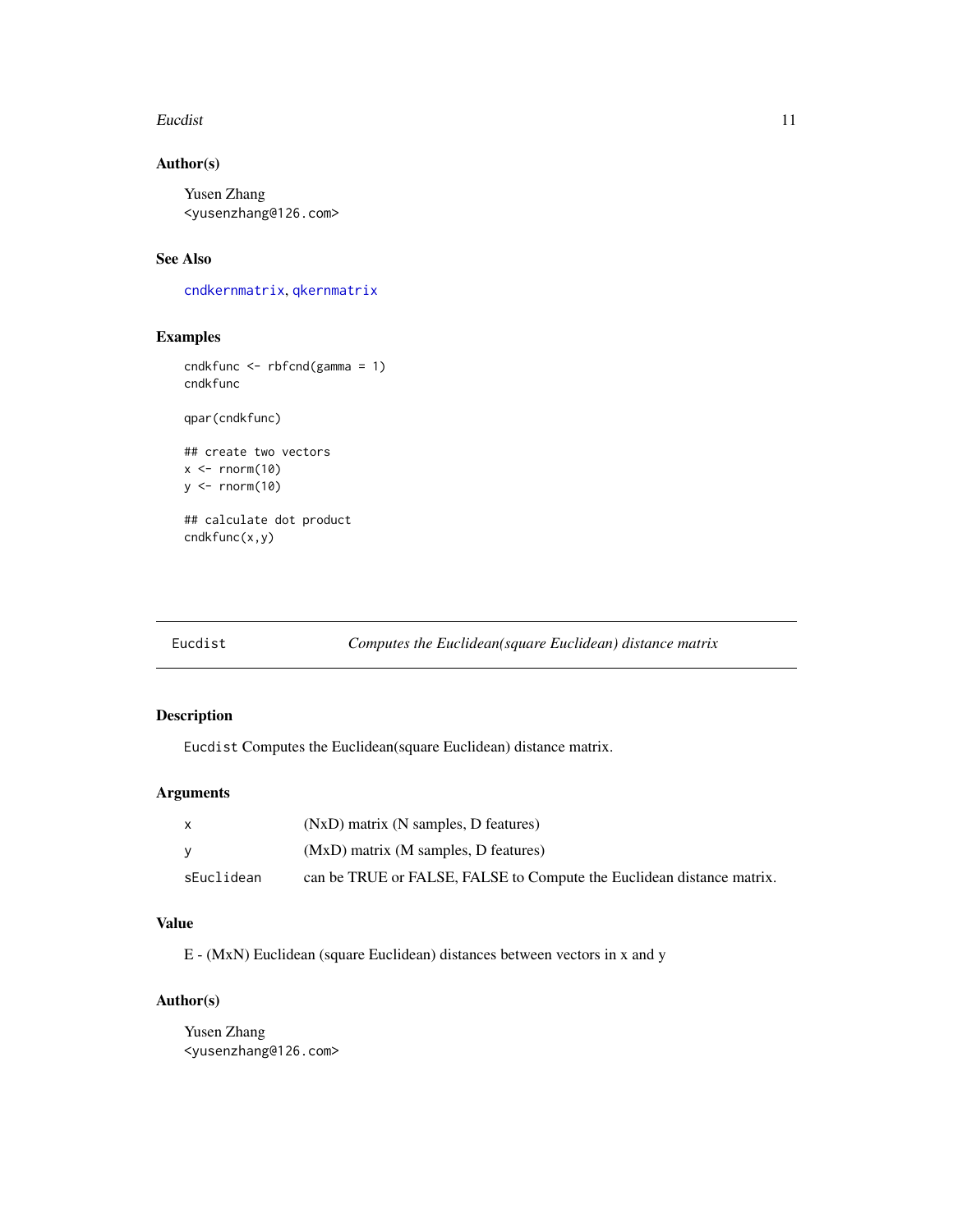#### <span id="page-10-0"></span>Eucdist 11

### Author(s)

Yusen Zhang <yusenzhang@126.com>

### See Also

[cndkernmatrix](#page-7-1), [qkernmatrix](#page-18-1)

### Examples

```
cndkfunc <- rbfcnd(gamma = 1)
cndkfunc
qpar(cndkfunc)
## create two vectors
x < - rnorm(10)
y \leftarrow \text{norm}(10)
```
## calculate dot product cndkfunc(x,y)

Eucdist *Computes the Euclidean(square Euclidean) distance matrix*

### Description

Eucdist Computes the Euclidean(square Euclidean) distance matrix.

### Arguments

| X          | (NxD) matrix (N samples, D features)                                  |
|------------|-----------------------------------------------------------------------|
| <b>V</b>   | (MxD) matrix (M samples, D features)                                  |
| sEuclidean | can be TRUE or FALSE, FALSE to Compute the Euclidean distance matrix. |

### Value

E - (MxN) Euclidean (square Euclidean) distances between vectors in x and y

### Author(s)

Yusen Zhang <yusenzhang@126.com>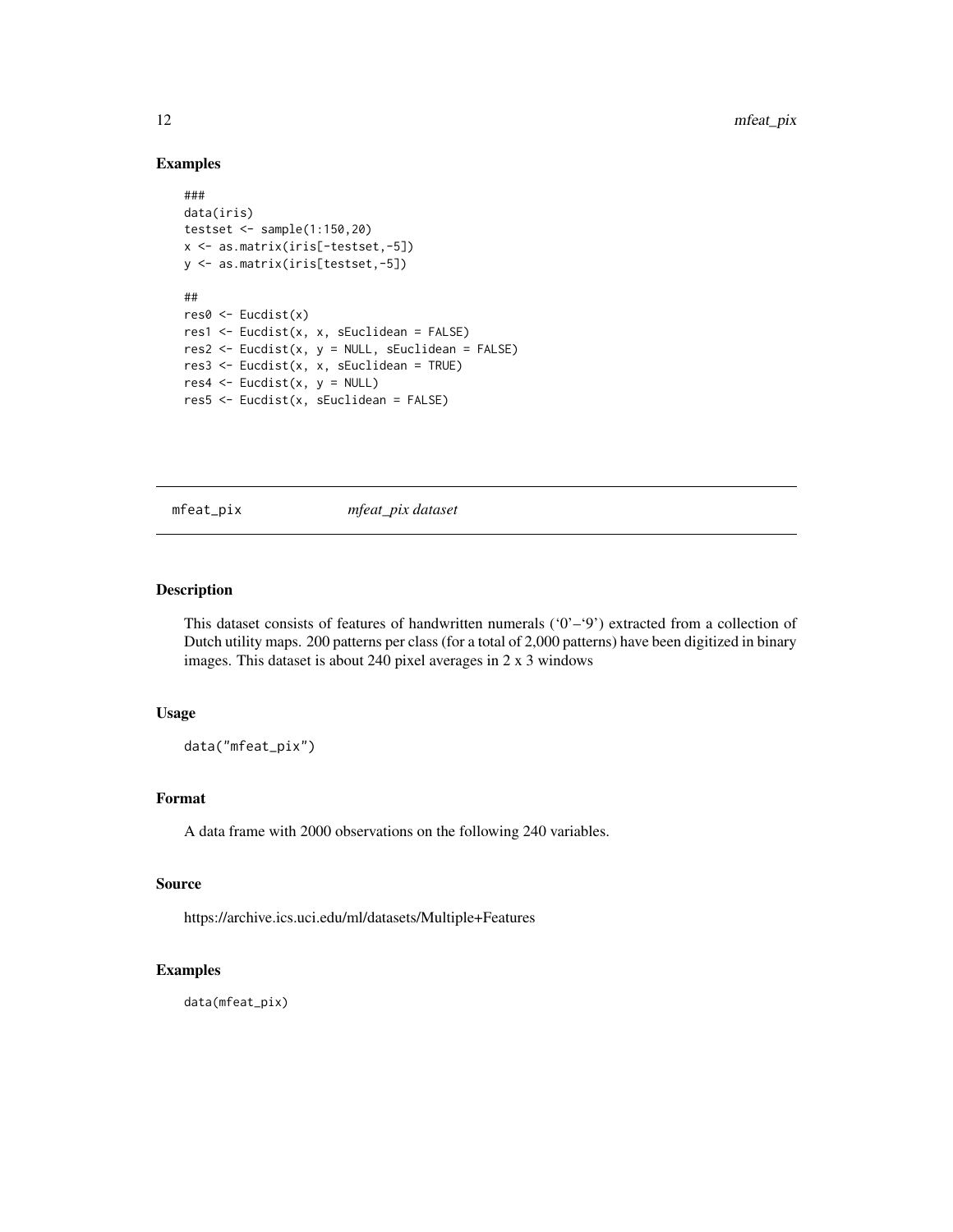#### Examples

```
###
data(iris)
testset <- sample(1:150,20)
x <- as.matrix(iris[-testset,-5])
y <- as.matrix(iris[testset,-5])
##
res0 <- Eucdist(x)
res1 <- Eucdist(x, x, sEuclidean = FALSE)
res2 \leq Eucdist(x, y = NULL, sEuclidean = FALSE)
res3 \leq Eucdist(x, x, sEuclidean = TRUE)
res4 \leq Eucdist(x, y = NULL)
res5 <- Eucdist(x, sEuclidean = FALSE)
```
mfeat\_pix *mfeat\_pix dataset*

### Description

This dataset consists of features of handwritten numerals  $(0^{\prime}-9^{\prime})$  extracted from a collection of Dutch utility maps. 200 patterns per class (for a total of 2,000 patterns) have been digitized in binary images. This dataset is about 240 pixel averages in 2 x 3 windows

#### Usage

data("mfeat\_pix")

### Format

A data frame with 2000 observations on the following 240 variables.

#### Source

https://archive.ics.uci.edu/ml/datasets/Multiple+Features

### Examples

data(mfeat\_pix)

<span id="page-11-0"></span>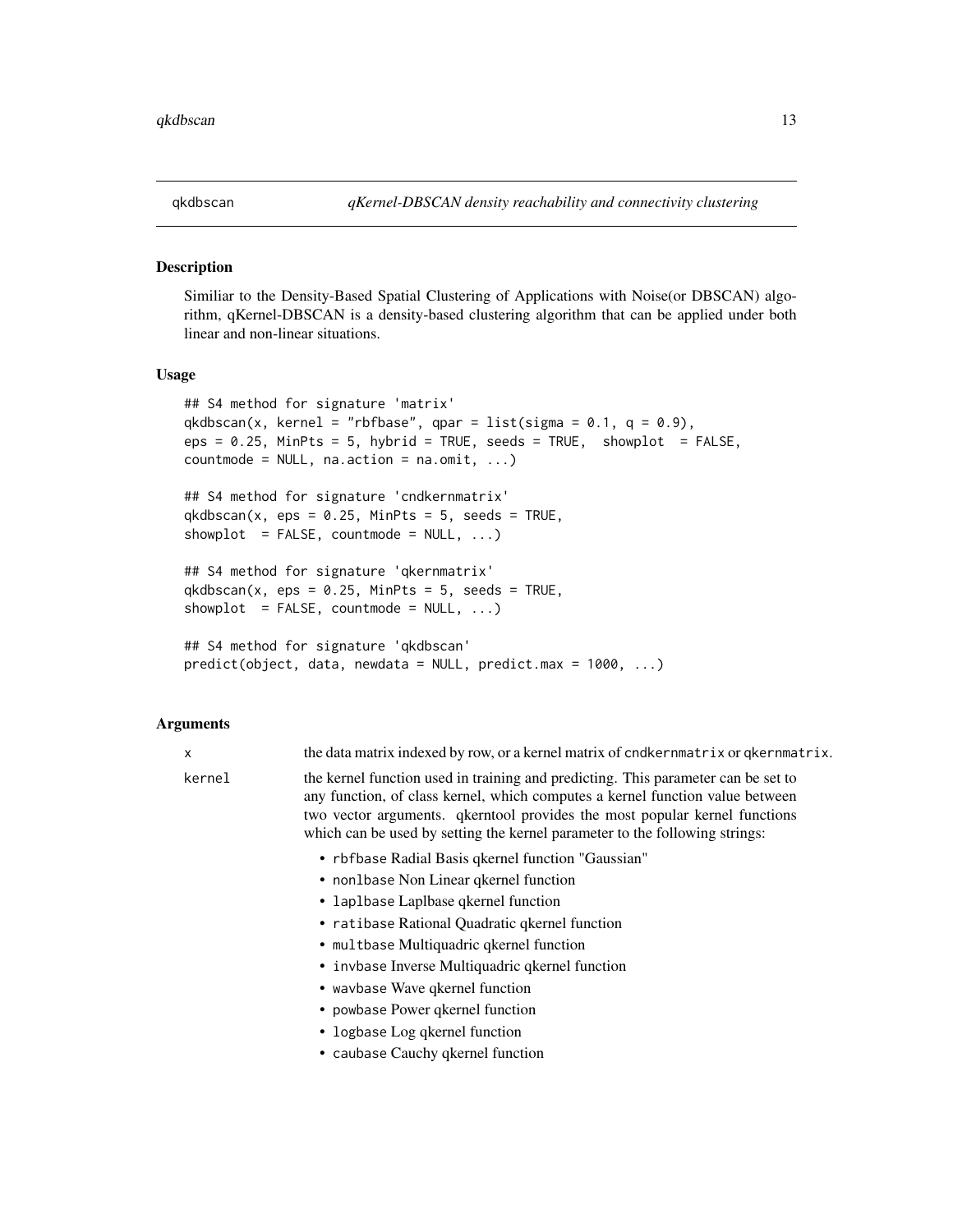<span id="page-12-0"></span>

#### Description

Similiar to the Density-Based Spatial Clustering of Applications with Noise(or DBSCAN) algorithm, qKernel-DBSCAN is a density-based clustering algorithm that can be applied under both linear and non-linear situations.

#### Usage

```
## S4 method for signature 'matrix'
qkdbscan(x, kernel = "rbfbase", qpar = list(sigma = 0.1, q = 0.9).eps = 0.25, MinPts = 5, hybrid = TRUE, seeds = TRUE, showplot = FALSE,
countmode = NULL, na.action = na.omit, ...)## S4 method for signature 'cndkernmatrix'
qkdbscan(x, eps = 0.25, MinPts = 5, seeds = TRUE,showplot = FALSE, countmode = NULL, ...)## S4 method for signature 'qkernmatrix'
qkdbscan(x, eps = 0.25, MinPts = 5, seeds = TRUE,showplot = FALSE, countmode = NULL, ...)## S4 method for signature 'qkdbscan'
predict(object, data, newdata = NULL, predict.max = 1000, ...)
```
#### Arguments

x the data matrix indexed by row, or a kernel matrix of cndkernmatrix or qkernmatrix.

kernel the kernel function used in training and predicting. This parameter can be set to any function, of class kernel, which computes a kernel function value between two vector arguments. qkerntool provides the most popular kernel functions which can be used by setting the kernel parameter to the following strings:

- rbfbase Radial Basis qkernel function "Gaussian"
- nonlbase Non Linear qkernel function
- laplbase Laplbase qkernel function
- ratibase Rational Quadratic qkernel function
- multbase Multiquadric qkernel function
- invbase Inverse Multiquadric qkernel function
- wavbase Wave qkernel function
- powbase Power qkernel function
- logbase Log qkernel function
- caubase Cauchy qkernel function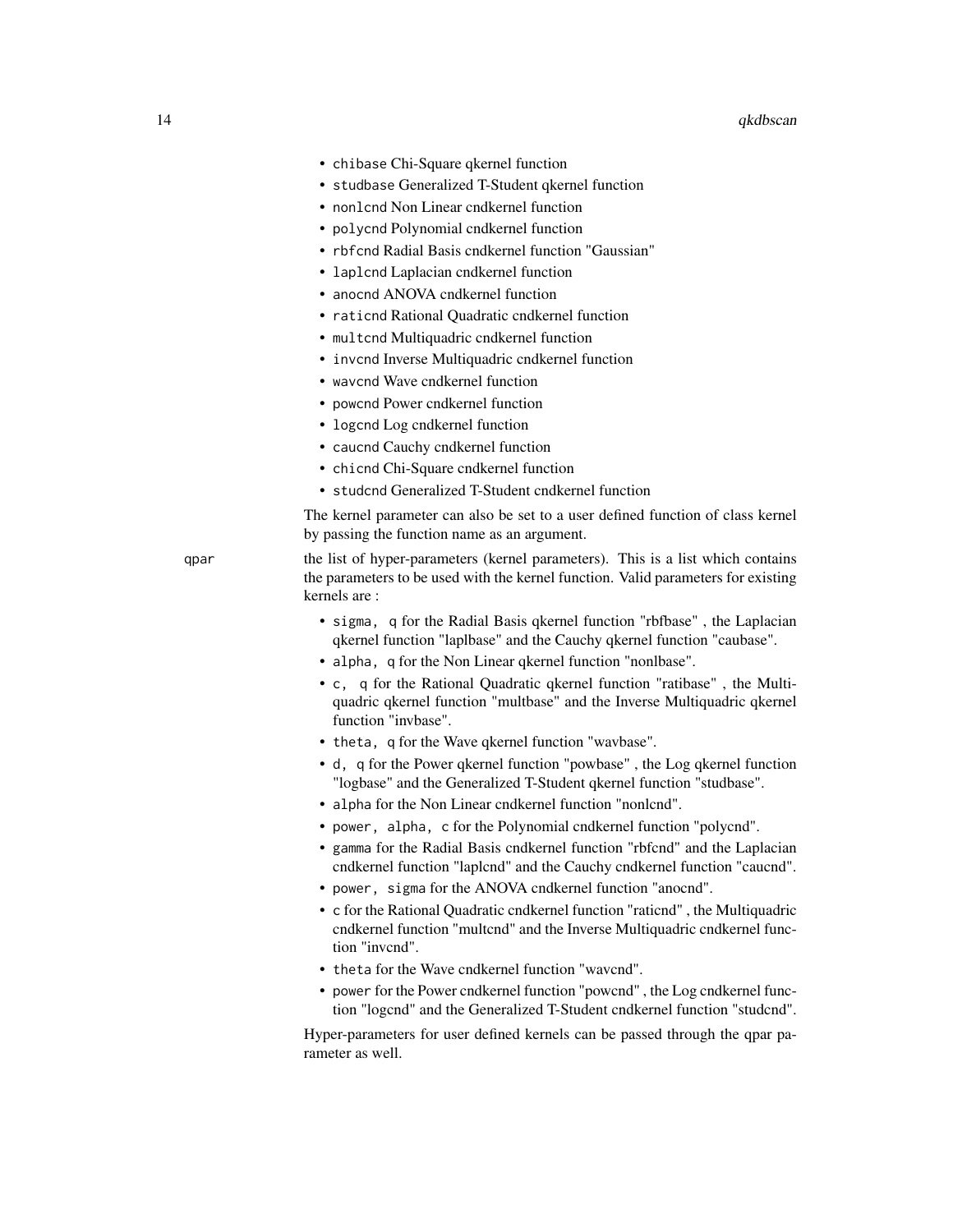- chibase Chi-Square qkernel function
- studbase Generalized T-Student qkernel function
- nonlcnd Non Linear cndkernel function
- polycnd Polynomial cndkernel function
- rbfcnd Radial Basis cndkernel function "Gaussian"
- laplcnd Laplacian cndkernel function
- anocnd ANOVA cndkernel function
- raticnd Rational Quadratic cndkernel function
- multcnd Multiquadric cndkernel function
- invcnd Inverse Multiquadric cndkernel function
- wavcnd Wave cndkernel function
- powcnd Power cndkernel function
- logcnd Log cndkernel function
- caucnd Cauchy cndkernel function
- chicnd Chi-Square cndkernel function
- studcnd Generalized T-Student cndkernel function

The kernel parameter can also be set to a user defined function of class kernel by passing the function name as an argument.

qpar the list of hyper-parameters (kernel parameters). This is a list which contains the parameters to be used with the kernel function. Valid parameters for existing kernels are :

- sigma, q for the Radial Basis qkernel function "rbfbase" , the Laplacian qkernel function "laplbase" and the Cauchy qkernel function "caubase".
- alpha, q for the Non Linear qkernel function "nonlbase".
- c, q for the Rational Quadratic qkernel function "ratibase" , the Multiquadric qkernel function "multbase" and the Inverse Multiquadric qkernel function "invbase".
- theta, q for the Wave qkernel function "wavbase".
- d, q for the Power qkernel function "powbase" , the Log qkernel function "logbase" and the Generalized T-Student qkernel function "studbase".
- alpha for the Non Linear cndkernel function "nonlcnd".
- power, alpha, c for the Polynomial cndkernel function "polycnd".
- gamma for the Radial Basis cndkernel function "rbfcnd" and the Laplacian cndkernel function "laplcnd" and the Cauchy cndkernel function "caucnd".
- power, sigma for the ANOVA cndkernel function "anocnd".
- c for the Rational Quadratic cndkernel function "raticnd" , the Multiquadric cndkernel function "multcnd" and the Inverse Multiquadric cndkernel function "invcnd".
- theta for the Wave cndkernel function "wavcnd".
- power for the Power cndkernel function "powcnd" , the Log cndkernel function "logcnd" and the Generalized T-Student cndkernel function "studcnd".

Hyper-parameters for user defined kernels can be passed through the qpar parameter as well.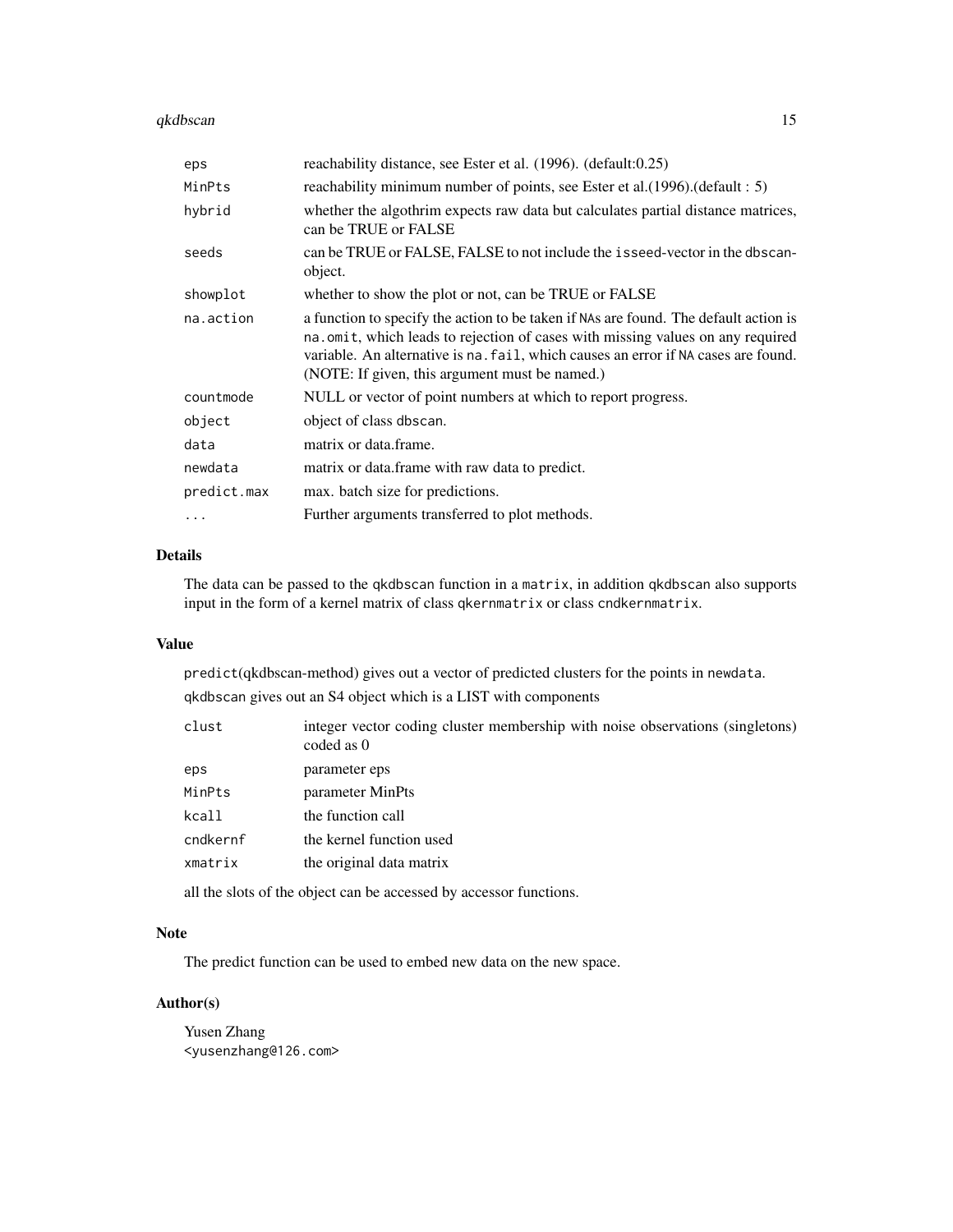#### qkdbscan 15

| reachability distance, see Ester et al. (1996). (default:0.25)                                                                                                                                                                                                                                                  |
|-----------------------------------------------------------------------------------------------------------------------------------------------------------------------------------------------------------------------------------------------------------------------------------------------------------------|
| reachability minimum number of points, see Ester et al.(1996).(default : 5)                                                                                                                                                                                                                                     |
| whether the algothrim expects raw data but calculates partial distance matrices,<br>can be TRUE or FALSE                                                                                                                                                                                                        |
| can be TRUE or FALSE, FALSE to not include the isseed-vector in the dbscan-<br>object.                                                                                                                                                                                                                          |
| whether to show the plot or not, can be TRUE or FALSE                                                                                                                                                                                                                                                           |
| a function to specify the action to be taken if NAs are found. The default action is<br>na. omit, which leads to rejection of cases with missing values on any required<br>variable. An alternative is na. fail, which causes an error if NA cases are found.<br>(NOTE: If given, this argument must be named.) |
| NULL or vector of point numbers at which to report progress.                                                                                                                                                                                                                                                    |
| object of class dbscan.                                                                                                                                                                                                                                                                                         |
| matrix or data frame.                                                                                                                                                                                                                                                                                           |
| matrix or data.frame with raw data to predict.                                                                                                                                                                                                                                                                  |
| max. batch size for predictions.                                                                                                                                                                                                                                                                                |
| Further arguments transferred to plot methods.                                                                                                                                                                                                                                                                  |
|                                                                                                                                                                                                                                                                                                                 |

### Details

The data can be passed to the qkdbscan function in a matrix, in addition qkdbscan also supports input in the form of a kernel matrix of class qkernmatrix or class cndkernmatrix.

#### Value

predict(qkdbscan-method) gives out a vector of predicted clusters for the points in newdata. qkdbscan gives out an S4 object which is a LIST with components

| clust    | integer vector coding cluster membership with noise observations (singletons)<br>coded as 0 |
|----------|---------------------------------------------------------------------------------------------|
| eps      | parameter eps                                                                               |
| MinPts   | parameter MinPts                                                                            |
| kcall    | the function call                                                                           |
| cndkernf | the kernel function used                                                                    |
| xmatrix  | the original data matrix                                                                    |
|          |                                                                                             |

all the slots of the object can be accessed by accessor functions.

### Note

The predict function can be used to embed new data on the new space.

### Author(s)

Yusen Zhang <yusenzhang@126.com>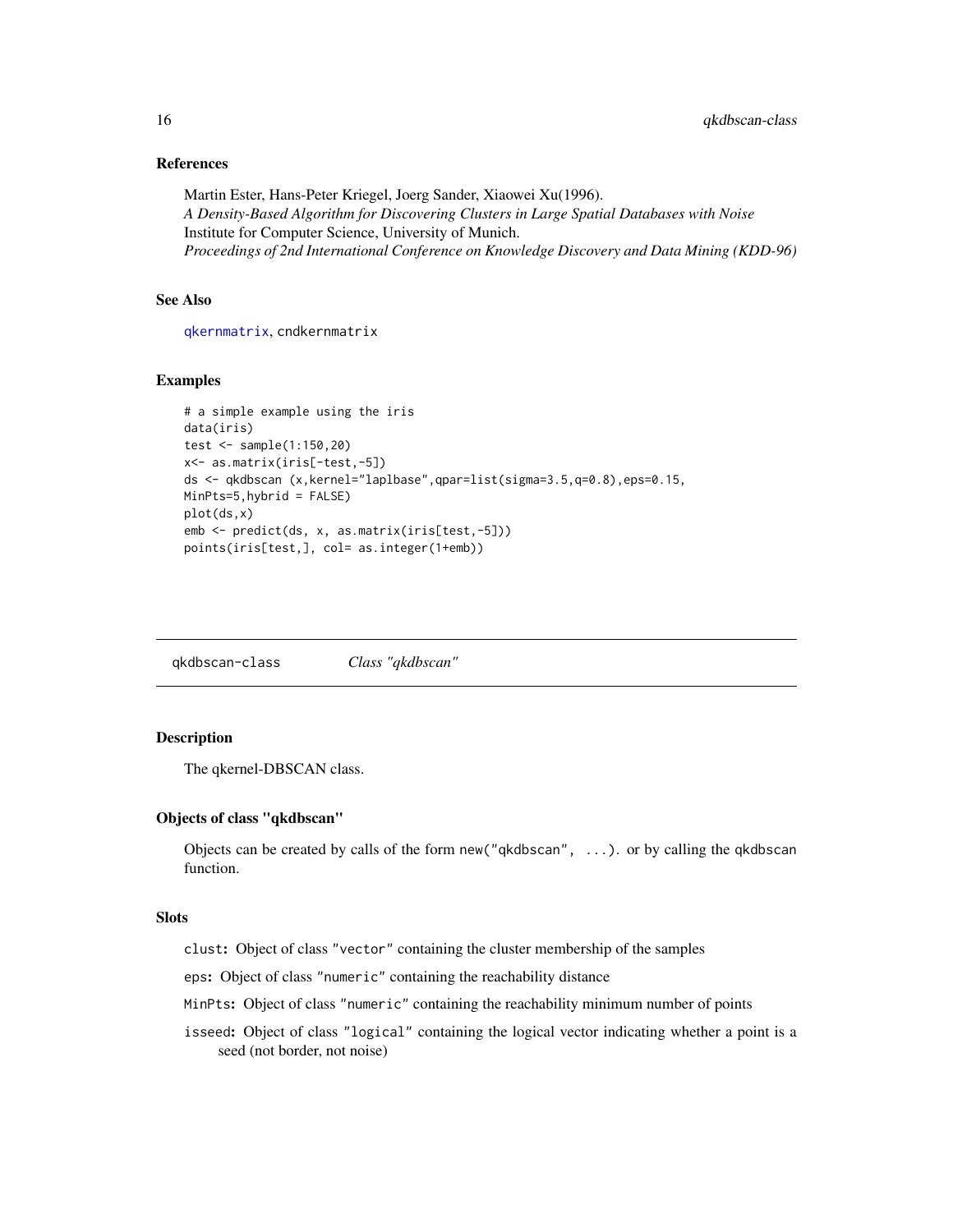#### References

Martin Ester, Hans-Peter Kriegel, Joerg Sander, Xiaowei Xu(1996). *A Density-Based Algorithm for Discovering Clusters in Large Spatial Databases with Noise* Institute for Computer Science, University of Munich. *Proceedings of 2nd International Conference on Knowledge Discovery and Data Mining (KDD-96)*

### See Also

[qkernmatrix](#page-18-1), cndkernmatrix

#### Examples

```
# a simple example using the iris
data(iris)
test <- sample(1:150,20)
x<- as.matrix(iris[-test,-5])
ds <- qkdbscan (x,kernel="laplbase",qpar=list(sigma=3.5,q=0.8),eps=0.15,
MinPts=5,hybrid = FALSE)
plot(ds,x)
emb <- predict(ds, x, as.matrix(iris[test,-5]))
points(iris[test,], col= as.integer(1+emb))
```
qkdbscan-class *Class "qkdbscan"*

### Description

The qkernel-DBSCAN class.

#### Objects of class "qkdbscan"

Objects can be created by calls of the form new ("qkdbscan",  $\ldots$ ). or by calling the qkdbscan function.

### Slots

clust: Object of class "vector" containing the cluster membership of the samples

eps: Object of class "numeric" containing the reachability distance

MinPts: Object of class "numeric" containing the reachability minimum number of points

isseed: Object of class "logical" containing the logical vector indicating whether a point is a seed (not border, not noise)

<span id="page-15-0"></span>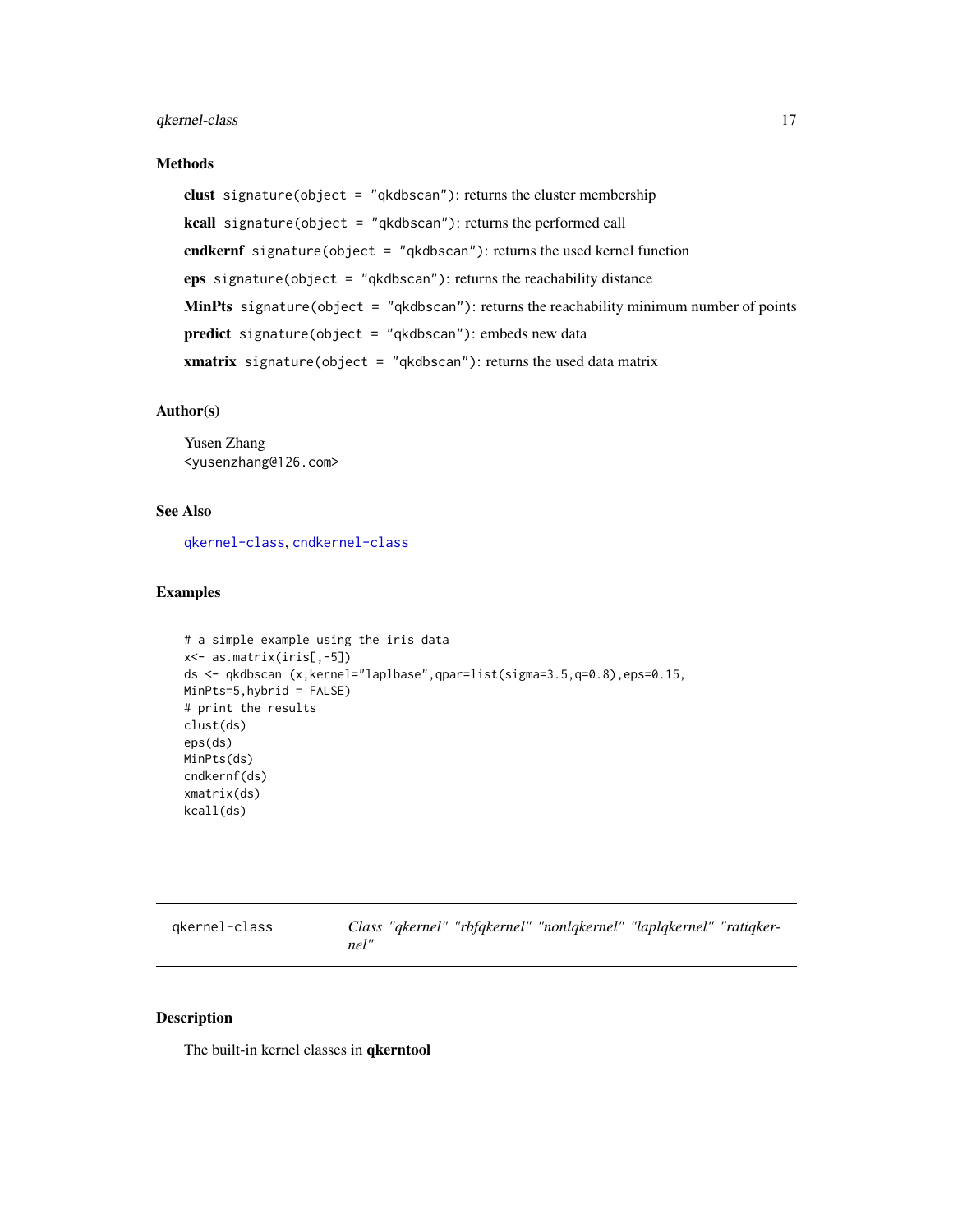#### <span id="page-16-0"></span>qkernel-class 17

#### Methods

clust signature(object = "qkdbscan"): returns the cluster membership kcall signature(object = "qkdbscan"): returns the performed call cndkernf signature(object = "qkdbscan"): returns the used kernel function eps signature(object = "qkdbscan"): returns the reachability distance MinPts signature(object = "qkdbscan"): returns the reachability minimum number of points predict signature(object = "qkdbscan"): embeds new data **xmatrix** signature(object = "qkdbscan"): returns the used data matrix

### Author(s)

Yusen Zhang <yusenzhang@126.com>

### See Also

[qkernel-class](#page-16-1), [cndkernel-class](#page-6-1)

### Examples

```
# a simple example using the iris data
x<- as.matrix(iris[,-5])
ds <- qkdbscan (x,kernel="laplbase",qpar=list(sigma=3.5,q=0.8),eps=0.15,
MinPts=5,hybrid = FALSE)
# print the results
clust(ds)
eps(ds)
MinPts(ds)
cndkernf(ds)
xmatrix(ds)
kcall(ds)
```
<span id="page-16-1"></span>qkernel-class *Class "qkernel" "rbfqkernel" "nonlqkernel" "laplqkernel" "ratiqkernel"*

### Description

The built-in kernel classes in qkerntool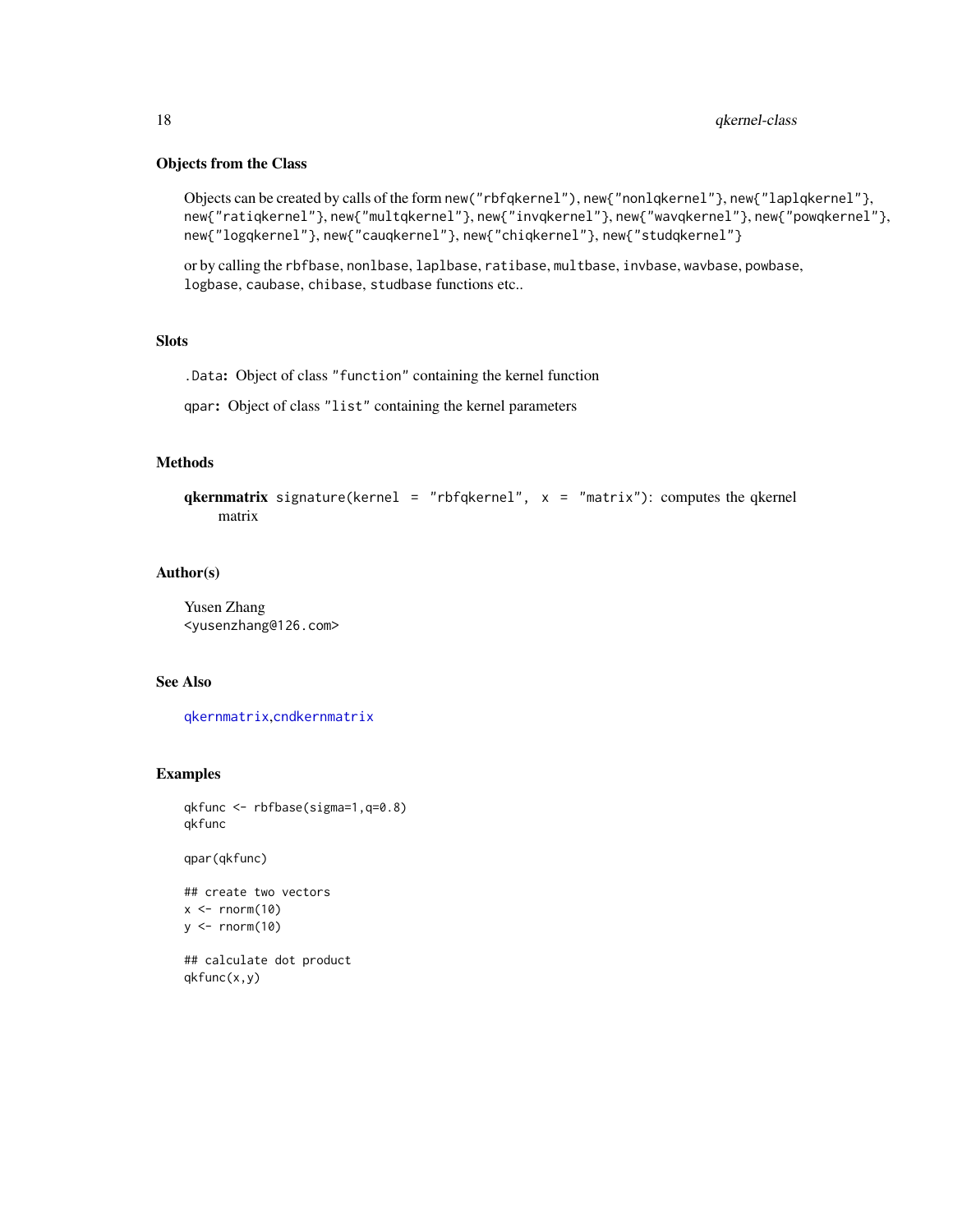### <span id="page-17-0"></span>Objects from the Class

Objects can be created by calls of the form new("rbfqkernel"), new{"nonlqkernel"}, new{"laplqkernel"}, new{"ratiqkernel"}, new{"multqkernel"}, new{"invqkernel"}, new{"wavqkernel"}, new{"powqkernel"}, new{"logqkernel"}, new{"cauqkernel"}, new{"chiqkernel"}, new{"studqkernel"}

or by calling the rbfbase, nonlbase, laplbase, ratibase, multbase, invbase, wavbase, powbase, logbase, caubase, chibase, studbase functions etc..

### Slots

.Data: Object of class "function" containing the kernel function

qpar: Object of class "list" containing the kernel parameters

#### Methods

```
qkernmatrix signature(kernel = "rbfqkernel", x = "matrix"): computes the qkernel
    matrix
```
### Author(s)

Yusen Zhang <yusenzhang@126.com>

#### See Also

[qkernmatrix](#page-18-1),[cndkernmatrix](#page-7-1)

#### Examples

```
qkfunc <- rbfbase(sigma=1,q=0.8)
qkfunc
```
qpar(qkfunc)

```
## create two vectors
x \le - rnorm(10)
y \le - rnorm(10)
```
## calculate dot product qkfunc(x,y)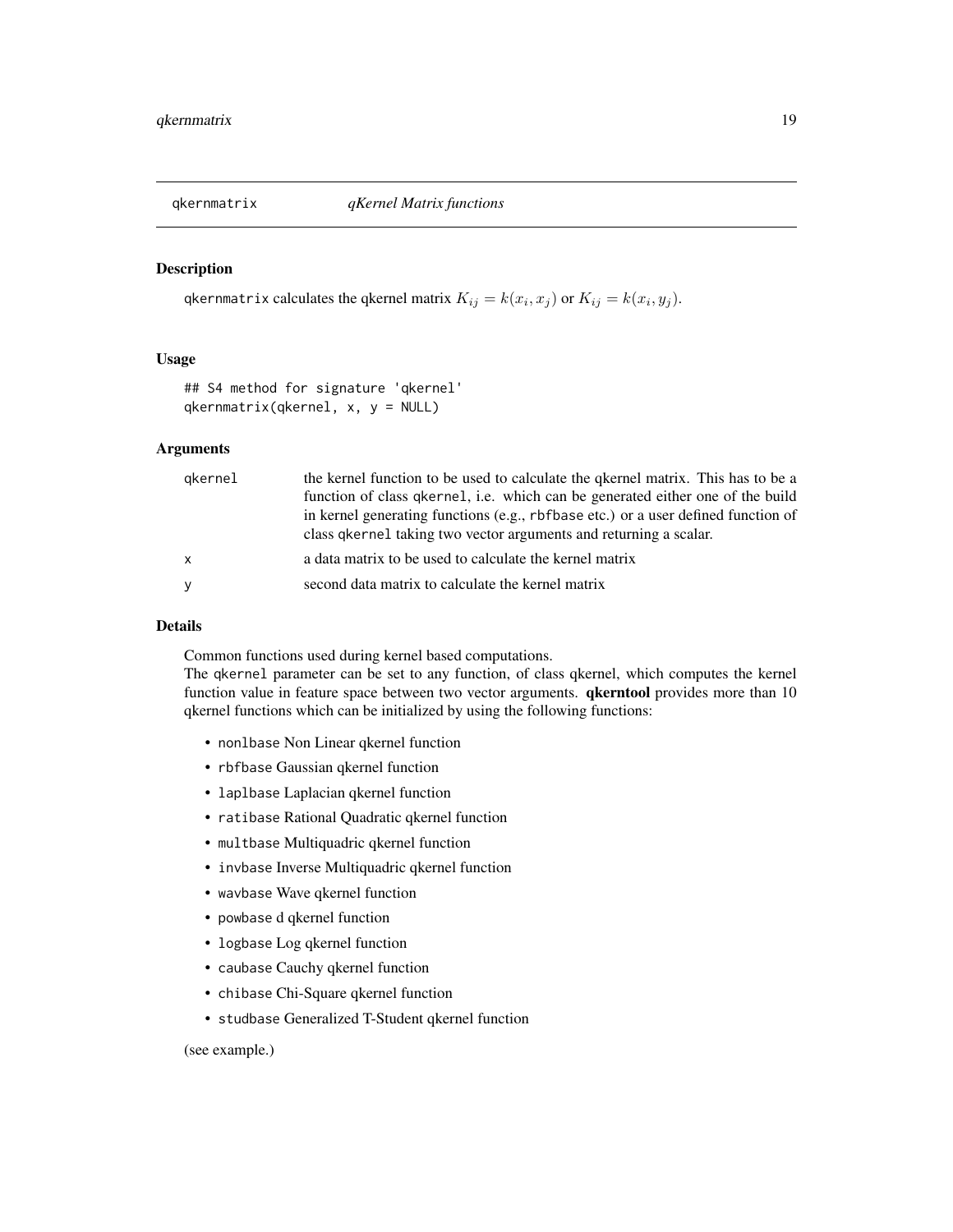<span id="page-18-1"></span><span id="page-18-0"></span>

#### Description

qkernmatrix calculates the qkernel matrix  $K_{ij} = k(x_i, x_j)$  or  $K_{ij} = k(x_i, y_j)$ .

### Usage

```
## S4 method for signature 'qkernel'
qkernmatrix(qkernel, x, y = NULL)
```
#### Arguments

| qkernel      | the kernel function to be used to calculate the gkernel matrix. This has to be a                                                                       |
|--------------|--------------------------------------------------------------------------------------------------------------------------------------------------------|
|              | function of class gkernel, i.e. which can be generated either one of the build                                                                         |
|              | in kernel generating functions (e.g., rbfbase etc.) or a user defined function of<br>class gkernel taking two vector arguments and returning a scalar. |
| $\mathsf{x}$ | a data matrix to be used to calculate the kernel matrix                                                                                                |
| y            | second data matrix to calculate the kernel matrix                                                                                                      |

### Details

Common functions used during kernel based computations.

The qkernel parameter can be set to any function, of class qkernel, which computes the kernel function value in feature space between two vector arguments. *qkerntool* provides more than 10 qkernel functions which can be initialized by using the following functions:

- nonlbase Non Linear qkernel function
- rbfbase Gaussian qkernel function
- laplbase Laplacian qkernel function
- ratibase Rational Quadratic qkernel function
- multbase Multiquadric qkernel function
- invbase Inverse Multiquadric qkernel function
- wavbase Wave qkernel function
- powbase d qkernel function
- logbase Log qkernel function
- caubase Cauchy qkernel function
- chibase Chi-Square qkernel function
- studbase Generalized T-Student qkernel function

#### (see example.)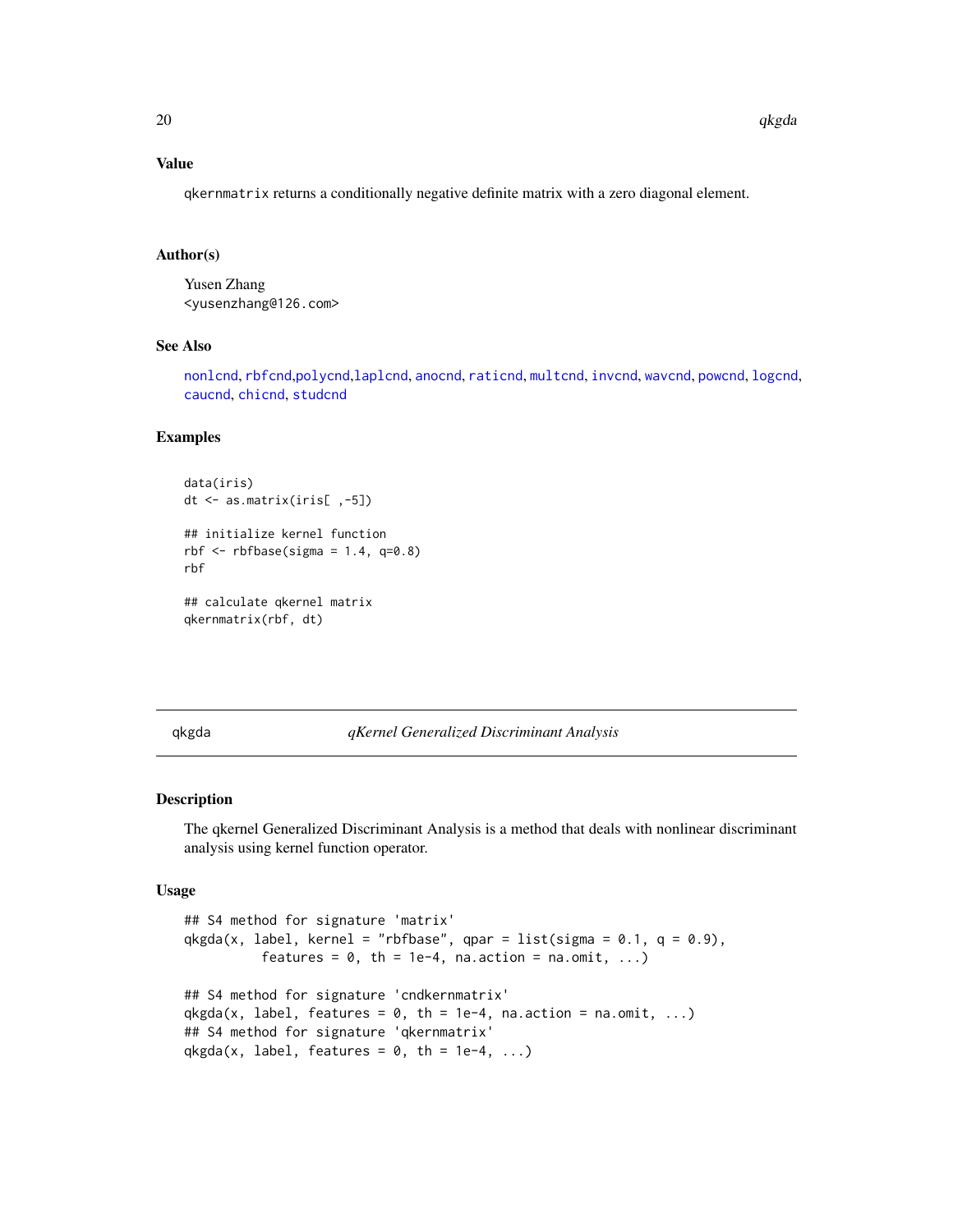### Value

qkernmatrix returns a conditionally negative definite matrix with a zero diagonal element.

### Author(s)

Yusen Zhang <yusenzhang@126.com>

### See Also

[nonlcnd](#page-8-1), [rbfcnd](#page-8-1),[polycnd](#page-8-1),[laplcnd](#page-8-1), [anocnd](#page-8-1), [raticnd](#page-8-1), [multcnd](#page-8-1), [invcnd](#page-8-1), [wavcnd](#page-8-1), [powcnd](#page-8-1), [logcnd](#page-8-1), [caucnd](#page-8-1), [chicnd](#page-8-1), [studcnd](#page-8-1)

### Examples

```
data(iris)
dt <- as.matrix(iris[ ,-5])
## initialize kernel function
rbf \leq rbfbase(sigma = 1.4, q=0.8)
rbf
```
## calculate qkernel matrix qkernmatrix(rbf, dt)

qkgda *qKernel Generalized Discriminant Analysis*

#### Description

The qkernel Generalized Discriminant Analysis is a method that deals with nonlinear discriminant analysis using kernel function operator.

#### Usage

```
## S4 method for signature 'matrix'
qkgda(x, label, kernel = "rbfbase", qpar = list(sigma = 0.1, q = 0.9),features = 0, th = 1e-4, na.action = na.omit, ...)
## S4 method for signature 'cndkernmatrix'
qkgda(x, label, features = 0, th = 1e-4, na. action = na. omit, ...)## S4 method for signature 'qkernmatrix'
qkgda(x, label, features = 0, th = 1e-4, ...)
```
<span id="page-19-0"></span>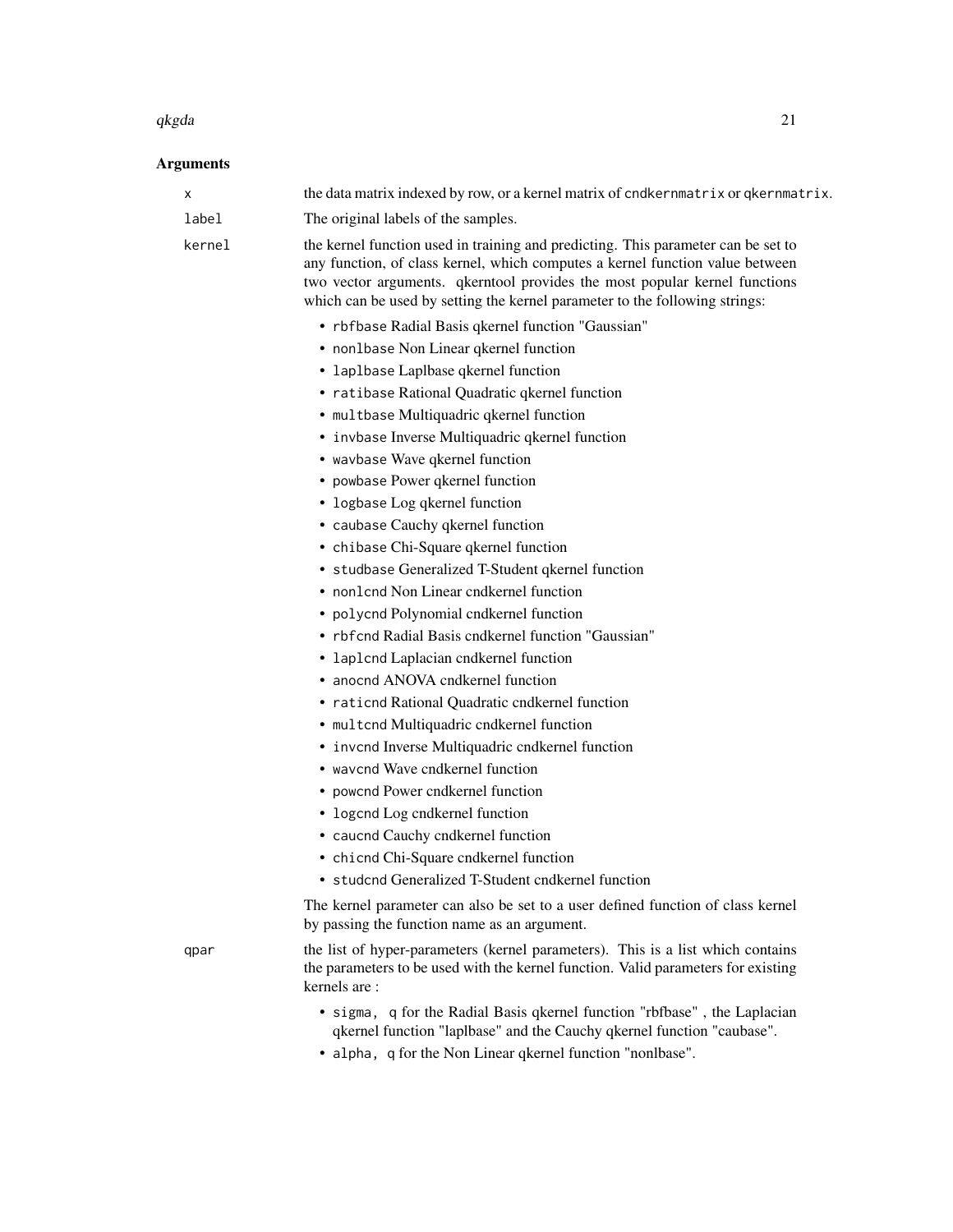#### $q$ kgda  $q$ 1

### Arguments

| Χ      | the data matrix indexed by row, or a kernel matrix of cndkernmatrix or qkernmatrix.                                                                                                                                                                                                                                             |
|--------|---------------------------------------------------------------------------------------------------------------------------------------------------------------------------------------------------------------------------------------------------------------------------------------------------------------------------------|
| label  | The original labels of the samples.                                                                                                                                                                                                                                                                                             |
| kernel | the kernel function used in training and predicting. This parameter can be set to<br>any function, of class kernel, which computes a kernel function value between<br>two vector arguments. qkerntool provides the most popular kernel functions<br>which can be used by setting the kernel parameter to the following strings: |
|        | • rbfbase Radial Basis qkernel function "Gaussian"                                                                                                                                                                                                                                                                              |
|        | • non1base Non Linear qkernel function                                                                                                                                                                                                                                                                                          |
|        | • laplbase Laplbase qkernel function                                                                                                                                                                                                                                                                                            |
|        | • ratibase Rational Quadratic qkernel function                                                                                                                                                                                                                                                                                  |
|        | • multbase Multiquadric qkernel function                                                                                                                                                                                                                                                                                        |
|        | • invbase Inverse Multiquadric qkernel function                                                                                                                                                                                                                                                                                 |
|        | • wavbase Wave qkernel function                                                                                                                                                                                                                                                                                                 |
|        | • powbase Power qkernel function                                                                                                                                                                                                                                                                                                |
|        | • logbase Log qkernel function                                                                                                                                                                                                                                                                                                  |
|        | • caubase Cauchy qkernel function                                                                                                                                                                                                                                                                                               |
|        | • chibase Chi-Square qkernel function                                                                                                                                                                                                                                                                                           |
|        | • studbase Generalized T-Student qkernel function                                                                                                                                                                                                                                                                               |
|        | • non1cnd Non Linear cndkernel function                                                                                                                                                                                                                                                                                         |
|        | • polycnd Polynomial cndkernel function                                                                                                                                                                                                                                                                                         |
|        | • rbfcnd Radial Basis cndkernel function "Gaussian"                                                                                                                                                                                                                                                                             |
|        | • laplcnd Laplacian cndkernel function                                                                                                                                                                                                                                                                                          |
|        | • anocnd ANOVA cndkernel function                                                                                                                                                                                                                                                                                               |
|        | • raticnd Rational Quadratic cndkernel function                                                                                                                                                                                                                                                                                 |
|        | • multcnd Multiquadric cndkernel function                                                                                                                                                                                                                                                                                       |
|        | • invend Inverse Multiquadric endkernel function                                                                                                                                                                                                                                                                                |
|        | • wavend Wave endkernel function                                                                                                                                                                                                                                                                                                |
|        | • powend Power endkernel function                                                                                                                                                                                                                                                                                               |
|        | • logcnd Log cndkernel function                                                                                                                                                                                                                                                                                                 |
|        | • caucnd Cauchy cndkernel function                                                                                                                                                                                                                                                                                              |
|        | • chicnd Chi-Square cndkernel function                                                                                                                                                                                                                                                                                          |
|        | studend Generalized T-Student endkernel function                                                                                                                                                                                                                                                                                |
|        | The kernel parameter can also be set to a user defined function of class kernel<br>by passing the function name as an argument.                                                                                                                                                                                                 |
| qpar   | the list of hyper-parameters (kernel parameters). This is a list which contains<br>the parameters to be used with the kernel function. Valid parameters for existing<br>kernels are :                                                                                                                                           |
|        | • sigma, q for the Radial Basis qkernel function "rbfbase", the Laplacian<br>qkernel function "laplbase" and the Cauchy qkernel function "caubase".<br>• alpha, q for the Non Linear qkernel function "nonlbase".                                                                                                               |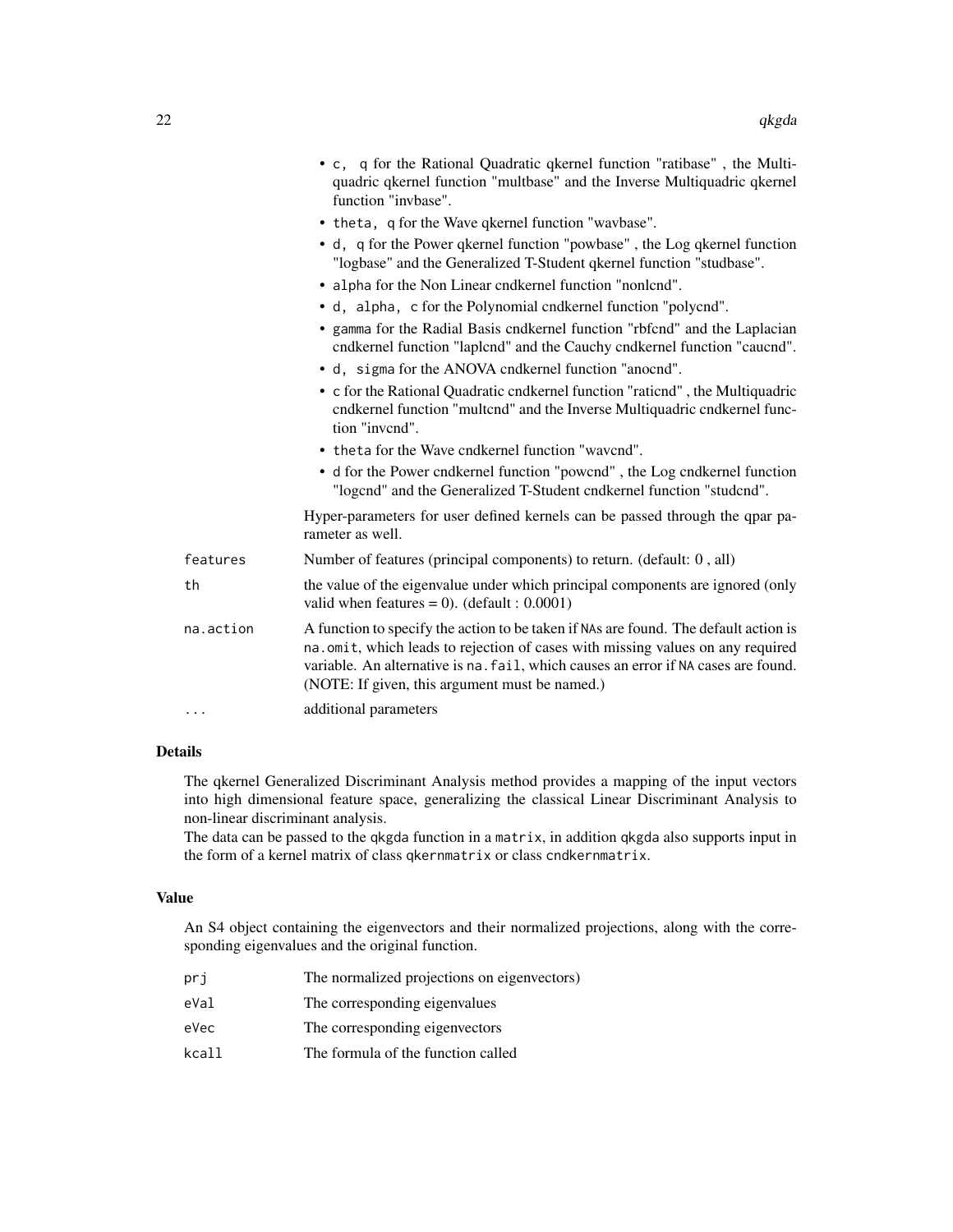|           | • c, q for the Rational Quadratic qkernel function "ratibase", the Multi-<br>quadric qkernel function "multbase" and the Inverse Multiquadric qkernel<br>function "invbase".                                                                                                                                    |
|-----------|-----------------------------------------------------------------------------------------------------------------------------------------------------------------------------------------------------------------------------------------------------------------------------------------------------------------|
|           | • theta, q for the Wave qkernel function "wavbase".                                                                                                                                                                                                                                                             |
|           | • d, q for the Power gkernel function "powbase", the Log gkernel function<br>"logbase" and the Generalized T-Student qkernel function "studbase".                                                                                                                                                               |
|           | • alpha for the Non Linear cndkernel function "nonlcnd".                                                                                                                                                                                                                                                        |
|           | • d, alpha, c for the Polynomial cndkernel function "polycnd".                                                                                                                                                                                                                                                  |
|           | • gamma for the Radial Basis cndkernel function "rbfcnd" and the Laplacian<br>cndkernel function "laplcnd" and the Cauchy cndkernel function "caucnd".                                                                                                                                                          |
|           | • d, sigma for the ANOVA cndkernel function "anocnd".                                                                                                                                                                                                                                                           |
|           | • c for the Rational Quadratic cndkernel function "rationd", the Multiquadric<br>endkernel function "multend" and the Inverse Multiquadric endkernel func-<br>tion "invend".                                                                                                                                    |
|           | • theta for the Wave cndkernel function "wavend".                                                                                                                                                                                                                                                               |
|           | • d for the Power cndkernel function "powend", the Log cndkernel function<br>"logcnd" and the Generalized T-Student cndkernel function "studcnd".                                                                                                                                                               |
|           | Hyper-parameters for user defined kernels can be passed through the qpar pa-<br>rameter as well.                                                                                                                                                                                                                |
| features  | Number of features (principal components) to return. (default: 0, all)                                                                                                                                                                                                                                          |
| th        | the value of the eigenvalue under which principal components are ignored (only<br>valid when features = 0). (default : $0.0001$ )                                                                                                                                                                               |
| na.action | A function to specify the action to be taken if NAs are found. The default action is<br>na. omit, which leads to rejection of cases with missing values on any required<br>variable. An alternative is na. fail, which causes an error if NA cases are found.<br>(NOTE: If given, this argument must be named.) |
| $\cdots$  | additional parameters                                                                                                                                                                                                                                                                                           |

### Details

The qkernel Generalized Discriminant Analysis method provides a mapping of the input vectors into high dimensional feature space, generalizing the classical Linear Discriminant Analysis to non-linear discriminant analysis.

The data can be passed to the qkgda function in a matrix, in addition qkgda also supports input in the form of a kernel matrix of class qkernmatrix or class cndkernmatrix.

### Value

An S4 object containing the eigenvectors and their normalized projections, along with the corresponding eigenvalues and the original function.

| prj   | The normalized projections on eigenvectors) |
|-------|---------------------------------------------|
| eVal  | The corresponding eigenvalues               |
| eVec  | The corresponding eigenvectors              |
| kcall | The formula of the function called          |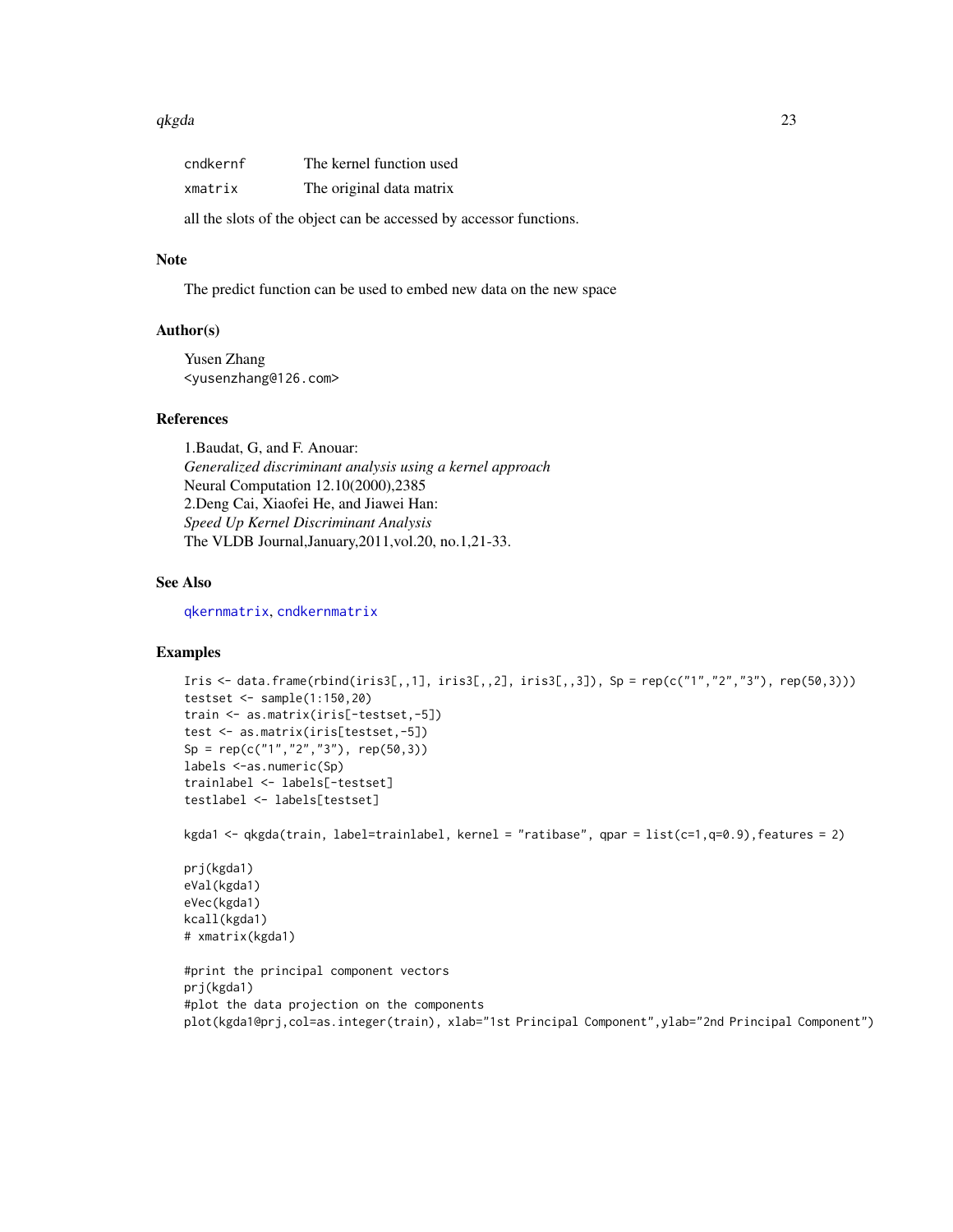#### <span id="page-22-0"></span> $q$ kgda  $q$ a 23

| cndkernf | The kernel function used |
|----------|--------------------------|
| xmatrix  | The original data matrix |

all the slots of the object can be accessed by accessor functions.

### Note

The predict function can be used to embed new data on the new space

### Author(s)

Yusen Zhang <yusenzhang@126.com>

### References

1.Baudat, G, and F. Anouar: *Generalized discriminant analysis using a kernel approach* Neural Computation 12.10(2000),2385 2.Deng Cai, Xiaofei He, and Jiawei Han: *Speed Up Kernel Discriminant Analysis* The VLDB Journal,January,2011,vol.20, no.1,21-33.

#### See Also

[qkernmatrix](#page-18-1), [cndkernmatrix](#page-7-1)

### Examples

```
Iris \le data.frame(rbind(iris3[,,1], iris3[,,2], iris3[,,3]), Sp = rep(c("1","2","3"), rep(50,3)))
testset <- sample(1:150,20)
train <- as.matrix(iris[-testset,-5])
test <- as.matrix(iris[testset,-5])
Sp = rep(c("1", "2", "3"), rep(50,3))labels <-as.numeric(Sp)
trainlabel <- labels[-testset]
testlabel <- labels[testset]
```

```
kgda1 <- qkgda(train, label=trainlabel, kernel = "ratibase", qpar = list(c=1,q=0.9),features = 2)
```

```
prj(kgda1)
eVal(kgda1)
eVec(kgda1)
kcall(kgda1)
# xmatrix(kgda1)
```

```
#print the principal component vectors
prj(kgda1)
#plot the data projection on the components
plot(kgda1@prj,col=as.integer(train), xlab="1st Principal Component",ylab="2nd Principal Component")
```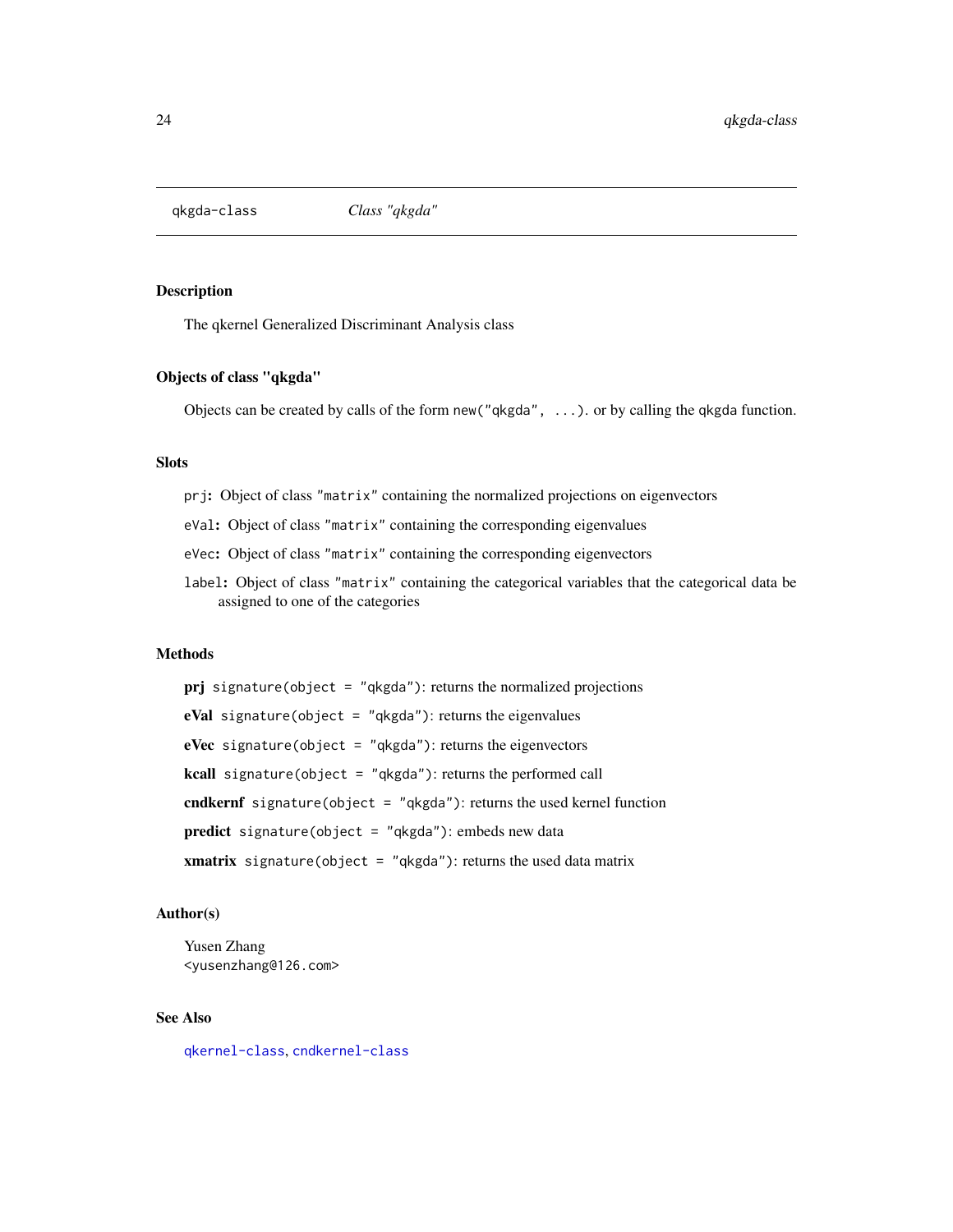<span id="page-23-0"></span>

#### Description

The qkernel Generalized Discriminant Analysis class

### Objects of class "qkgda"

Objects can be created by calls of the form new("qkgda", ...). or by calling the qkgda function.

### Slots

- prj: Object of class "matrix" containing the normalized projections on eigenvectors
- eVal: Object of class "matrix" containing the corresponding eigenvalues
- eVec: Object of class "matrix" containing the corresponding eigenvectors
- label: Object of class "matrix" containing the categorical variables that the categorical data be assigned to one of the categories

### **Methods**

prj signature(object = "qkgda"): returns the normalized projections eVal signature(object = "qkgda"): returns the eigenvalues eVec signature(object = "qkgda"): returns the eigenvectors kcall signature(object = "qkgda"): returns the performed call cndkernf signature(object = "qkgda"): returns the used kernel function predict signature(object = "qkgda"): embeds new data xmatrix signature(object = "qkgda"): returns the used data matrix

### Author(s)

Yusen Zhang <yusenzhang@126.com>

#### See Also

[qkernel-class](#page-16-1), [cndkernel-class](#page-6-1)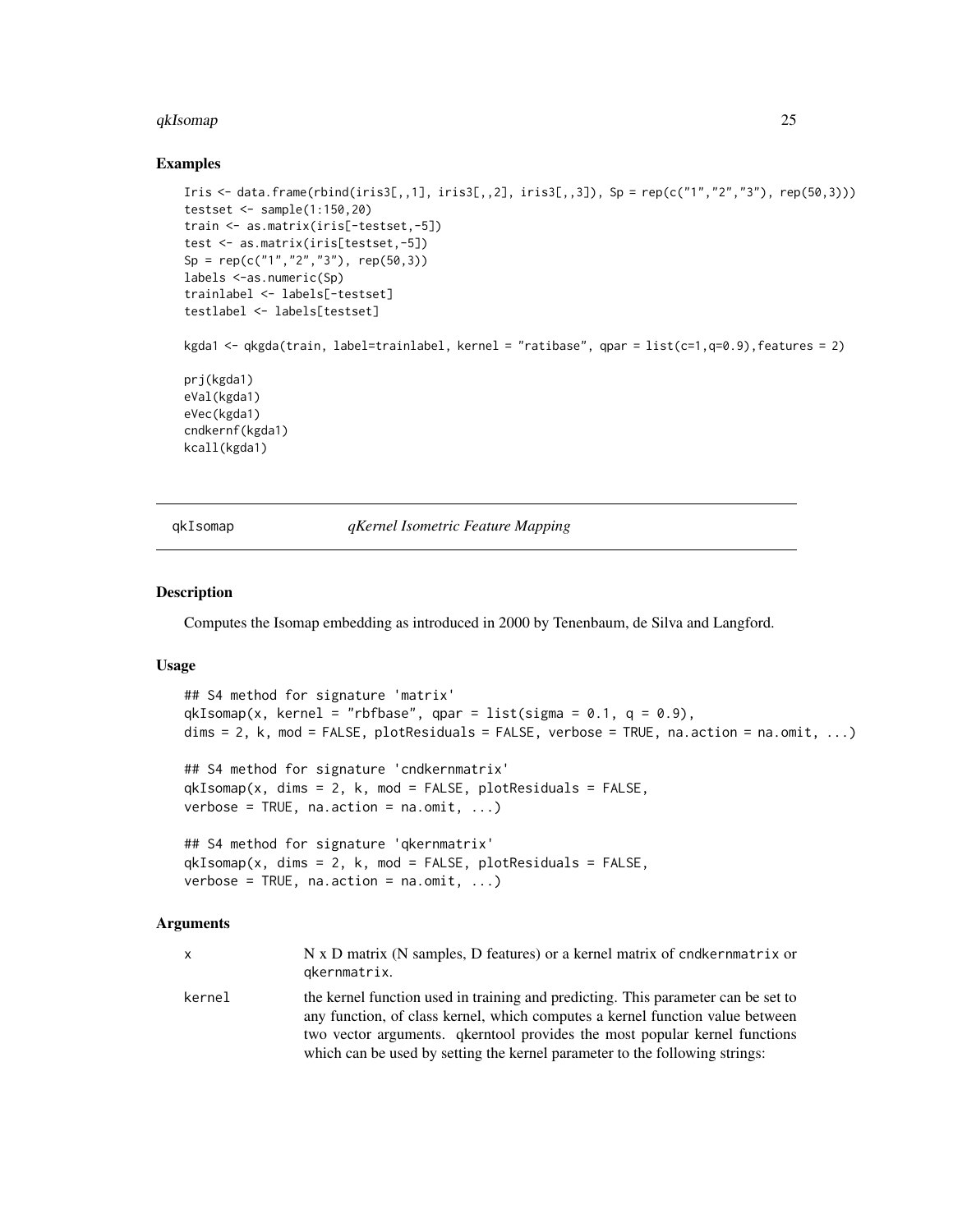#### <span id="page-24-0"></span>qkIsomap 25

#### Examples

```
Iris \le data.frame(rbind(iris3[,,1], iris3[,,2], iris3[,,3]), Sp = rep(c("1","2","3"), rep(50,3)))
testset <- sample(1:150,20)
train <- as.matrix(iris[-testset,-5])
test <- as.matrix(iris[testset,-5])
Sp = rep(c("1", "2", "3"), rep(50,3))labels <-as.numeric(Sp)
trainlabel <- labels[-testset]
testlabel <- labels[testset]
kgda1 <- qkgda(train, label=trainlabel, kernel = "ratibase", qpar = list(c=1,q=0.9),features = 2)
prj(kgda1)
eVal(kgda1)
eVec(kgda1)
cndkernf(kgda1)
kcall(kgda1)
```
<span id="page-24-1"></span>qkIsomap *qKernel Isometric Feature Mapping*

#### Description

Computes the Isomap embedding as introduced in 2000 by Tenenbaum, de Silva and Langford.

### Usage

## S4 method for signature 'matrix'  $qkIsomap(x, kernal = "rbfbase", qpar = list(sigma = 0.1, q = 0.9),$ dims = 2, k, mod = FALSE, plotResiduals = FALSE, verbose = TRUE, na.action = na.omit, ...) ## S4 method for signature 'cndkernmatrix'  $qkIsomap(x, \text{dims} = 2, k, \text{mod} = FALSE, \text{plotResiduals} = FALSE,$  $verbose = TRUE, na.action = na.omit, ...)$ ## S4 method for signature 'qkernmatrix'  $qkIsomap(x, dims = 2, k, mod = FALSE, plotResiduals = FALSE,$  $verbose = TRUE, na.action = na.omit, ...)$ 

#### Arguments

| <b>X</b> | N x D matrix (N samples, D features) or a kernel matrix of cndkernmatrix or<br>gkernmatrix.                                                                        |
|----------|--------------------------------------------------------------------------------------------------------------------------------------------------------------------|
| kernel   | the kernel function used in training and predicting. This parameter can be set to<br>any function, of class kernel, which computes a kernel function value between |
|          | two vector arguments. get a provides the most popular kernel functions<br>which can be used by setting the kernel parameter to the following strings:              |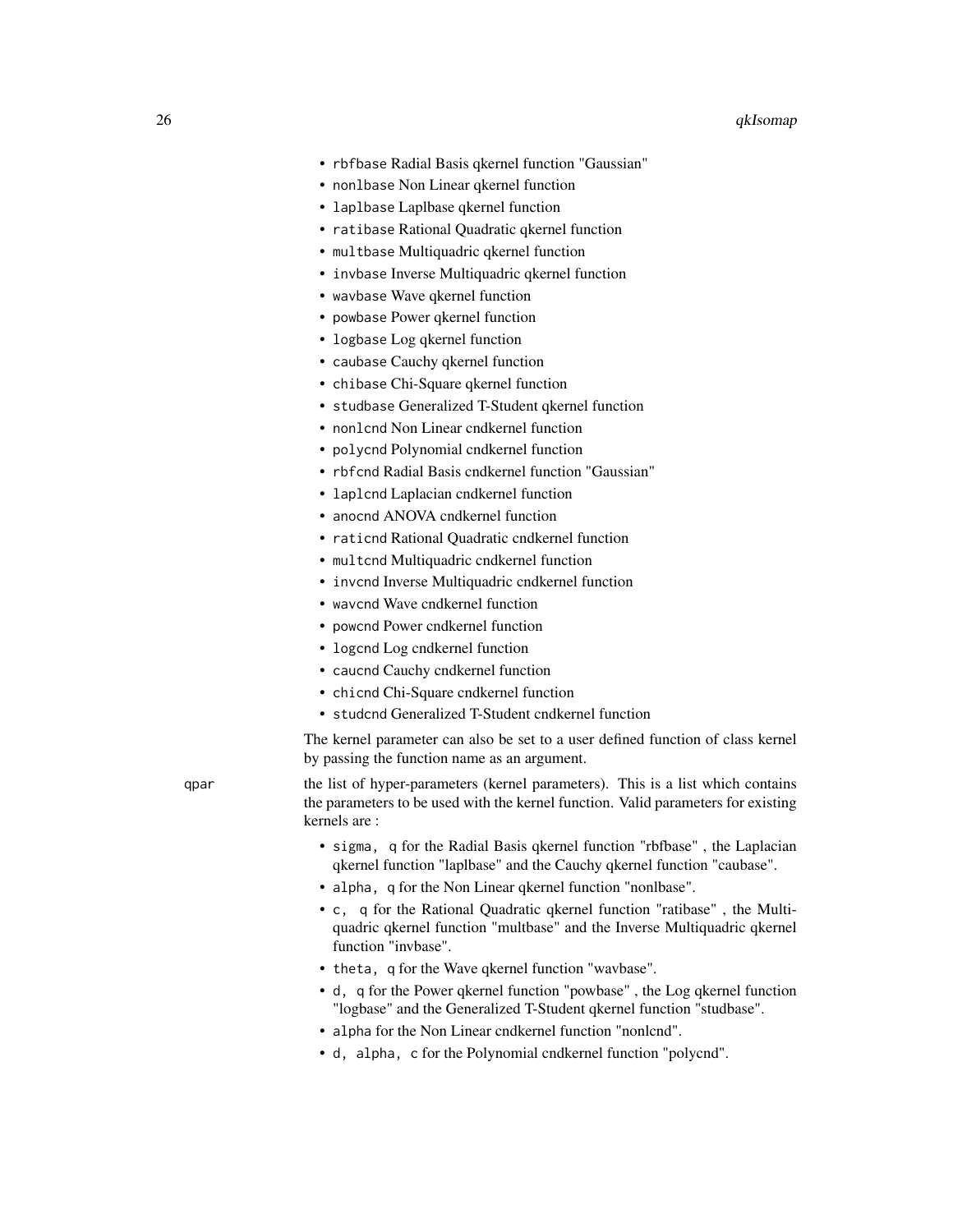- rbfbase Radial Basis qkernel function "Gaussian"
- nonlbase Non Linear qkernel function
- laplbase Laplbase qkernel function
- ratibase Rational Quadratic qkernel function
- multbase Multiquadric qkernel function
- invbase Inverse Multiquadric qkernel function
- wavbase Wave qkernel function
- powbase Power qkernel function
- logbase Log qkernel function
- caubase Cauchy qkernel function
- chibase Chi-Square qkernel function
- studbase Generalized T-Student qkernel function
- nonlcnd Non Linear cndkernel function
- polycnd Polynomial cndkernel function
- rbfcnd Radial Basis cndkernel function "Gaussian"
- laplcnd Laplacian cndkernel function
- anocnd ANOVA cndkernel function
- raticnd Rational Quadratic cndkernel function
- multcnd Multiquadric cndkernel function
- invcnd Inverse Multiquadric cndkernel function
- wavcnd Wave cndkernel function
- powcnd Power cndkernel function
- logcnd Log cndkernel function
- caucnd Cauchy cndkernel function
- chicnd Chi-Square cndkernel function
- studcnd Generalized T-Student cndkernel function

The kernel parameter can also be set to a user defined function of class kernel by passing the function name as an argument.

qpar the list of hyper-parameters (kernel parameters). This is a list which contains the parameters to be used with the kernel function. Valid parameters for existing kernels are :

- sigma, q for the Radial Basis qkernel function "rbfbase" , the Laplacian qkernel function "laplbase" and the Cauchy qkernel function "caubase".
- alpha, q for the Non Linear qkernel function "nonlbase".
- c, q for the Rational Quadratic qkernel function "ratibase" , the Multiquadric qkernel function "multbase" and the Inverse Multiquadric qkernel function "invbase".
- theta, q for the Wave qkernel function "wavbase".
- d, q for the Power qkernel function "powbase" , the Log qkernel function "logbase" and the Generalized T-Student qkernel function "studbase".
- alpha for the Non Linear cndkernel function "nonlcnd".
- d, alpha, c for the Polynomial cndkernel function "polycnd".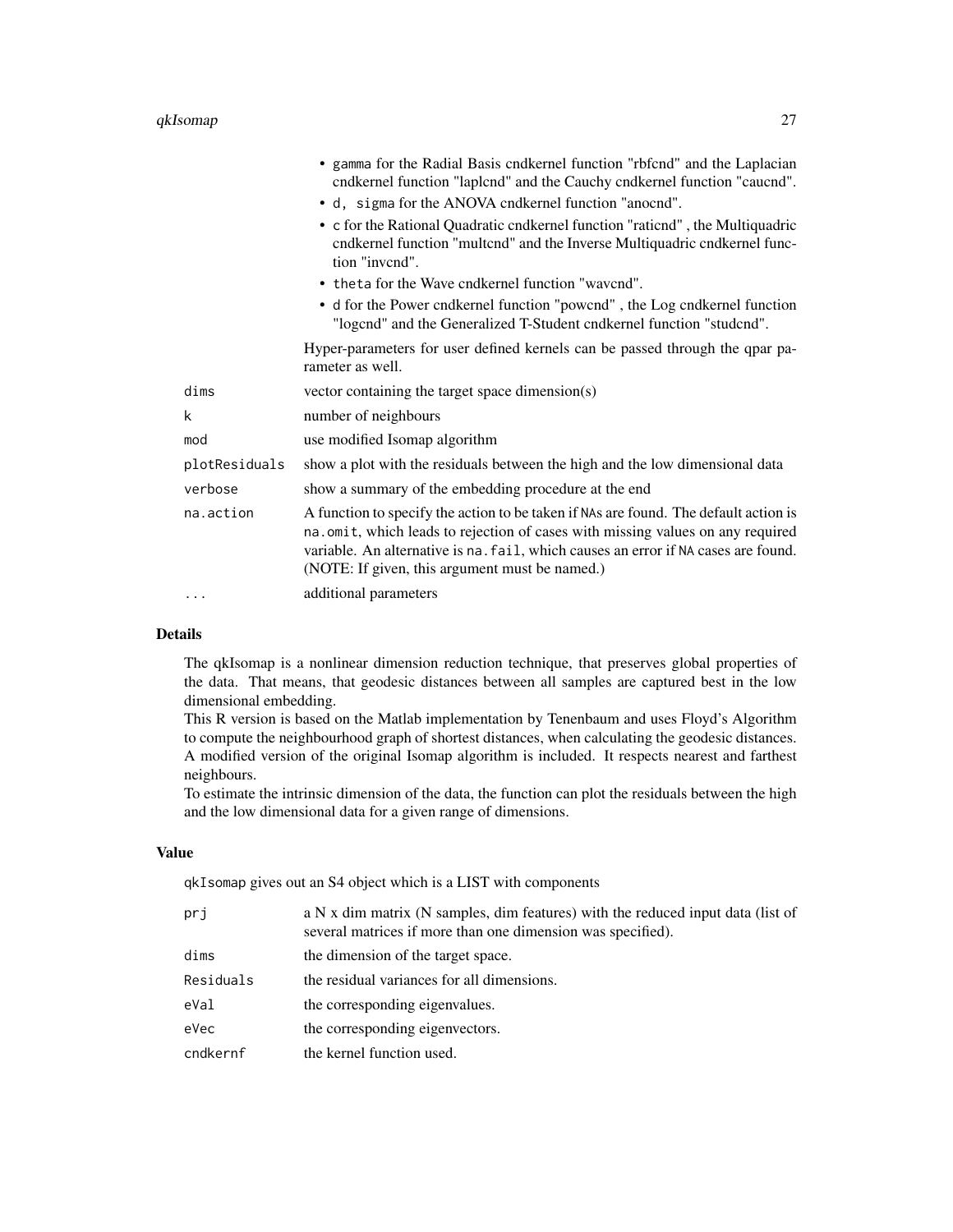|               | • gamma for the Radial Basis cndkernel function "rbfcnd" and the Laplacian<br>cndkernel function "laplcnd" and the Cauchy cndkernel function "caucnd".                                                                                                                                                         |
|---------------|----------------------------------------------------------------------------------------------------------------------------------------------------------------------------------------------------------------------------------------------------------------------------------------------------------------|
|               | • d, sigma for the ANOVA cndkernel function "anocnd".                                                                                                                                                                                                                                                          |
|               | • c for the Rational Quadratic cndkernel function "rationd", the Multiquadric<br>endkernel function "multend" and the Inverse Multiquadric endkernel func-<br>tion "invend".                                                                                                                                   |
|               | • theta for the Wave cndkernel function "wavend".                                                                                                                                                                                                                                                              |
|               | • d for the Power cndkernel function "powend", the Log cndkernel function<br>"logcnd" and the Generalized T-Student cndkernel function "studcnd".                                                                                                                                                              |
|               | Hyper-parameters for user defined kernels can be passed through the qpar pa-<br>rameter as well.                                                                                                                                                                                                               |
| dims          | vector containing the target space dimension(s)                                                                                                                                                                                                                                                                |
| k             | number of neighbours                                                                                                                                                                                                                                                                                           |
| mod           | use modified Isomap algorithm                                                                                                                                                                                                                                                                                  |
| plotResiduals | show a plot with the residuals between the high and the low dimensional data                                                                                                                                                                                                                                   |
| verbose       | show a summary of the embedding procedure at the end                                                                                                                                                                                                                                                           |
| na.action     | A function to specify the action to be taken if NAs are found. The default action is<br>na.omit, which leads to rejection of cases with missing values on any required<br>variable. An alternative is na. fail, which causes an error if NA cases are found.<br>(NOTE: If given, this argument must be named.) |
|               | additional parameters                                                                                                                                                                                                                                                                                          |
|               |                                                                                                                                                                                                                                                                                                                |

### Details

The qkIsomap is a nonlinear dimension reduction technique, that preserves global properties of the data. That means, that geodesic distances between all samples are captured best in the low dimensional embedding.

This R version is based on the Matlab implementation by Tenenbaum and uses Floyd's Algorithm to compute the neighbourhood graph of shortest distances, when calculating the geodesic distances. A modified version of the original Isomap algorithm is included. It respects nearest and farthest neighbours.

To estimate the intrinsic dimension of the data, the function can plot the residuals between the high and the low dimensional data for a given range of dimensions.

#### Value

qkIsomap gives out an S4 object which is a LIST with components

| prj       | a N x dim matrix (N samples, dim features) with the reduced input data (list of<br>several matrices if more than one dimension was specified). |
|-----------|------------------------------------------------------------------------------------------------------------------------------------------------|
| dims      | the dimension of the target space.                                                                                                             |
| Residuals | the residual variances for all dimensions.                                                                                                     |
| eVal      | the corresponding eigenvalues.                                                                                                                 |
| eVec      | the corresponding eigenvectors.                                                                                                                |
| cndkernf  | the kernel function used.                                                                                                                      |
|           |                                                                                                                                                |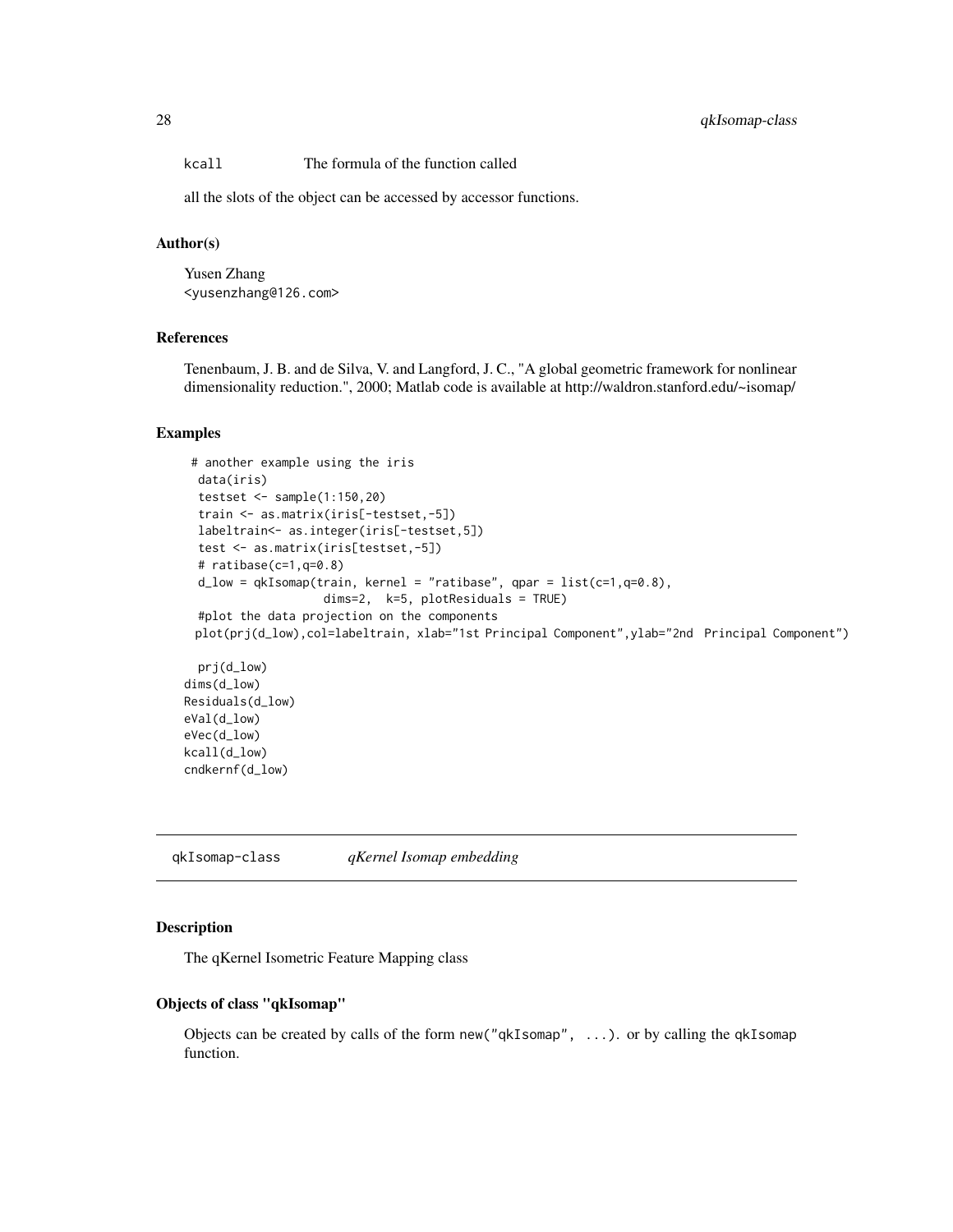### <span id="page-27-0"></span>28 qkIsomap-class

kcall The formula of the function called

all the slots of the object can be accessed by accessor functions.

#### Author(s)

Yusen Zhang <yusenzhang@126.com>

### References

Tenenbaum, J. B. and de Silva, V. and Langford, J. C., "A global geometric framework for nonlinear dimensionality reduction.", 2000; Matlab code is available at http://waldron.stanford.edu/~isomap/

#### Examples

```
# another example using the iris
data(iris)
testset <- sample(1:150,20)
train <- as.matrix(iris[-testset,-5])
labeltrain<- as.integer(iris[-testset,5])
test <- as.matrix(iris[testset,-5])
# ratibase(c=1,q=0.8)
d_low = qkIsomap(train, kernel = "ratibase", qpar = list(c=1,q=0.8),
                   dims=2, k=5, plotResiduals = TRUE)
#plot the data projection on the components
plot(prj(d_low),col=labeltrain, xlab="1st Principal Component",ylab="2nd Principal Component")
```

```
prj(d_low)
dims(d_low)
Residuals(d_low)
eVal(d_low)
eVec(d_low)
kcall(d_low)
cndkernf(d_low)
```
qkIsomap-class *qKernel Isomap embedding*

#### Description

The qKernel Isometric Feature Mapping class

#### Objects of class "qkIsomap"

Objects can be created by calls of the form new("qkIsomap", ...). or by calling the qkIsomap function.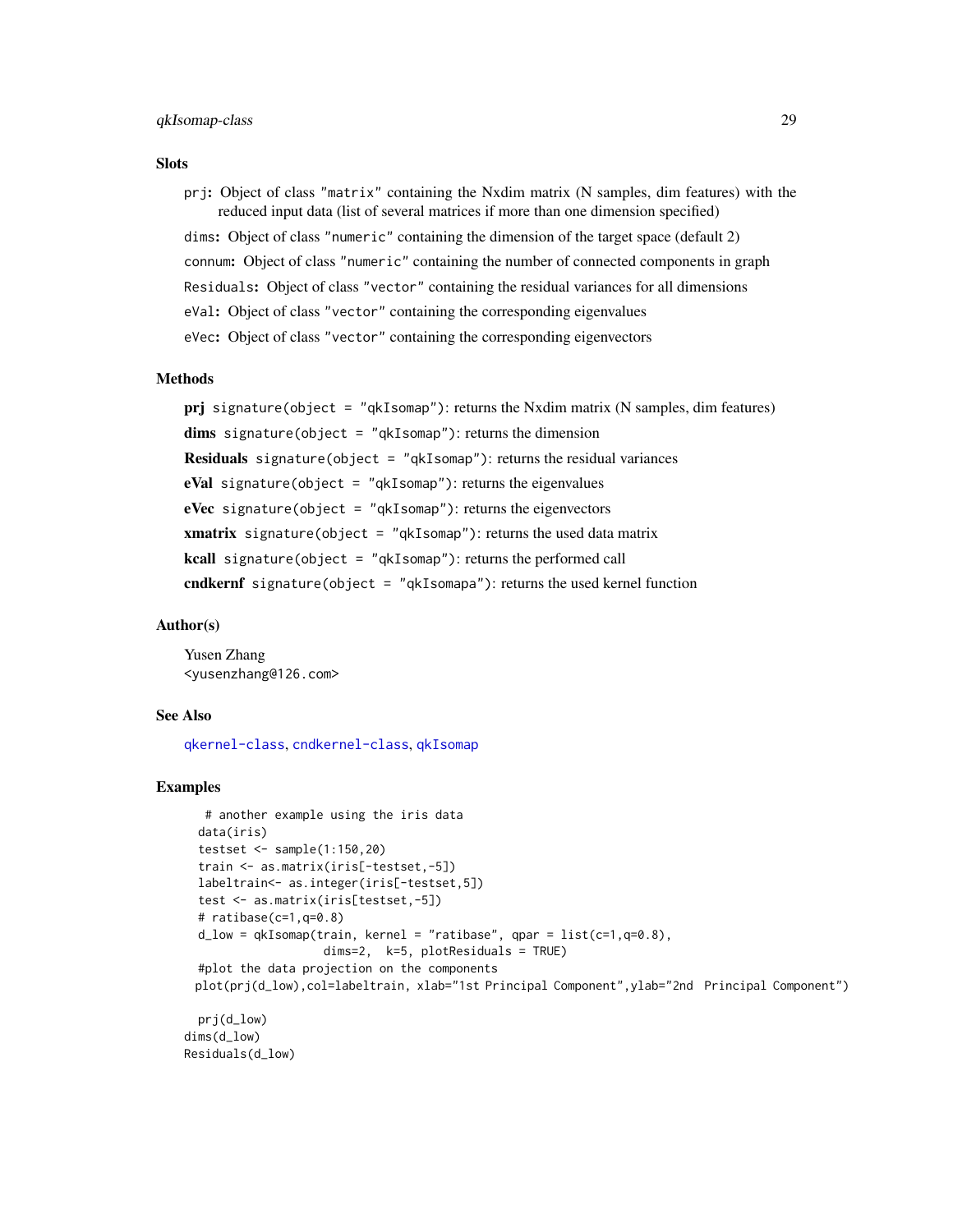#### <span id="page-28-0"></span>**Slots**

prj: Object of class "matrix" containing the Nxdim matrix (N samples, dim features) with the reduced input data (list of several matrices if more than one dimension specified) dims: Object of class "numeric" containing the dimension of the target space (default 2) connum: Object of class "numeric" containing the number of connected components in graph Residuals: Object of class "vector" containing the residual variances for all dimensions eVal: Object of class "vector" containing the corresponding eigenvalues eVec: Object of class "vector" containing the corresponding eigenvectors

### Methods

prj signature(object = "qkIsomap"): returns the Nxdim matrix (N samples, dim features) dims signature(object = "qkIsomap"): returns the dimension **Residuals** signature(object = "qkIsomap"): returns the residual variances eVal signature(object = "qkIsomap"): returns the eigenvalues eVec signature(object = "qkIsomap"): returns the eigenvectors **xmatrix** signature(object = "qkIsomap"): returns the used data matrix **kcall** signature(object = "qkIsomap"): returns the performed call cndkernf signature(object = " $qkI$  somapa"): returns the used kernel function

### Author(s)

Yusen Zhang <yusenzhang@126.com>

#### See Also

[qkernel-class](#page-16-1), [cndkernel-class](#page-6-1), [qkIsomap](#page-24-1)

#### Examples

```
# another example using the iris data
data(iris)
testset <- sample(1:150,20)
train <- as.matrix(iris[-testset,-5])
labeltrain<- as.integer(iris[-testset,5])
test <- as.matrix(iris[testset,-5])
# ratioase(c=1, q=0.8)d_low = qkIsomap(train, kernel = "ratibase", qpar = list(c=1, q=0.8),dims=2, k=5, plotResiduals = TRUE)
#plot the data projection on the components
plot(prj(d_low),col=labeltrain, xlab="1st Principal Component",ylab="2nd Principal Component")
prj(d_low)
```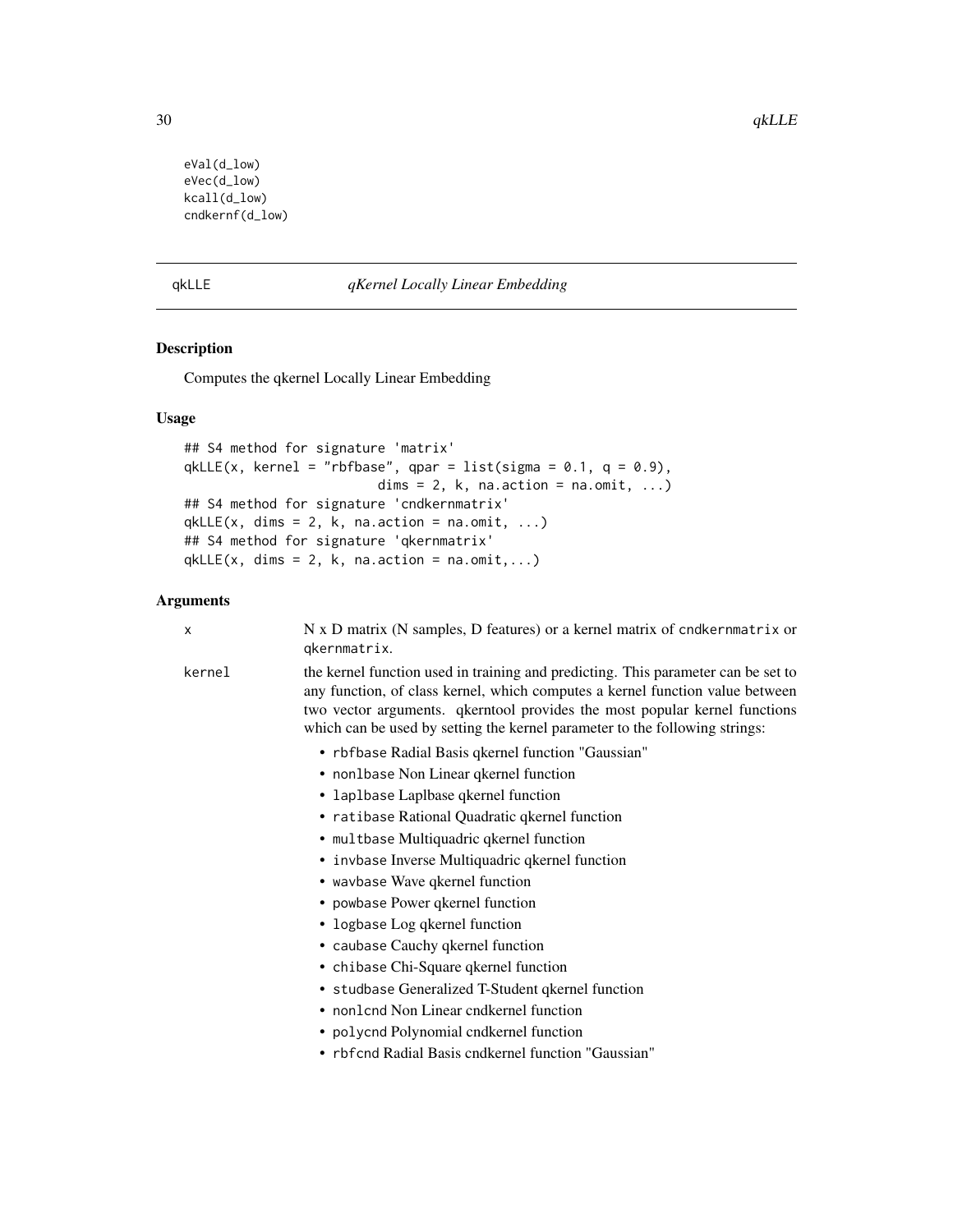```
eVal(d_low)
eVec(d_low)
kcall(d_low)
cndkernf(d_low)
```
### qkLLE *qKernel Locally Linear Embedding*

#### Description

Computes the qkernel Locally Linear Embedding

### Usage

```
## S4 method for signature 'matrix'
qkLLE(x, kernel = "rbfbase", qpar = list(sigma = 0.1, q = 0.9),
                            dims = 2, k, na.action = na.omit, ...)
## S4 method for signature 'cndkernmatrix'
qkLLE(x, \text{dims} = 2, k, \text{na.action} = \text{na.omit}, ...)## S4 method for signature 'qkernmatrix'
qkLLE(x, \text{dims} = 2, k, \text{na.action} = \text{na.omit}, ...)
```
### Arguments

| X      | $N \times D$ matrix (N samples, D features) or a kernel matrix of cndkernmatrix or<br>gkernmatrix.                                                                                                                                                                                                                              |
|--------|---------------------------------------------------------------------------------------------------------------------------------------------------------------------------------------------------------------------------------------------------------------------------------------------------------------------------------|
| kernel | the kernel function used in training and predicting. This parameter can be set to<br>any function, of class kernel, which computes a kernel function value between<br>two vector arguments. qkerntool provides the most popular kernel functions<br>which can be used by setting the kernel parameter to the following strings: |
|        | • rbfbase Radial Basis qkernel function "Gaussian"                                                                                                                                                                                                                                                                              |
|        | • non1base Non Linear qkernel function                                                                                                                                                                                                                                                                                          |
|        | • laplbase Laplbase gkernel function                                                                                                                                                                                                                                                                                            |
|        | • ratibase Rational Quadratic qkernel function                                                                                                                                                                                                                                                                                  |
|        | • multbase Multiquadric qkernel function                                                                                                                                                                                                                                                                                        |
|        | • invbase Inverse Multiquadric qkernel function                                                                                                                                                                                                                                                                                 |
|        | • wavbase Wave qkernel function                                                                                                                                                                                                                                                                                                 |
|        | • powbase Power qkernel function                                                                                                                                                                                                                                                                                                |
|        | • logbase Log qkernel function                                                                                                                                                                                                                                                                                                  |
|        | • caubase Cauchy qkernel function                                                                                                                                                                                                                                                                                               |
|        | • chibase Chi-Square qkernel function                                                                                                                                                                                                                                                                                           |
|        | • studbase Generalized T-Student qkernel function                                                                                                                                                                                                                                                                               |
|        | • non1cnd Non Linear cndkernel function                                                                                                                                                                                                                                                                                         |
|        | • polycnd Polynomial cndkernel function                                                                                                                                                                                                                                                                                         |
|        | • rbfcnd Radial Basis cndkernel function "Gaussian"                                                                                                                                                                                                                                                                             |
|        |                                                                                                                                                                                                                                                                                                                                 |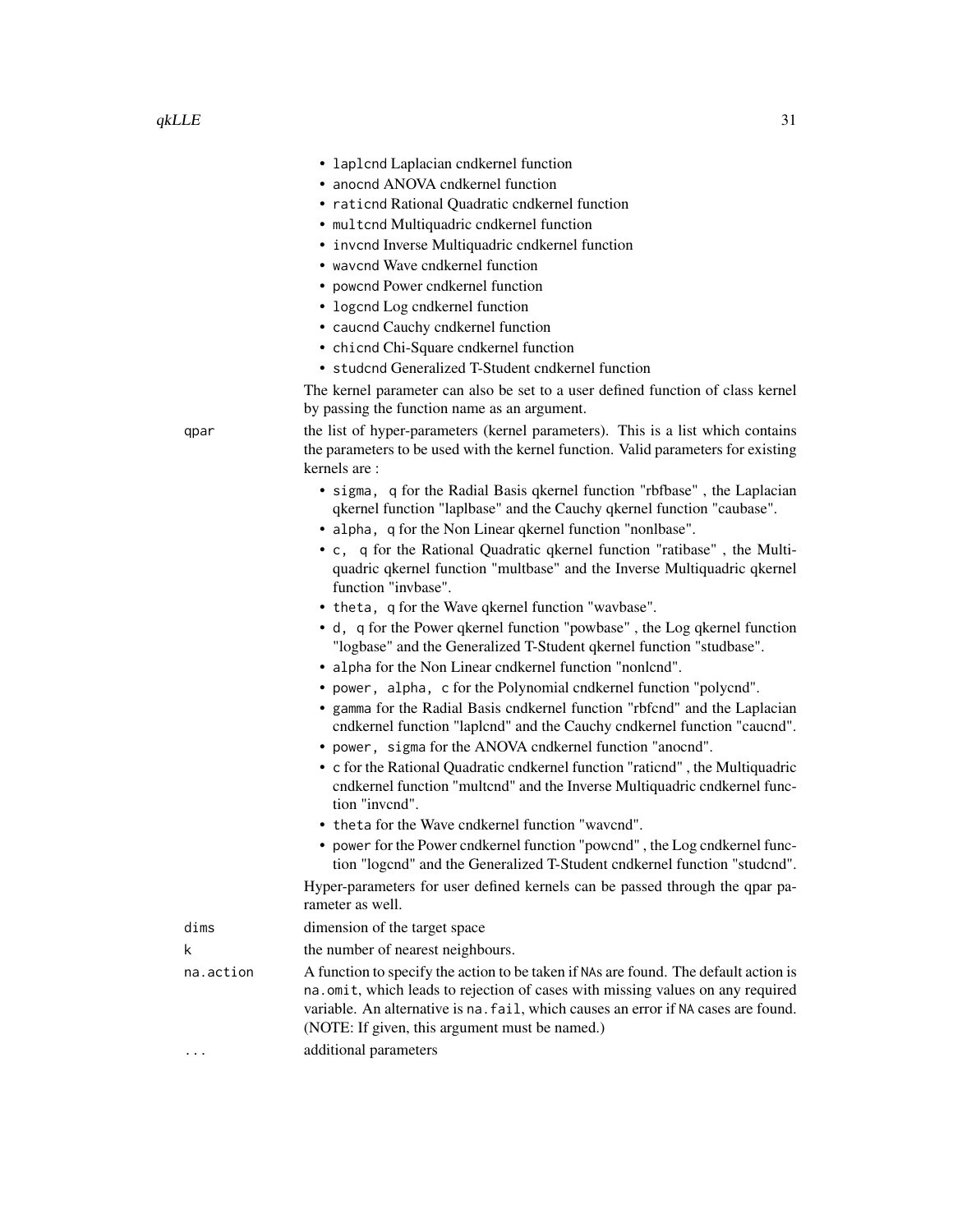- laplcnd Laplacian cndkernel function
- anocnd ANOVA cndkernel function
- raticnd Rational Quadratic cndkernel function
- multcnd Multiquadric cndkernel function
- invcnd Inverse Multiquadric cndkernel function
- wavcnd Wave cndkernel function
- powcnd Power cndkernel function
- logcnd Log cndkernel function
- caucnd Cauchy cndkernel function
- chicnd Chi-Square cndkernel function
- studcnd Generalized T-Student cndkernel function

The kernel parameter can also be set to a user defined function of class kernel by passing the function name as an argument.

qpar the list of hyper-parameters (kernel parameters). This is a list which contains the parameters to be used with the kernel function. Valid parameters for existing kernels are :

- sigma, q for the Radial Basis qkernel function "rbfbase" , the Laplacian qkernel function "laplbase" and the Cauchy qkernel function "caubase".
- alpha, q for the Non Linear qkernel function "nonlbase".
- c, q for the Rational Quadratic qkernel function "ratibase" , the Multiquadric qkernel function "multbase" and the Inverse Multiquadric qkernel function "invbase".
- theta, q for the Wave qkernel function "wavbase".
- d, q for the Power qkernel function "powbase" , the Log qkernel function "logbase" and the Generalized T-Student qkernel function "studbase".
- alpha for the Non Linear cndkernel function "nonlcnd".
- power, alpha, c for the Polynomial cndkernel function "polycnd".
- gamma for the Radial Basis cndkernel function "rbfcnd" and the Laplacian cndkernel function "laplcnd" and the Cauchy cndkernel function "caucnd".
- power, sigma for the ANOVA cndkernel function "anocnd".
- c for the Rational Quadratic cndkernel function "raticnd" , the Multiquadric cndkernel function "multcnd" and the Inverse Multiquadric cndkernel function "invcnd".
- theta for the Wave cndkernel function "wavcnd".
- power for the Power cndkernel function "powcnd" , the Log cndkernel function "logcnd" and the Generalized T-Student cndkernel function "studcnd".

Hyper-parameters for user defined kernels can be passed through the qpar parameter as well.

| dims      | dimension of the target space                                                                                                                                                                                                                                                                                  |
|-----------|----------------------------------------------------------------------------------------------------------------------------------------------------------------------------------------------------------------------------------------------------------------------------------------------------------------|
| k         | the number of nearest neighbours.                                                                                                                                                                                                                                                                              |
| na.action | A function to specify the action to be taken if NAs are found. The default action is<br>na.omit, which leads to rejection of cases with missing values on any required<br>variable. An alternative is na. fail, which causes an error if NA cases are found.<br>(NOTE: If given, this argument must be named.) |
|           | additional parameters                                                                                                                                                                                                                                                                                          |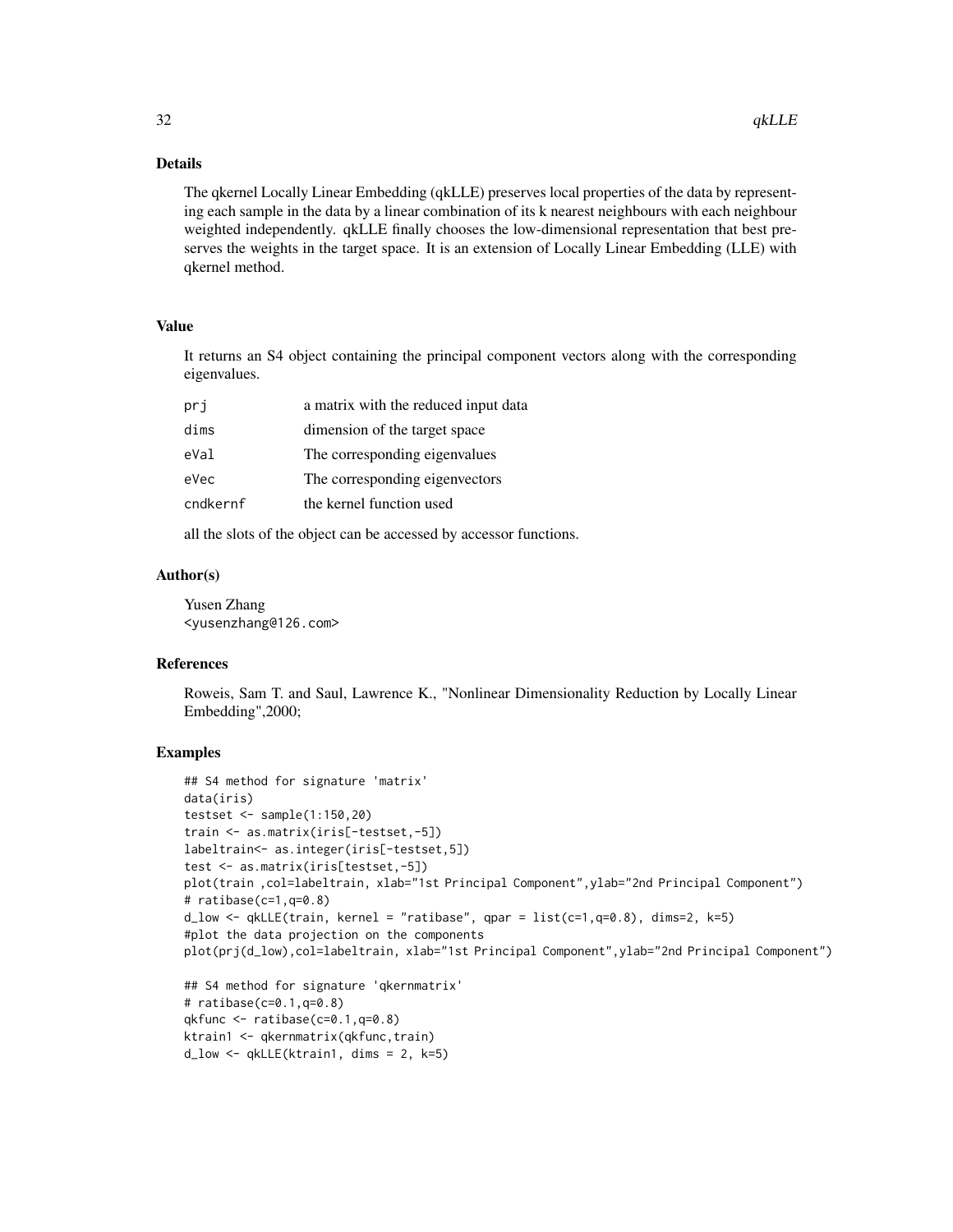#### Details

The qkernel Locally Linear Embedding (qkLLE) preserves local properties of the data by representing each sample in the data by a linear combination of its k nearest neighbours with each neighbour weighted independently. qkLLE finally chooses the low-dimensional representation that best preserves the weights in the target space. It is an extension of Locally Linear Embedding (LLE) with qkernel method.

### Value

It returns an S4 object containing the principal component vectors along with the corresponding eigenvalues.

| prj      | a matrix with the reduced input data |
|----------|--------------------------------------|
| dims     | dimension of the target space        |
| eVal     | The corresponding eigenvalues        |
| eVec     | The corresponding eigenvectors       |
| cndkernf | the kernel function used             |
|          |                                      |

all the slots of the object can be accessed by accessor functions.

#### Author(s)

Yusen Zhang <yusenzhang@126.com>

#### References

Roweis, Sam T. and Saul, Lawrence K., "Nonlinear Dimensionality Reduction by Locally Linear Embedding",2000;

### Examples

```
## S4 method for signature 'matrix'
data(iris)
testset <- sample(1:150,20)
train <- as.matrix(iris[-testset,-5])
labeltrain<- as.integer(iris[-testset,5])
test <- as.matrix(iris[testset,-5])
plot(train ,col=labeltrain, xlab="1st Principal Component",ylab="2nd Principal Component")
# ratibase(c=1,q=0.8)
d_low \leq qkLLE(train, kernel = "ratibase", qpar = list(c=1,q=0.8), dims=2, k=5)
#plot the data projection on the components
plot(prj(d_low),col=labeltrain, xlab="1st Principal Component",ylab="2nd Principal Component")
## S4 method for signature 'qkernmatrix'
# ratibase(c=0.1,q=0.8)
qkfunc <- ratibase(c=0.1,q=0.8)
ktrain1 <- qkernmatrix(qkfunc,train)
d_low <- qkLLE(ktrain1, dims = 2, k=5)
```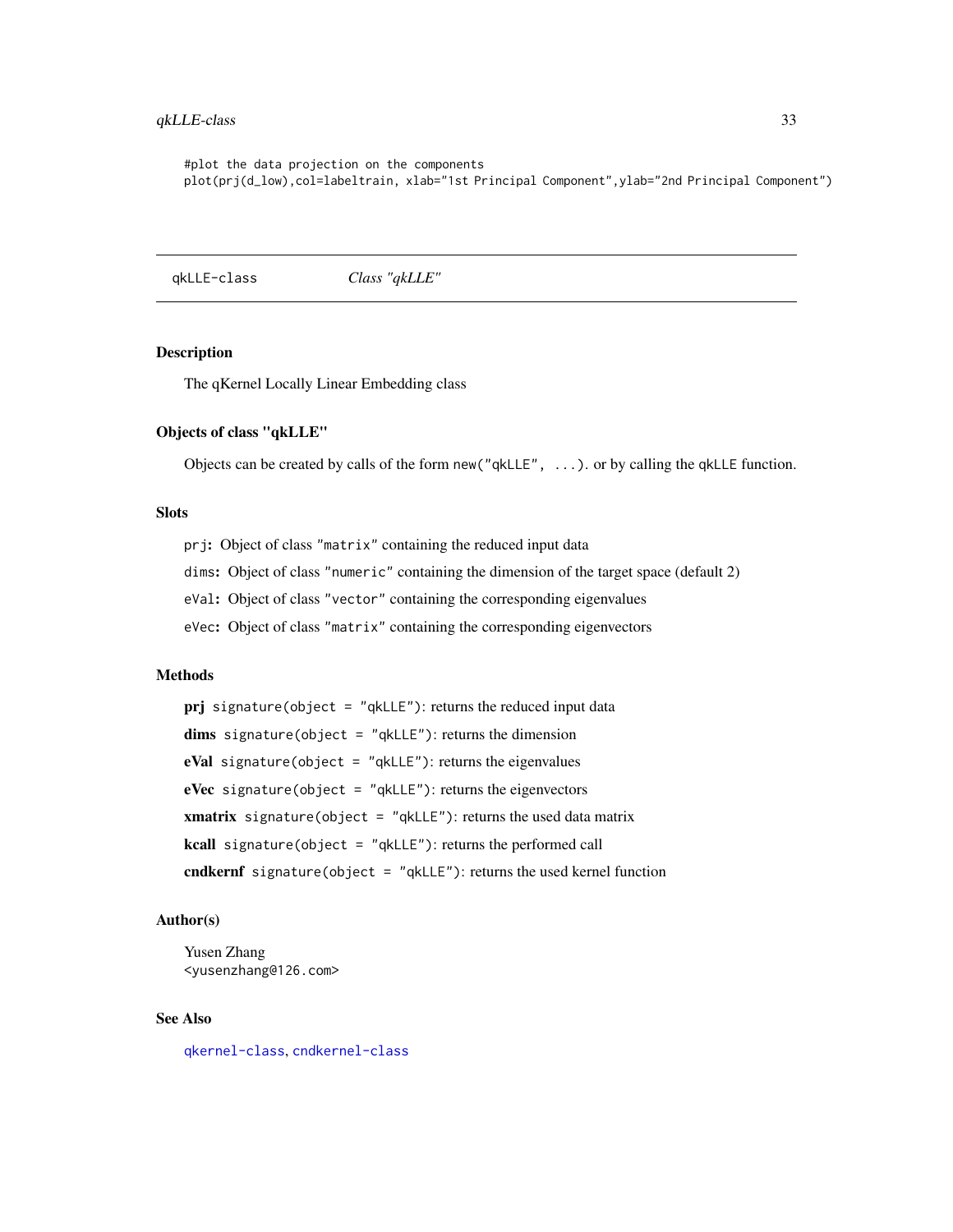<span id="page-32-0"></span>#plot the data projection on the components plot(prj(d\_low),col=labeltrain, xlab="1st Principal Component",ylab="2nd Principal Component")

qkLLE-class *Class "qkLLE"*

#### Description

The qKernel Locally Linear Embedding class

### Objects of class "qkLLE"

Objects can be created by calls of the form  $new("qkLLE", \ldots)$  or by calling the qkLLE function.

#### Slots

prj: Object of class "matrix" containing the reduced input data

dims: Object of class "numeric" containing the dimension of the target space (default 2)

eVal: Object of class "vector" containing the corresponding eigenvalues

eVec: Object of class "matrix" containing the corresponding eigenvectors

### Methods

prj signature(object = "qkLLE"): returns the reduced input data dims signature(object =  $"qkLLE"$ ): returns the dimension eVal signature(object = "qkLLE"): returns the eigenvalues eVec signature(object = "qkLLE"): returns the eigenvectors **xmatrix** signature(object = "qkLLE"): returns the used data matrix kcall signature(object = "qkLLE"): returns the performed call cndkernf signature(object = "qkLLE"): returns the used kernel function

### Author(s)

Yusen Zhang <yusenzhang@126.com>

### See Also

[qkernel-class](#page-16-1), [cndkernel-class](#page-6-1)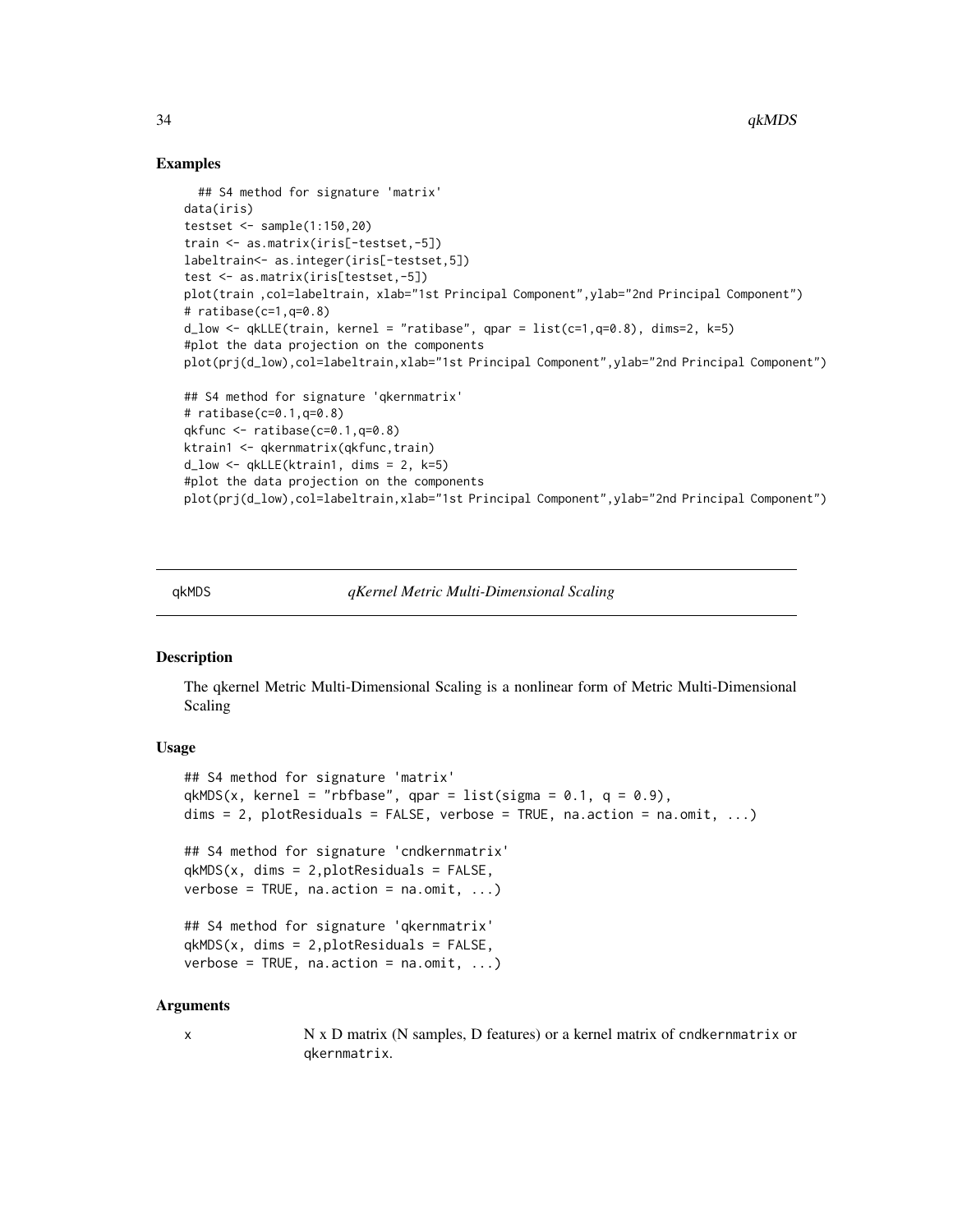### Examples

```
## S4 method for signature 'matrix'
data(iris)
testset <- sample(1:150,20)
train <- as.matrix(iris[-testset,-5])
labeltrain<- as.integer(iris[-testset,5])
test <- as.matrix(iris[testset,-5])
plot(train ,col=labeltrain, xlab="1st Principal Component",ylab="2nd Principal Component")
# ratibase(c=1,q=0.8)
d_low \leq qkLLE(train, kernel = "ratibase", qpar = list(c=1,q=0.8), dims=2, k=5)
#plot the data projection on the components
plot(prj(d_low),col=labeltrain,xlab="1st Principal Component",ylab="2nd Principal Component")
## S4 method for signature 'qkernmatrix'
# ratibase(c=0.1,q=0.8)
qkfunc \leq ratibase(c=0.1,q=0.8)
ktrain1 <- qkernmatrix(qkfunc,train)
d_low \leftarrow qkLLE(ktrain1, \text{ dims} = 2, k=5)#plot the data projection on the components
plot(prj(d_low),col=labeltrain,xlab="1st Principal Component",ylab="2nd Principal Component")
```
<span id="page-33-1"></span>qkMDS *qKernel Metric Multi-Dimensional Scaling*

### Description

The qkernel Metric Multi-Dimensional Scaling is a nonlinear form of Metric Multi-Dimensional Scaling

#### Usage

```
## S4 method for signature 'matrix'
qkMDS(x, kernel = "rbfbase", qpar = list(sigma = 0.1, q = 0.9),dims = 2, plotResiduals = FALSE, verbose = TRUE, na.action = na.omit, ...)
## S4 method for signature 'cndkernmatrix'
qkMDS(x, dims = 2,plotResiduals = FALSE,
verbose = TRUE, na.action = na.omit, ...)## S4 method for signature 'qkernmatrix'
qkMDS(x, dims = 2,plotResiduals = FALSE,
verbose = TRUE, na.action = na.omit, ...)
```
#### Arguments

x N x D matrix (N samples, D features) or a kernel matrix of cndkernmatrix or qkernmatrix.

<span id="page-33-0"></span>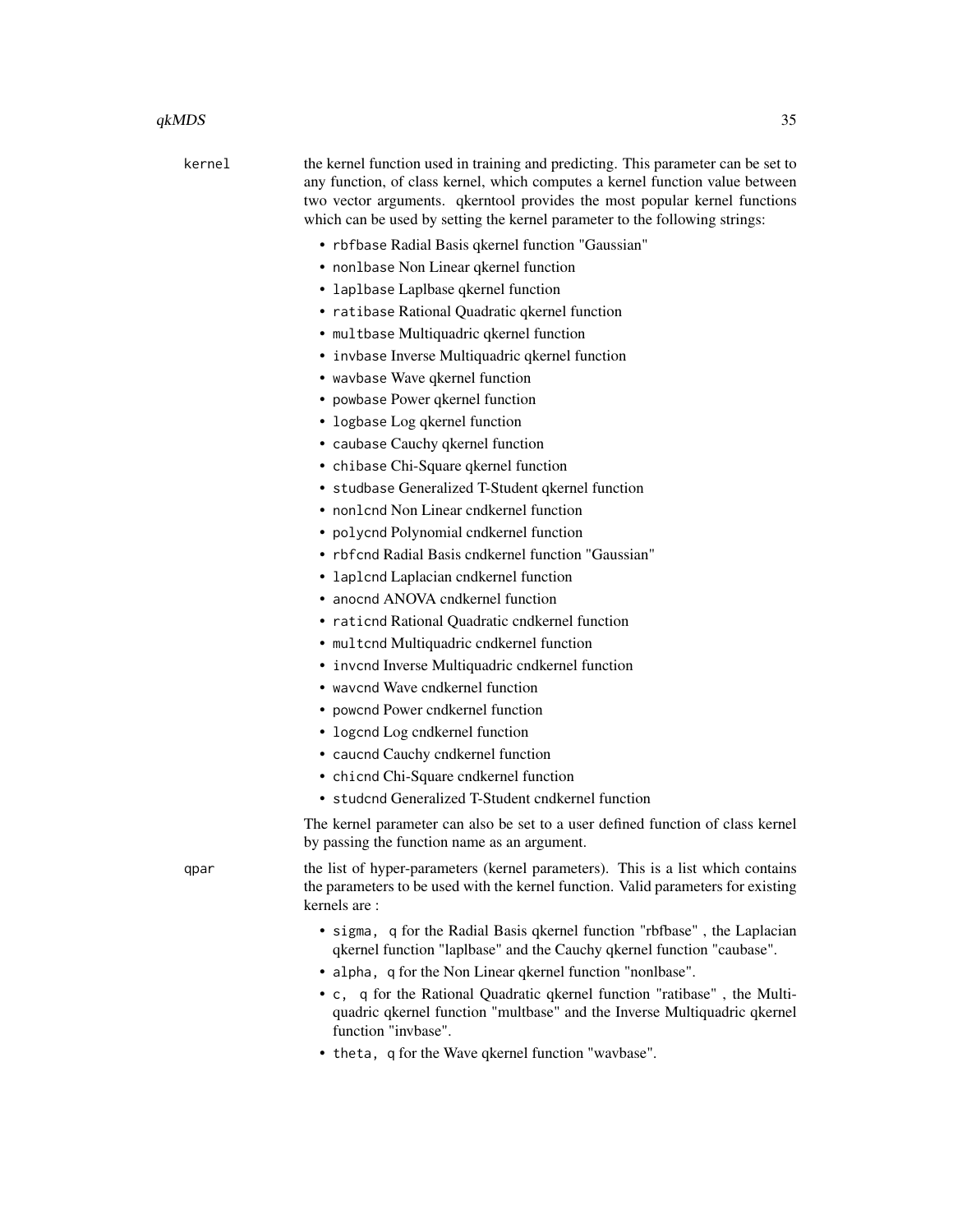#### $qkMDS$  35

| kernel<br>• rbfbase Radial Basis qkernel function "Gaussian"<br>• non1base Non Linear qkernel function<br>• laplbase Laplbase qkernel function<br>• ratibase Rational Quadratic qkernel function<br>· multbase Multiquadric qkernel function<br>• invbase Inverse Multiquadric qkernel function<br>• wavbase Wave qkernel function<br>• powbase Power qkernel function<br>• logbase Log qkernel function<br>• caubase Cauchy qkernel function<br>• chibase Chi-Square qkernel function<br>• studbase Generalized T-Student qkernel function<br>• non1cnd Non Linear cndkernel function<br>· polycnd Polynomial cndkernel function<br>• rbfcnd Radial Basis cndkernel function "Gaussian"<br>• laplcnd Laplacian cndkernel function<br>• anocnd ANOVA cndkernel function<br>• raticnd Rational Quadratic cndkernel function<br>· multcnd Multiquadric cndkernel function<br>• invend Inverse Multiquadric endkernel function<br>• wavend Wave endkernel function<br>• powend Power endkernel function<br>• logcnd Log cndkernel function<br>• caucnd Cauchy cndkernel function<br>• chicnd Chi-Square cndkernel function<br>• studend Generalized T-Student endkernel function<br>by passing the function name as an argument.<br>qpar<br>kernels are:<br>• alpha, q for the Non Linear qkernel function "nonlbase". |                                                                                                                                                                                                                                                                                                                                 |
|---------------------------------------------------------------------------------------------------------------------------------------------------------------------------------------------------------------------------------------------------------------------------------------------------------------------------------------------------------------------------------------------------------------------------------------------------------------------------------------------------------------------------------------------------------------------------------------------------------------------------------------------------------------------------------------------------------------------------------------------------------------------------------------------------------------------------------------------------------------------------------------------------------------------------------------------------------------------------------------------------------------------------------------------------------------------------------------------------------------------------------------------------------------------------------------------------------------------------------------------------------------------------------------------------------------------|---------------------------------------------------------------------------------------------------------------------------------------------------------------------------------------------------------------------------------------------------------------------------------------------------------------------------------|
|                                                                                                                                                                                                                                                                                                                                                                                                                                                                                                                                                                                                                                                                                                                                                                                                                                                                                                                                                                                                                                                                                                                                                                                                                                                                                                                     | the kernel function used in training and predicting. This parameter can be set to<br>any function, of class kernel, which computes a kernel function value between<br>two vector arguments. qkerntool provides the most popular kernel functions<br>which can be used by setting the kernel parameter to the following strings: |
|                                                                                                                                                                                                                                                                                                                                                                                                                                                                                                                                                                                                                                                                                                                                                                                                                                                                                                                                                                                                                                                                                                                                                                                                                                                                                                                     |                                                                                                                                                                                                                                                                                                                                 |
|                                                                                                                                                                                                                                                                                                                                                                                                                                                                                                                                                                                                                                                                                                                                                                                                                                                                                                                                                                                                                                                                                                                                                                                                                                                                                                                     |                                                                                                                                                                                                                                                                                                                                 |
|                                                                                                                                                                                                                                                                                                                                                                                                                                                                                                                                                                                                                                                                                                                                                                                                                                                                                                                                                                                                                                                                                                                                                                                                                                                                                                                     |                                                                                                                                                                                                                                                                                                                                 |
|                                                                                                                                                                                                                                                                                                                                                                                                                                                                                                                                                                                                                                                                                                                                                                                                                                                                                                                                                                                                                                                                                                                                                                                                                                                                                                                     |                                                                                                                                                                                                                                                                                                                                 |
|                                                                                                                                                                                                                                                                                                                                                                                                                                                                                                                                                                                                                                                                                                                                                                                                                                                                                                                                                                                                                                                                                                                                                                                                                                                                                                                     |                                                                                                                                                                                                                                                                                                                                 |
|                                                                                                                                                                                                                                                                                                                                                                                                                                                                                                                                                                                                                                                                                                                                                                                                                                                                                                                                                                                                                                                                                                                                                                                                                                                                                                                     |                                                                                                                                                                                                                                                                                                                                 |
|                                                                                                                                                                                                                                                                                                                                                                                                                                                                                                                                                                                                                                                                                                                                                                                                                                                                                                                                                                                                                                                                                                                                                                                                                                                                                                                     |                                                                                                                                                                                                                                                                                                                                 |
|                                                                                                                                                                                                                                                                                                                                                                                                                                                                                                                                                                                                                                                                                                                                                                                                                                                                                                                                                                                                                                                                                                                                                                                                                                                                                                                     |                                                                                                                                                                                                                                                                                                                                 |
|                                                                                                                                                                                                                                                                                                                                                                                                                                                                                                                                                                                                                                                                                                                                                                                                                                                                                                                                                                                                                                                                                                                                                                                                                                                                                                                     |                                                                                                                                                                                                                                                                                                                                 |
|                                                                                                                                                                                                                                                                                                                                                                                                                                                                                                                                                                                                                                                                                                                                                                                                                                                                                                                                                                                                                                                                                                                                                                                                                                                                                                                     |                                                                                                                                                                                                                                                                                                                                 |
|                                                                                                                                                                                                                                                                                                                                                                                                                                                                                                                                                                                                                                                                                                                                                                                                                                                                                                                                                                                                                                                                                                                                                                                                                                                                                                                     |                                                                                                                                                                                                                                                                                                                                 |
|                                                                                                                                                                                                                                                                                                                                                                                                                                                                                                                                                                                                                                                                                                                                                                                                                                                                                                                                                                                                                                                                                                                                                                                                                                                                                                                     | The kernel parameter can also be set to a user defined function of class kernel                                                                                                                                                                                                                                                 |
|                                                                                                                                                                                                                                                                                                                                                                                                                                                                                                                                                                                                                                                                                                                                                                                                                                                                                                                                                                                                                                                                                                                                                                                                                                                                                                                     | the list of hyper-parameters (kernel parameters). This is a list which contains<br>the parameters to be used with the kernel function. Valid parameters for existing                                                                                                                                                            |
| function "invbase".                                                                                                                                                                                                                                                                                                                                                                                                                                                                                                                                                                                                                                                                                                                                                                                                                                                                                                                                                                                                                                                                                                                                                                                                                                                                                                 | • sigma, q for the Radial Basis qkernel function "rbfbase", the Laplacian<br>qkernel function "laplbase" and the Cauchy qkernel function "caubase".<br>• c, q for the Rational Quadratic qkernel function "ratibase", the Multi-<br>quadric qkernel function "multbase" and the Inverse Multiquadric qkernel                    |

• theta, q for the Wave qkernel function "wavbase".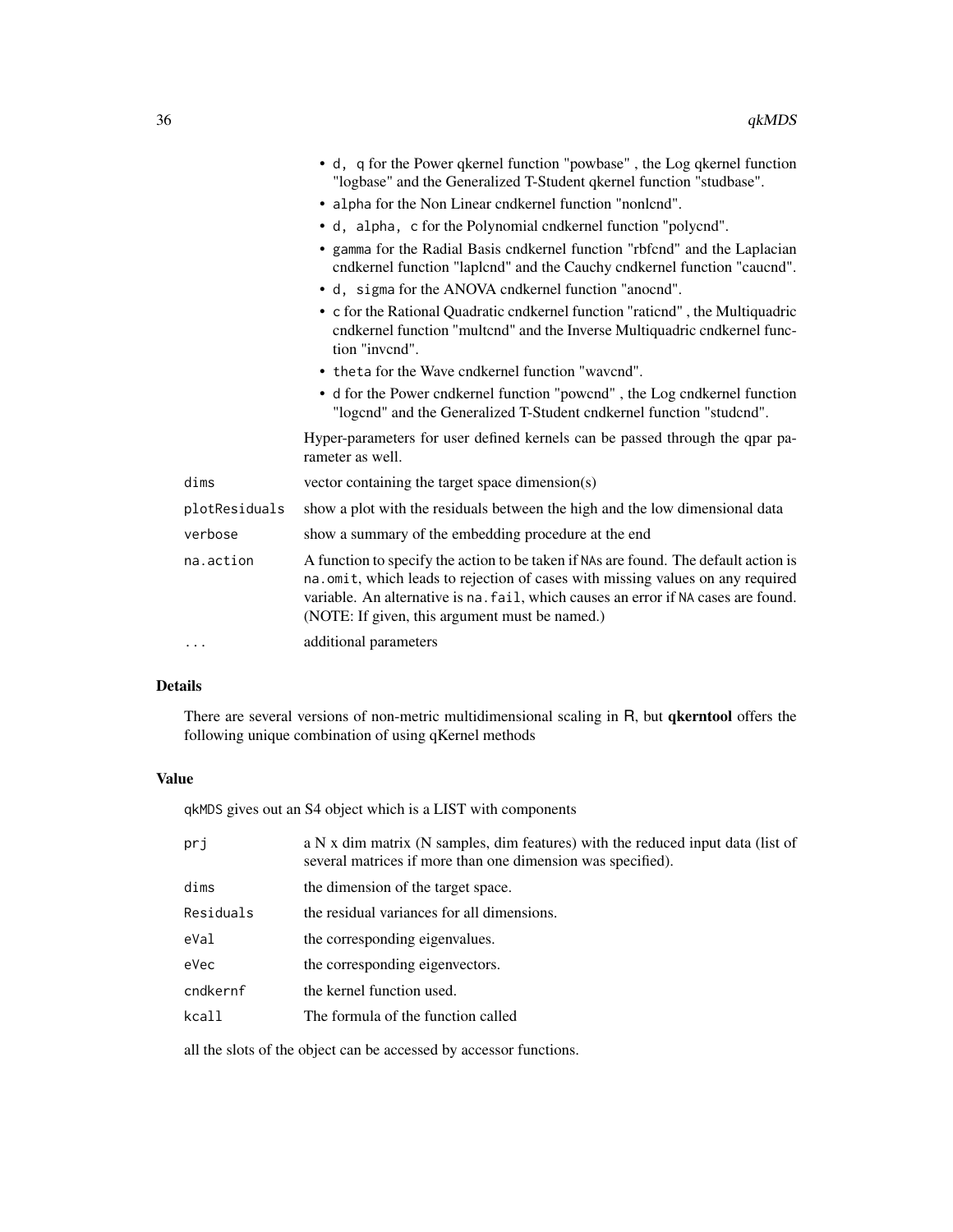|               | • d, q for the Power qkernel function "powbase", the Log qkernel function<br>"logbase" and the Generalized T-Student qkernel function "studbase".                                                                                                                                                              |
|---------------|----------------------------------------------------------------------------------------------------------------------------------------------------------------------------------------------------------------------------------------------------------------------------------------------------------------|
|               | • alpha for the Non Linear cndkernel function "nonlcnd".                                                                                                                                                                                                                                                       |
|               | • d, alpha, c for the Polynomial cndkernel function "polycnd".                                                                                                                                                                                                                                                 |
|               | • gamma for the Radial Basis cndkernel function "rbfcnd" and the Laplacian<br>cndkernel function "laplcnd" and the Cauchy cndkernel function "caucnd".                                                                                                                                                         |
|               | • d, sigma for the ANOVA cndkernel function "anocnd".                                                                                                                                                                                                                                                          |
|               | • c for the Rational Quadratic cndkernel function "rationd", the Multiquadric<br>endkernel function "multend" and the Inverse Multiquadric endkernel func-<br>tion "invend".                                                                                                                                   |
|               | • theta for the Wave cndkernel function "wavend".                                                                                                                                                                                                                                                              |
|               | • d for the Power cndkernel function "powend", the Log cndkernel function<br>"logcnd" and the Generalized T-Student cndkernel function "studcnd".                                                                                                                                                              |
|               | Hyper-parameters for user defined kernels can be passed through the qpar pa-<br>rameter as well.                                                                                                                                                                                                               |
| dims          | vector containing the target space dimension(s)                                                                                                                                                                                                                                                                |
| plotResiduals | show a plot with the residuals between the high and the low dimensional data                                                                                                                                                                                                                                   |
| verbose       | show a summary of the embedding procedure at the end                                                                                                                                                                                                                                                           |
| na.action     | A function to specify the action to be taken if NAs are found. The default action is<br>na.omit, which leads to rejection of cases with missing values on any required<br>variable. An alternative is na. fail, which causes an error if NA cases are found.<br>(NOTE: If given, this argument must be named.) |
| .             | additional parameters                                                                                                                                                                                                                                                                                          |
|               |                                                                                                                                                                                                                                                                                                                |

### Details

There are several versions of non-metric multidimensional scaling in R, but qkerntool offers the following unique combination of using qKernel methods

### Value

qkMDS gives out an S4 object which is a LIST with components

| prj       | a N x dim matrix (N samples, dim features) with the reduced input data (list of<br>several matrices if more than one dimension was specified). |
|-----------|------------------------------------------------------------------------------------------------------------------------------------------------|
| dims      | the dimension of the target space.                                                                                                             |
| Residuals | the residual variances for all dimensions.                                                                                                     |
| eVal      | the corresponding eigenvalues.                                                                                                                 |
| eVec      | the corresponding eigenvectors.                                                                                                                |
| cndkernf  | the kernel function used.                                                                                                                      |
| kcall     | The formula of the function called                                                                                                             |
|           |                                                                                                                                                |

all the slots of the object can be accessed by accessor functions.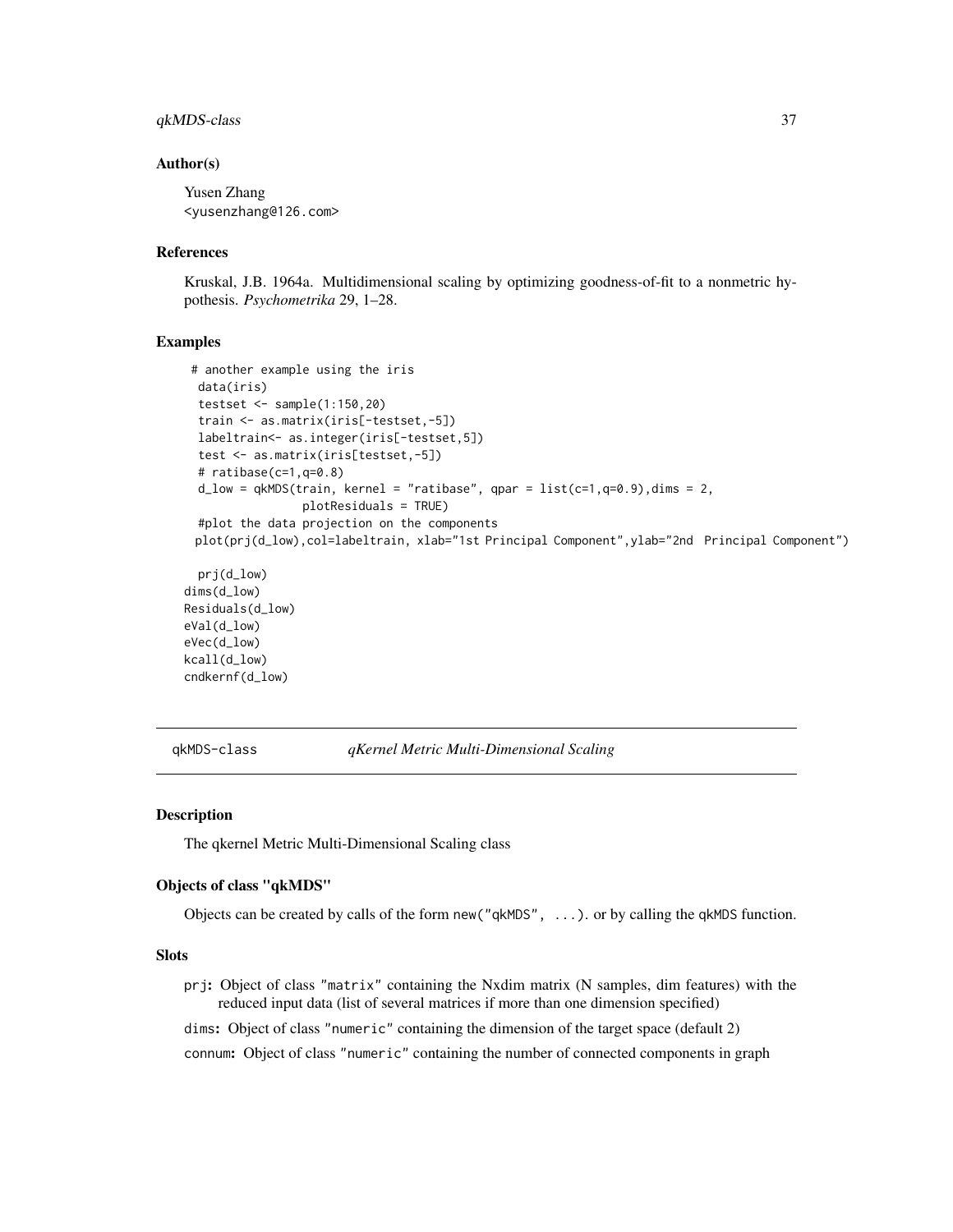### <span id="page-36-0"></span>qkMDS-class 37

#### Author(s)

Yusen Zhang <yusenzhang@126.com>

#### References

Kruskal, J.B. 1964a. Multidimensional scaling by optimizing goodness-of-fit to a nonmetric hypothesis. *Psychometrika* 29, 1–28.

### Examples

```
# another example using the iris
data(iris)
testset <- sample(1:150,20)
train <- as.matrix(iris[-testset,-5])
labeltrain<- as.integer(iris[-testset,5])
test <- as.matrix(iris[testset,-5])
# ratibase(c=1,q=0.8)
d_low = qkMDS(train, kernal = "ratibase", qpar = list(c=1, q=0.9), dims = 2,plotResiduals = TRUE)
#plot the data projection on the components
plot(prj(d_low),col=labeltrain, xlab="1st Principal Component",ylab="2nd Principal Component")
```

```
prj(d_low)
dims(d_low)
Residuals(d_low)
eVal(d_low)
eVec(d_low)
kcall(d_low)
cndkernf(d_low)
```
qkMDS-class *qKernel Metric Multi-Dimensional Scaling*

#### Description

The qkernel Metric Multi-Dimensional Scaling class

### Objects of class "qkMDS"

Objects can be created by calls of the form new("qkMDS", ...). or by calling the qkMDS function.

#### Slots

prj: Object of class "matrix" containing the Nxdim matrix (N samples, dim features) with the reduced input data (list of several matrices if more than one dimension specified)

dims: Object of class "numeric" containing the dimension of the target space (default 2)

connum: Object of class "numeric" containing the number of connected components in graph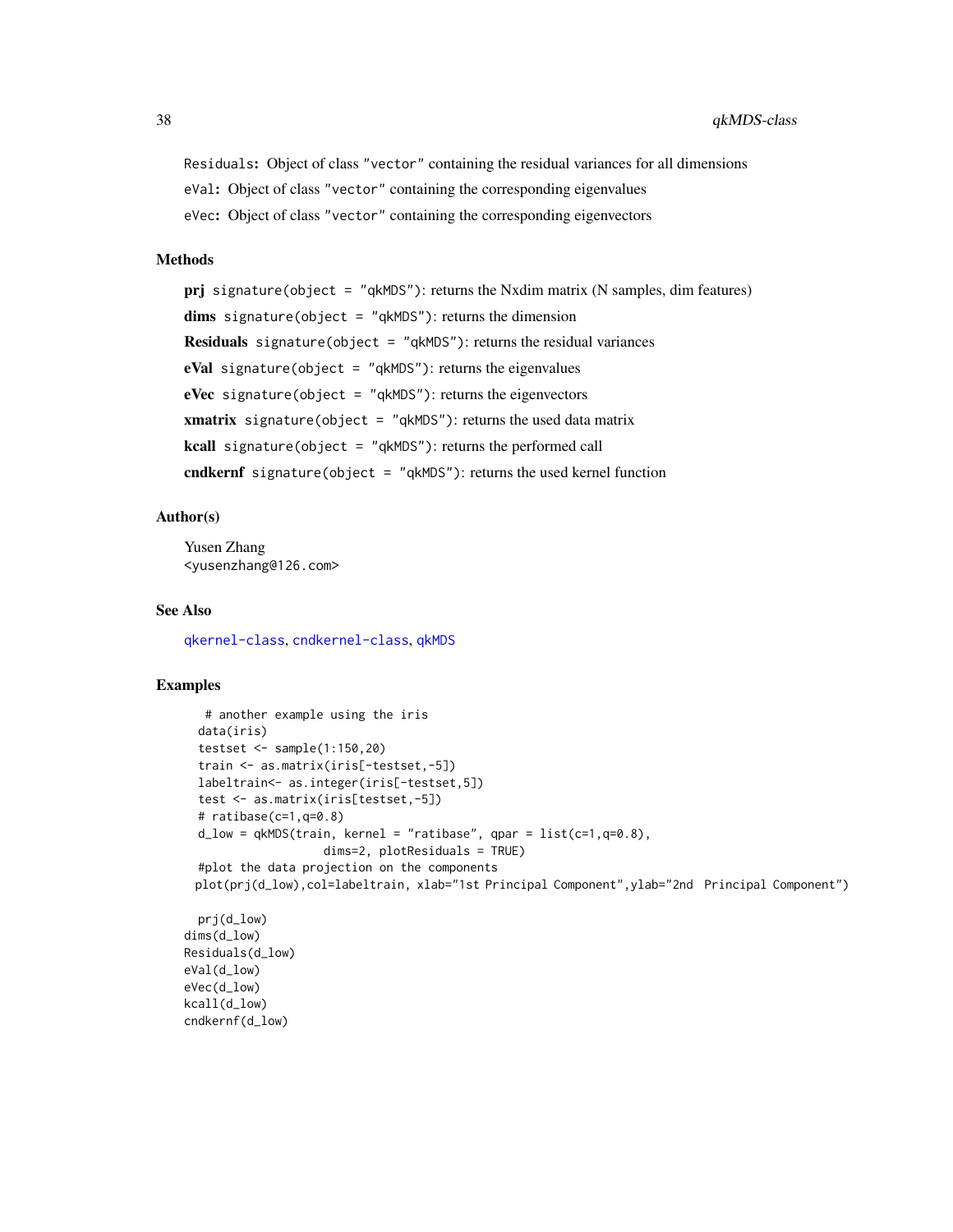<span id="page-37-0"></span>Residuals: Object of class "vector" containing the residual variances for all dimensions eVal: Object of class "vector" containing the corresponding eigenvalues eVec: Object of class "vector" containing the corresponding eigenvectors

### Methods

prj signature(object = "qkMDS"): returns the Nxdim matrix (N samples, dim features) dims signature(object =  $"qkMDS"$ ): returns the dimension **Residuals** signature(object =  $"qkMDS"$ ): returns the residual variances eVal signature(object = "qkMDS"): returns the eigenvalues eVec signature(object = "qkMDS"): returns the eigenvectors **xmatrix** signature(object = "qkMDS"): returns the used data matrix kcall signature(object = "qkMDS"): returns the performed call cndkernf signature(object = "qkMDS"): returns the used kernel function

### Author(s)

Yusen Zhang <yusenzhang@126.com>

### See Also

[qkernel-class](#page-16-1), [cndkernel-class](#page-6-1), [qkMDS](#page-33-1)

#### Examples

```
# another example using the iris
 data(iris)
 testset <- sample(1:150,20)
 train <- as.matrix(iris[-testset,-5])
 labeltrain<- as.integer(iris[-testset,5])
 test <- as.matrix(iris[testset,-5])
 # ratioase(c=1, q=0.8)d_{\text{low}} = q \text{kMDS}(train, kernel = "ratibase", qpar = list(c=1,q=0.8),
                    dims=2, plotResiduals = TRUE)
 #plot the data projection on the components
 plot(prj(d_low),col=labeltrain, xlab="1st Principal Component",ylab="2nd Principal Component")
 prj(d_low)
dims(d_low)
Residuals(d_low)
```
eVal(d\_low) eVec(d\_low) kcall(d\_low) cndkernf(d\_low)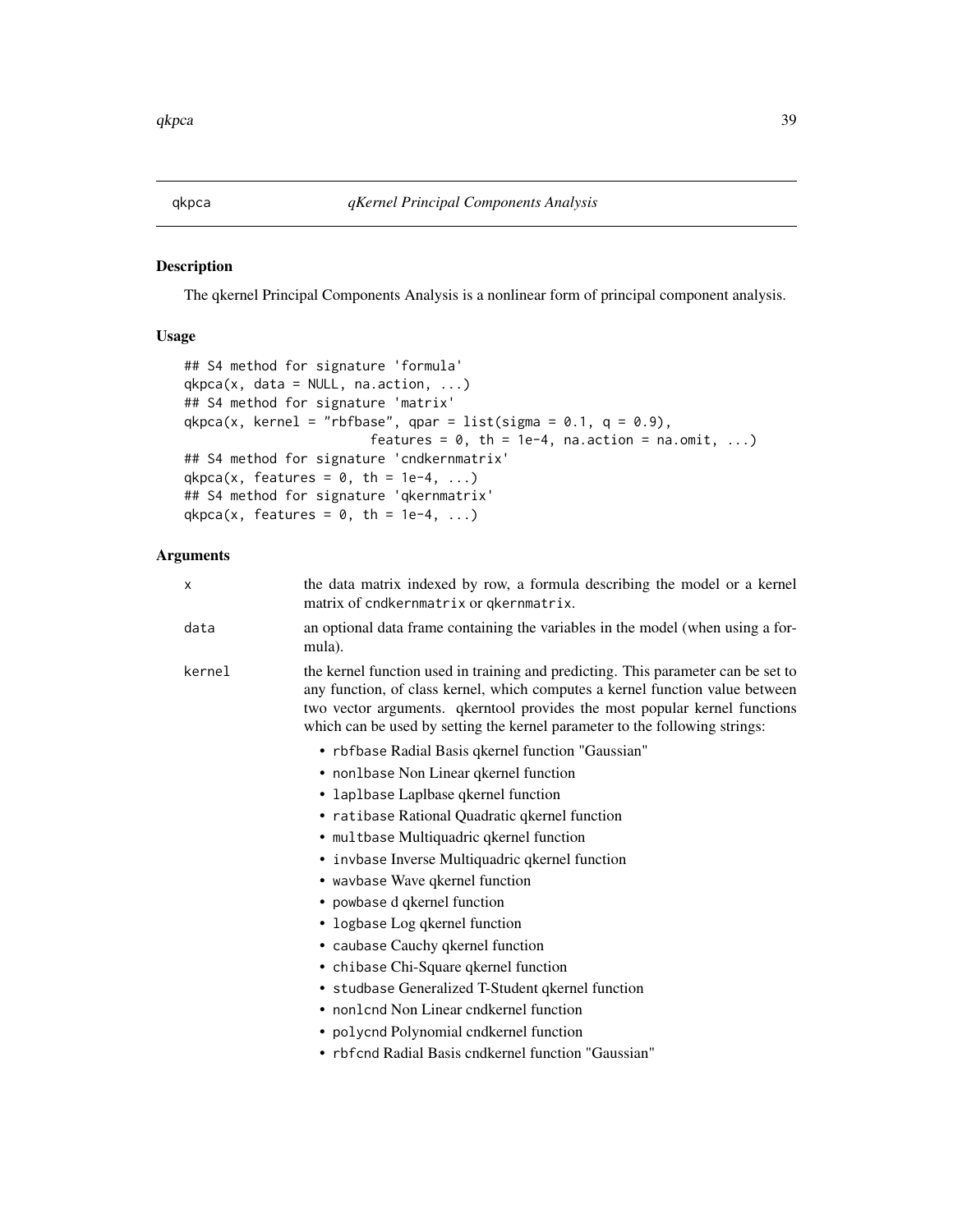### <span id="page-38-1"></span><span id="page-38-0"></span>Description

The qkernel Principal Components Analysis is a nonlinear form of principal component analysis.

### Usage

```
## S4 method for signature 'formula'
qkpca(x, data = NULL, na. action, ...)## S4 method for signature 'matrix'
qkpca(x, kernel = "rbfbase", qpar = list(sigma = 0.1, q = 0.9),features = 0, th = 1e-4, na.action = na.omit, ...)
## S4 method for signature 'cndkernmatrix'
qkpca(x, features = 0, th = 1e-4, ...)## S4 method for signature 'qkernmatrix'
qkpca(x, features = 0, th = 1e-4, ...)
```
### Arguments

| X      | the data matrix indexed by row, a formula describing the model or a kernel<br>matrix of cndkernmatrix or qkernmatrix.                                                                                                                                                                                                           |
|--------|---------------------------------------------------------------------------------------------------------------------------------------------------------------------------------------------------------------------------------------------------------------------------------------------------------------------------------|
| data   | an optional data frame containing the variables in the model (when using a for-<br>mula).                                                                                                                                                                                                                                       |
| kernel | the kernel function used in training and predicting. This parameter can be set to<br>any function, of class kernel, which computes a kernel function value between<br>two vector arguments. qkerntool provides the most popular kernel functions<br>which can be used by setting the kernel parameter to the following strings: |
|        | • rbfbase Radial Basis qkernel function "Gaussian"                                                                                                                                                                                                                                                                              |
|        | • non1base Non Linear qkernel function                                                                                                                                                                                                                                                                                          |
|        | • laplbase Laplbase qkernel function                                                                                                                                                                                                                                                                                            |
|        | • ratibase Rational Quadratic qkernel function                                                                                                                                                                                                                                                                                  |
|        | • multbase Multiquadric gkernel function                                                                                                                                                                                                                                                                                        |
|        | • invbase Inverse Multiquadric qkernel function                                                                                                                                                                                                                                                                                 |
|        | • wavbase Wave qkernel function                                                                                                                                                                                                                                                                                                 |
|        | • powbase d qkernel function                                                                                                                                                                                                                                                                                                    |
|        | • logbase Log qkernel function                                                                                                                                                                                                                                                                                                  |
|        | • caubase Cauchy qkernel function                                                                                                                                                                                                                                                                                               |
|        | • chibase Chi-Square qkernel function                                                                                                                                                                                                                                                                                           |
|        | • studbase Generalized T-Student qkernel function                                                                                                                                                                                                                                                                               |
|        | • non1cnd Non Linear cndkernel function                                                                                                                                                                                                                                                                                         |
|        | • polycnd Polynomial cndkernel function                                                                                                                                                                                                                                                                                         |
|        | • rbfcnd Radial Basis cndkernel function "Gaussian"                                                                                                                                                                                                                                                                             |
|        |                                                                                                                                                                                                                                                                                                                                 |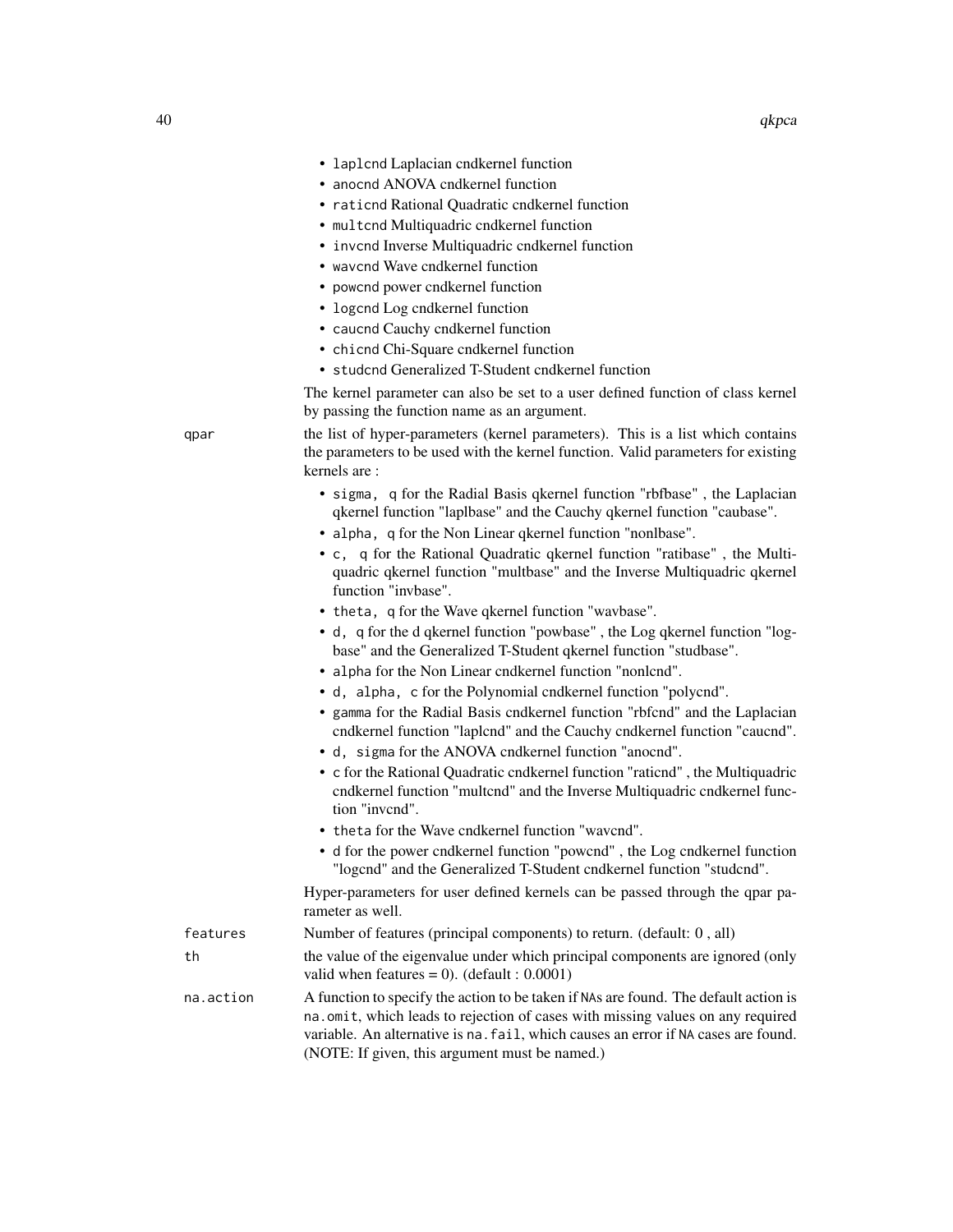- laplcnd Laplacian cndkernel function
- anocnd ANOVA cndkernel function
- raticnd Rational Quadratic cndkernel function
- multcnd Multiquadric cndkernel function
- invcnd Inverse Multiquadric cndkernel function
- wavcnd Wave cndkernel function
- powcnd power cndkernel function
- logcnd Log cndkernel function
- caucnd Cauchy cndkernel function
- chicnd Chi-Square cndkernel function
- studcnd Generalized T-Student cndkernel function

The kernel parameter can also be set to a user defined function of class kernel by passing the function name as an argument.

qpar the list of hyper-parameters (kernel parameters). This is a list which contains the parameters to be used with the kernel function. Valid parameters for existing kernels are :

- sigma, q for the Radial Basis qkernel function "rbfbase" , the Laplacian qkernel function "laplbase" and the Cauchy qkernel function "caubase".
- alpha, q for the Non Linear qkernel function "nonlbase".
- c, q for the Rational Quadratic qkernel function "ratibase" , the Multiquadric qkernel function "multbase" and the Inverse Multiquadric qkernel function "invbase".
- theta, q for the Wave qkernel function "wavbase".
- d, q for the d qkernel function "powbase" , the Log qkernel function "logbase" and the Generalized T-Student qkernel function "studbase".
- alpha for the Non Linear cndkernel function "nonlcnd".
- d, alpha, c for the Polynomial cndkernel function "polycnd".
- gamma for the Radial Basis cndkernel function "rbfcnd" and the Laplacian cndkernel function "laplcnd" and the Cauchy cndkernel function "caucnd".
- d, sigma for the ANOVA cndkernel function "anocnd".
- c for the Rational Quadratic cndkernel function "raticnd" , the Multiquadric cndkernel function "multcnd" and the Inverse Multiquadric cndkernel function "invcnd".
- theta for the Wave cndkernel function "wavcnd".
- d for the power cndkernel function "powcnd" , the Log cndkernel function "logcnd" and the Generalized T-Student cndkernel function "studcnd".

Hyper-parameters for user defined kernels can be passed through the qpar parameter as well.

| features | Number of features (principal components) to return. (default: 0, all) |  |
|----------|------------------------------------------------------------------------|--|
|----------|------------------------------------------------------------------------|--|

th the value of the eigenvalue under which principal components are ignored (only valid when features = 0). (default :  $0.0001$ )

na.action A function to specify the action to be taken if NAs are found. The default action is na.omit, which leads to rejection of cases with missing values on any required variable. An alternative is na.fail, which causes an error if NA cases are found. (NOTE: If given, this argument must be named.)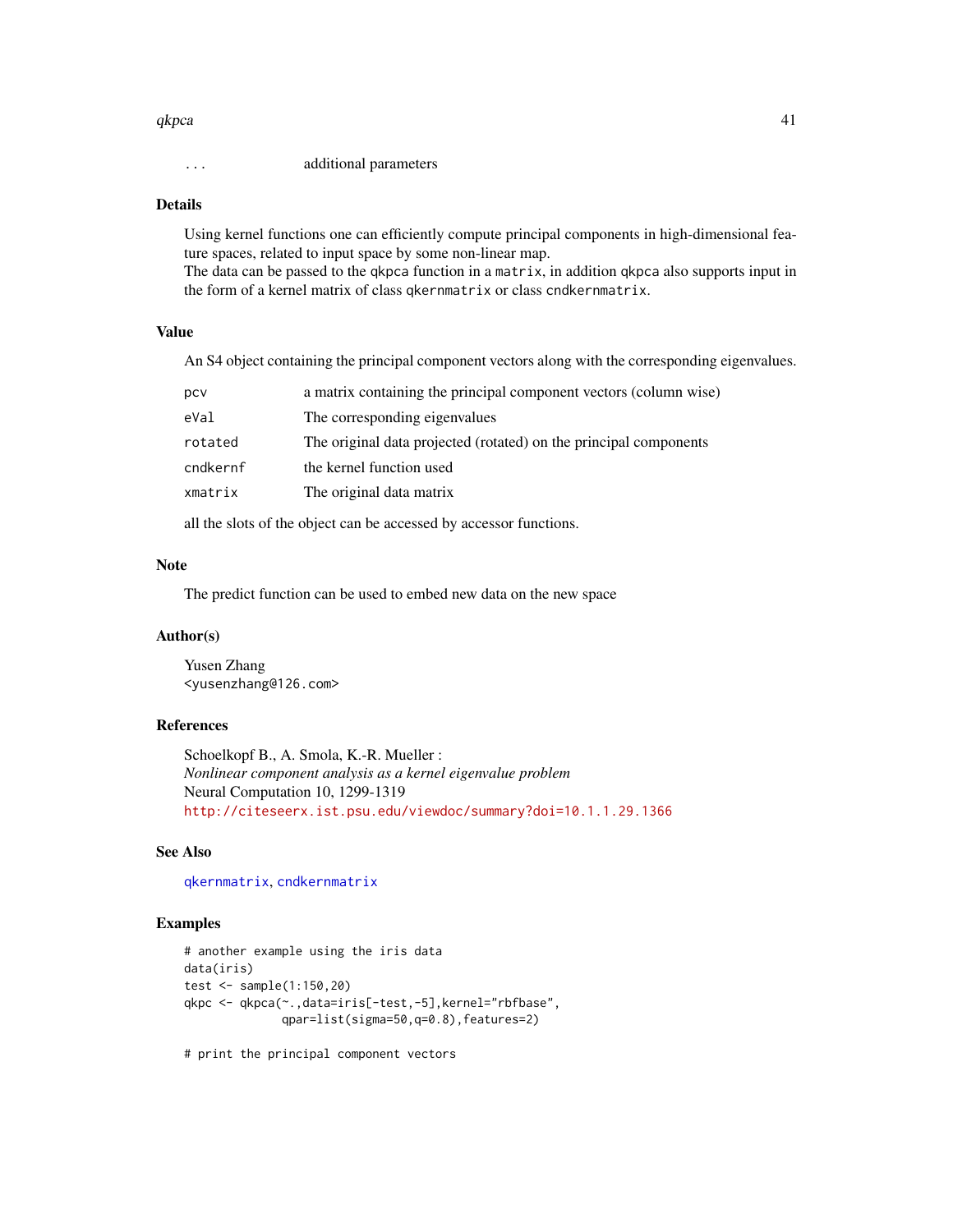#### <span id="page-40-0"></span> $qkpca$  41

... additional parameters

#### Details

Using kernel functions one can efficiently compute principal components in high-dimensional feature spaces, related to input space by some non-linear map.

The data can be passed to the qkpca function in a matrix, in addition qkpca also supports input in the form of a kernel matrix of class qkernmatrix or class cndkernmatrix.

#### Value

An S4 object containing the principal component vectors along with the corresponding eigenvalues.

| pcv      | a matrix containing the principal component vectors (column wise) |
|----------|-------------------------------------------------------------------|
| eVal     | The corresponding eigenvalues                                     |
| rotated  | The original data projected (rotated) on the principal components |
| cndkernf | the kernel function used                                          |
| xmatrix  | The original data matrix                                          |

all the slots of the object can be accessed by accessor functions.

### Note

The predict function can be used to embed new data on the new space

#### Author(s)

Yusen Zhang <yusenzhang@126.com>

#### References

Schoelkopf B., A. Smola, K.-R. Mueller : *Nonlinear component analysis as a kernel eigenvalue problem* Neural Computation 10, 1299-1319 <http://citeseerx.ist.psu.edu/viewdoc/summary?doi=10.1.1.29.1366>

### See Also

[qkernmatrix](#page-18-1), [cndkernmatrix](#page-7-1)

#### Examples

```
# another example using the iris data
data(iris)
test <- sample(1:150,20)
qkpc <- qkpca(~.,data=iris[-test,-5],kernel="rbfbase",
              qpar=list(sigma=50,q=0.8),features=2)
```
# print the principal component vectors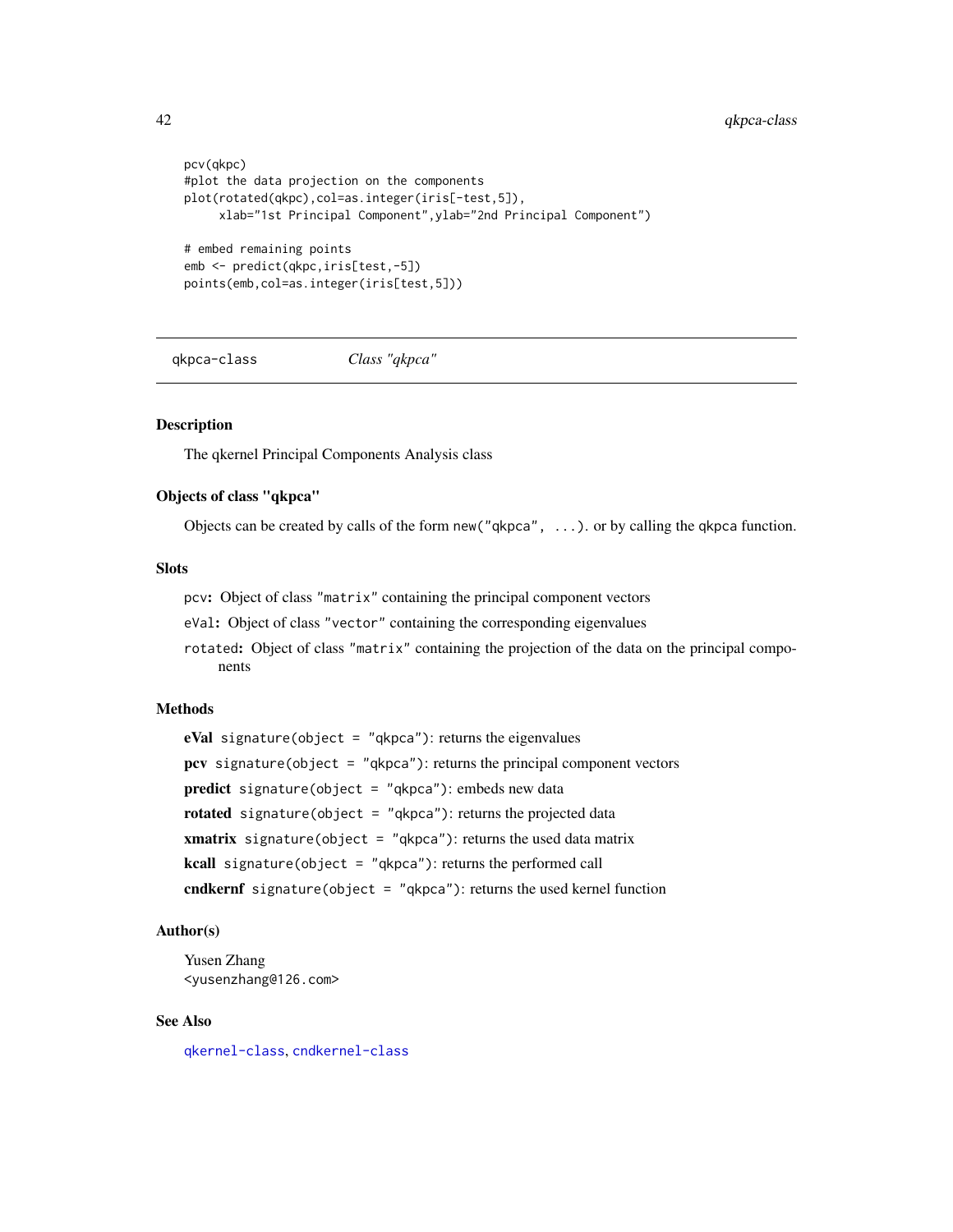```
pcv(qkpc)
#plot the data projection on the components
plot(rotated(qkpc),col=as.integer(iris[-test,5]),
     xlab="1st Principal Component",ylab="2nd Principal Component")
# embed remaining points
emb <- predict(qkpc,iris[test,-5])
points(emb,col=as.integer(iris[test,5]))
```
qkpca-class *Class "qkpca"*

### Description

The qkernel Principal Components Analysis class

### Objects of class "qkpca"

Objects can be created by calls of the form  $new("qkpca", \ldots)$  or by calling the qkpca function.

### **Slots**

pcv: Object of class "matrix" containing the principal component vectors

eVal: Object of class "vector" containing the corresponding eigenvalues

rotated: Object of class "matrix" containing the projection of the data on the principal components

#### Methods

eVal signature(object = "qkpca"): returns the eigenvalues  $pcv$  signature(object = "qkpca"): returns the principal component vectors predict signature(object = "qkpca"): embeds new data rotated signature(object = "qkpca"): returns the projected data xmatrix signature(object = "qkpca"): returns the used data matrix kcall signature(object = "qkpca"): returns the performed call cndkernf signature(object = "qkpca"): returns the used kernel function

### Author(s)

Yusen Zhang <yusenzhang@126.com>

#### See Also

[qkernel-class](#page-16-1), [cndkernel-class](#page-6-1)

<span id="page-41-0"></span>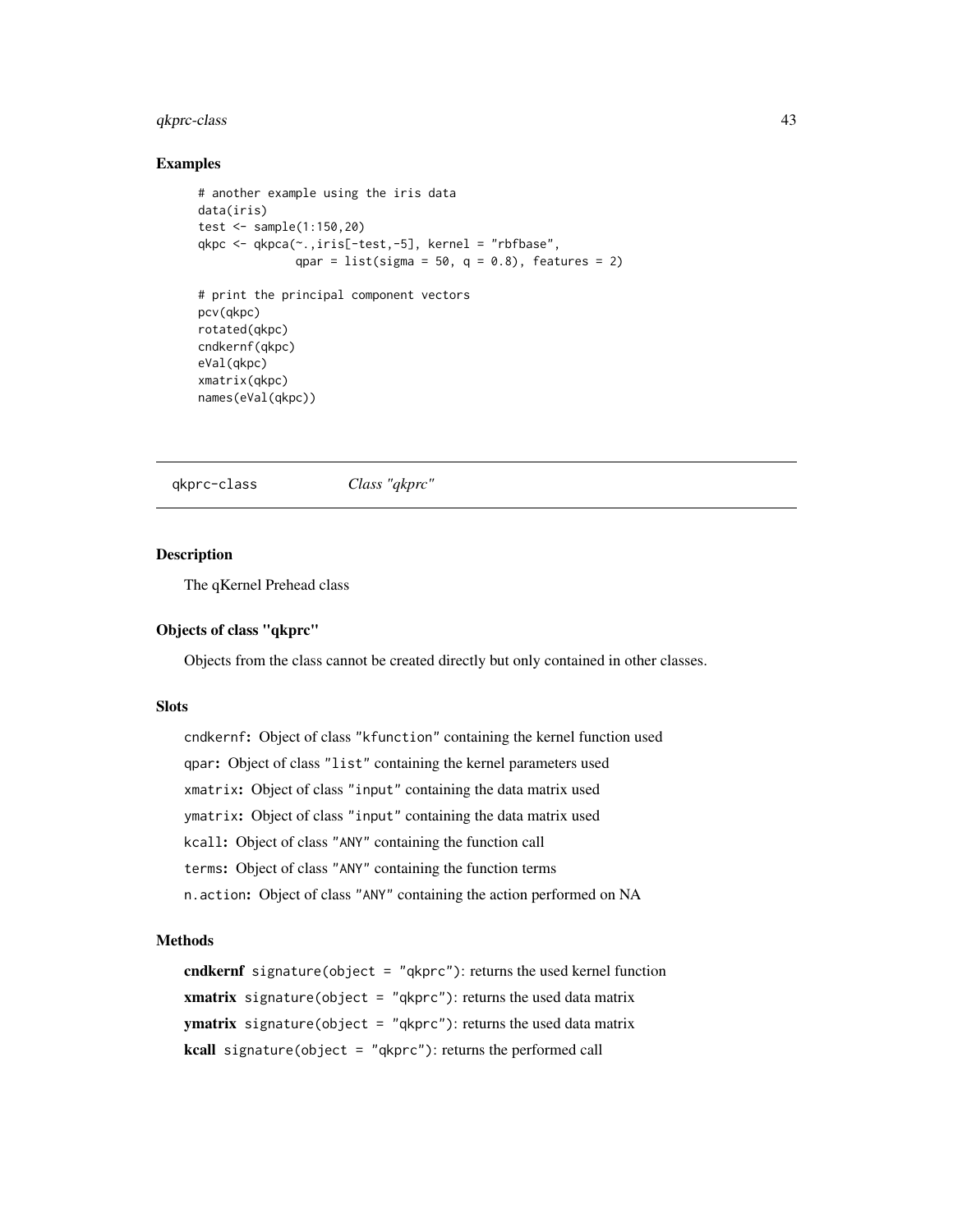### <span id="page-42-0"></span>qkprc-class 43

### Examples

```
# another example using the iris data
data(iris)
test <- sample(1:150,20)
qkpc <- qkpca(~.,iris[-test,-5], kernel = "rbfbase",
              qpar = list(sigma = 50, q = 0.8), features = 2)
# print the principal component vectors
pcv(qkpc)
rotated(qkpc)
cndkernf(qkpc)
eVal(qkpc)
xmatrix(qkpc)
names(eVal(qkpc))
```
qkprc-class *Class "qkprc"*

### Description

The qKernel Prehead class

#### Objects of class "qkprc"

Objects from the class cannot be created directly but only contained in other classes.

#### Slots

cndkernf: Object of class "kfunction" containing the kernel function used qpar: Object of class "list" containing the kernel parameters used xmatrix: Object of class "input" containing the data matrix used ymatrix: Object of class "input" containing the data matrix used kcall: Object of class "ANY" containing the function call terms: Object of class "ANY" containing the function terms n.action: Object of class "ANY" containing the action performed on NA

#### Methods

cndkernf signature(object = "qkprc"): returns the used kernel function xmatrix signature(object = " $qkprc$ "): returns the used data matrix **ymatrix** signature(object = "qkprc"): returns the used data matrix kcall signature(object = "qkprc"): returns the performed call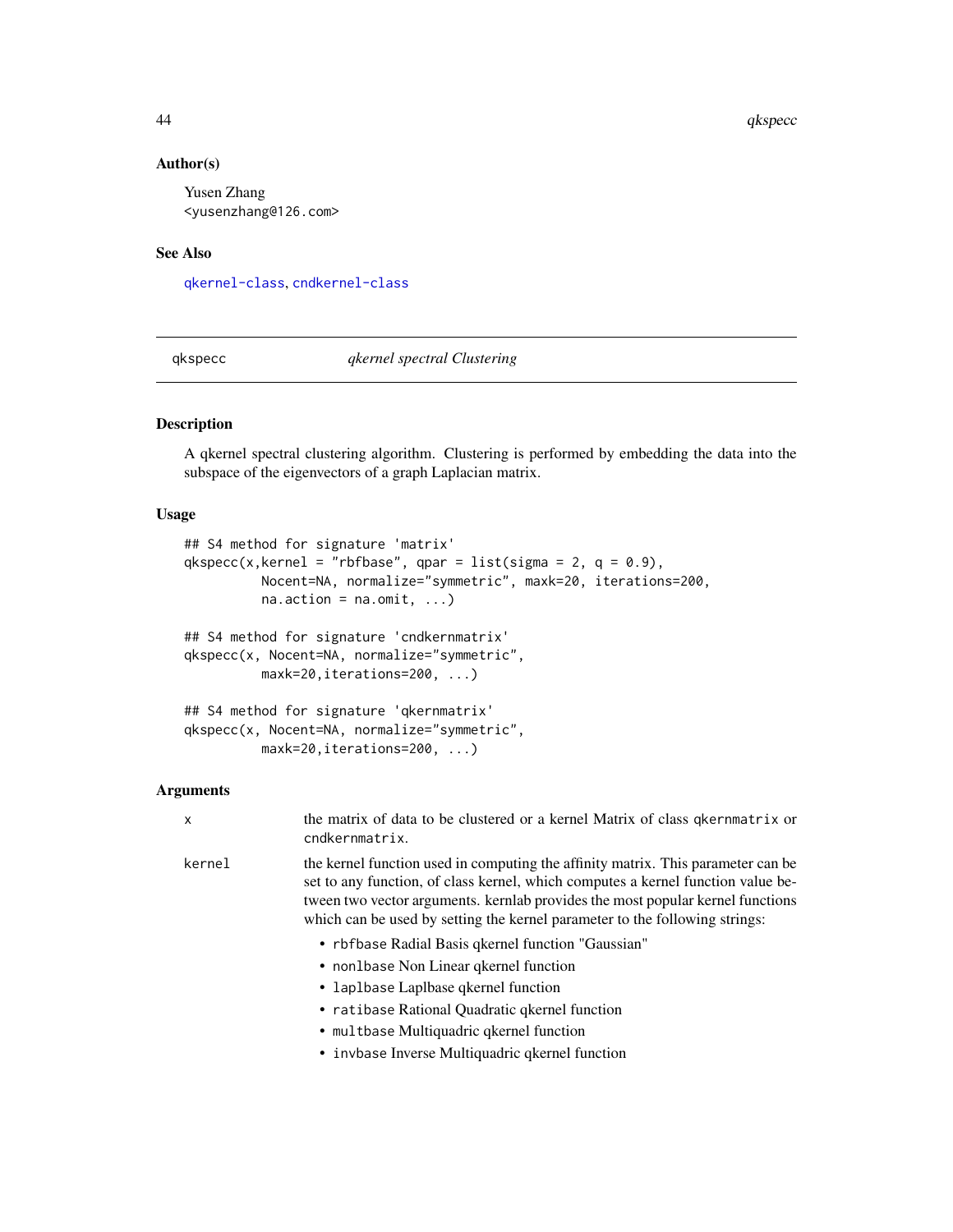44 qkspecc

#### Author(s)

Yusen Zhang <yusenzhang@126.com>

#### See Also

[qkernel-class](#page-16-1), [cndkernel-class](#page-6-1)

<span id="page-43-1"></span>qkspecc *qkernel spectral Clustering*

### Description

A qkernel spectral clustering algorithm. Clustering is performed by embedding the data into the subspace of the eigenvectors of a graph Laplacian matrix.

### Usage

```
## S4 method for signature 'matrix'
qkspecc(x, kernel = "rbfbase", qpar = list(sigma = 2, q = 0.9),
         Nocent=NA, normalize="symmetric", maxk=20, iterations=200,
         na. action = na. omit, ...## S4 method for signature 'cndkernmatrix'
qkspecc(x, Nocent=NA, normalize="symmetric",
         maxk=20,iterations=200, ...)
## S4 method for signature 'qkernmatrix'
qkspecc(x, Nocent=NA, normalize="symmetric",
         maxk=20,iterations=200, ...)
```
#### Arguments

| $\mathsf{x}$ | the matrix of data to be clustered or a kernel Matrix of class qkernmatrix or<br>cndkernmatrix.                                                                                                                                                                                                                                       |
|--------------|---------------------------------------------------------------------------------------------------------------------------------------------------------------------------------------------------------------------------------------------------------------------------------------------------------------------------------------|
| kernel       | the kernel function used in computing the affinity matrix. This parameter can be<br>set to any function, of class kernel, which computes a kernel function value be-<br>tween two vector arguments. kernlab provides the most popular kernel functions<br>which can be used by setting the kernel parameter to the following strings: |
|              | • rbfbase Radial Basis qkernel function "Gaussian"                                                                                                                                                                                                                                                                                    |
|              | • nonlbase Non Linear gkernel function                                                                                                                                                                                                                                                                                                |
|              | • laplbase Laplbase gkernel function                                                                                                                                                                                                                                                                                                  |
|              | • ratibase Rational Quadratic qkernel function                                                                                                                                                                                                                                                                                        |
|              | • multbase Multiquadric gkernel function                                                                                                                                                                                                                                                                                              |
|              | • invbase Inverse Multiquadric qkernel function                                                                                                                                                                                                                                                                                       |

<span id="page-43-0"></span>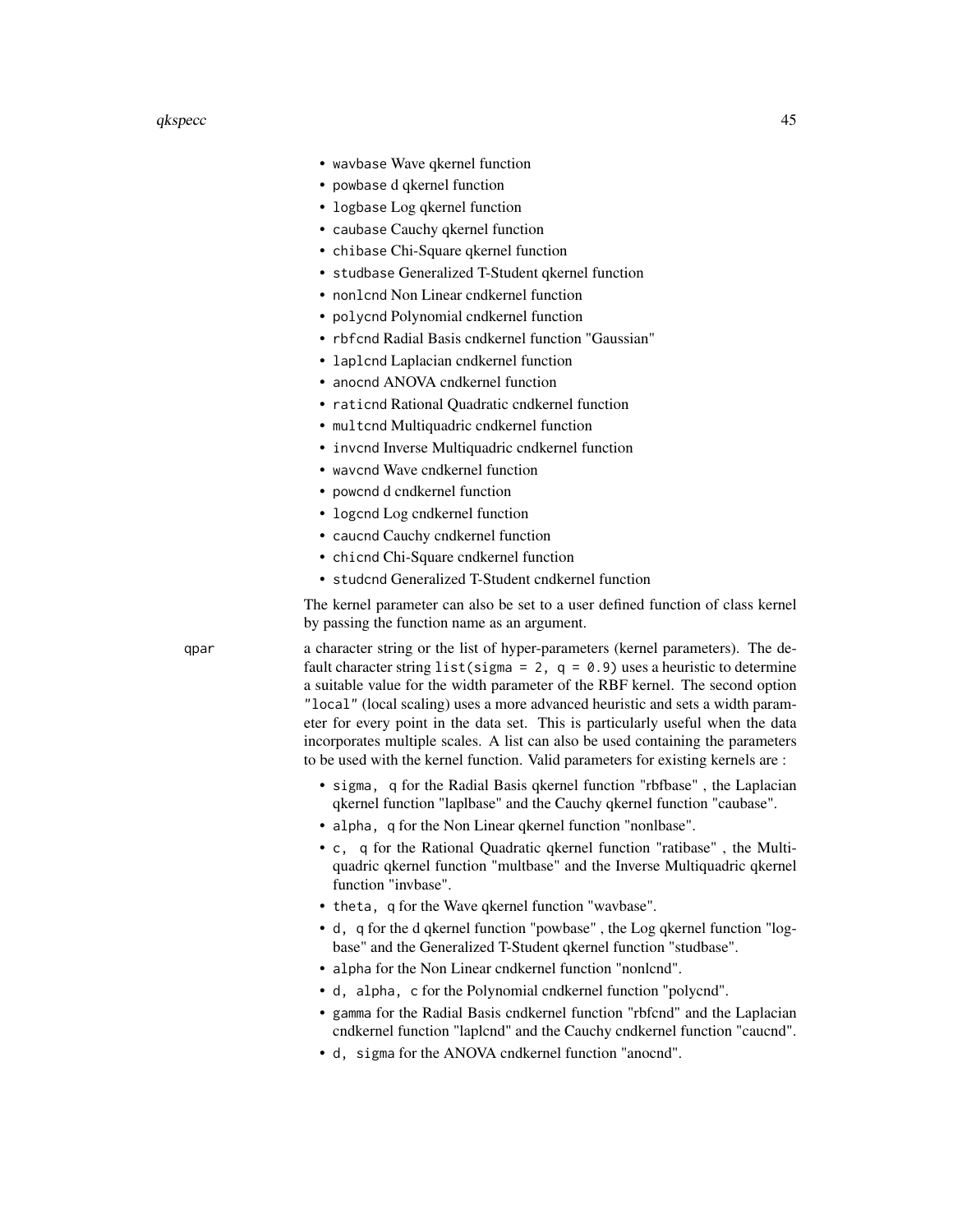#### $q$ kspecc  $\sim$  45

- wavbase Wave qkernel function
- powbase d qkernel function
- logbase Log qkernel function
- caubase Cauchy qkernel function
- chibase Chi-Square qkernel function
- studbase Generalized T-Student qkernel function
- nonlcnd Non Linear cndkernel function
- polycnd Polynomial cndkernel function
- rbfcnd Radial Basis cndkernel function "Gaussian"
- laplcnd Laplacian cndkernel function
- anocnd ANOVA cndkernel function
- raticnd Rational Quadratic cndkernel function
- multcnd Multiquadric cndkernel function
- invend Inverse Multiquadric cndkernel function
- wavcnd Wave cndkernel function
- powcnd d cndkernel function
- logcnd Log cndkernel function
- caucnd Cauchy cndkernel function
- chicnd Chi-Square cndkernel function
- studcnd Generalized T-Student cndkernel function

The kernel parameter can also be set to a user defined function of class kernel by passing the function name as an argument.

qpar a character string or the list of hyper-parameters (kernel parameters). The default character string list(sigma = 2,  $q = 0.9$ ) uses a heuristic to determine a suitable value for the width parameter of the RBF kernel. The second option "local" (local scaling) uses a more advanced heuristic and sets a width parameter for every point in the data set. This is particularly useful when the data incorporates multiple scales. A list can also be used containing the parameters to be used with the kernel function. Valid parameters for existing kernels are :

- sigma, q for the Radial Basis qkernel function "rbfbase" , the Laplacian qkernel function "laplbase" and the Cauchy qkernel function "caubase".
- alpha, q for the Non Linear qkernel function "nonlbase".
- c, q for the Rational Quadratic qkernel function "ratibase" , the Multiquadric qkernel function "multbase" and the Inverse Multiquadric qkernel function "invbase".
- theta, q for the Wave qkernel function "wavbase".
- d, q for the d qkernel function "powbase" , the Log qkernel function "logbase" and the Generalized T-Student qkernel function "studbase".
- alpha for the Non Linear cndkernel function "nonlcnd".
- d, alpha, c for the Polynomial cndkernel function "polycnd".
- gamma for the Radial Basis cndkernel function "rbfcnd" and the Laplacian cndkernel function "laplcnd" and the Cauchy cndkernel function "caucnd".
- d, sigma for the ANOVA cndkernel function "anocnd".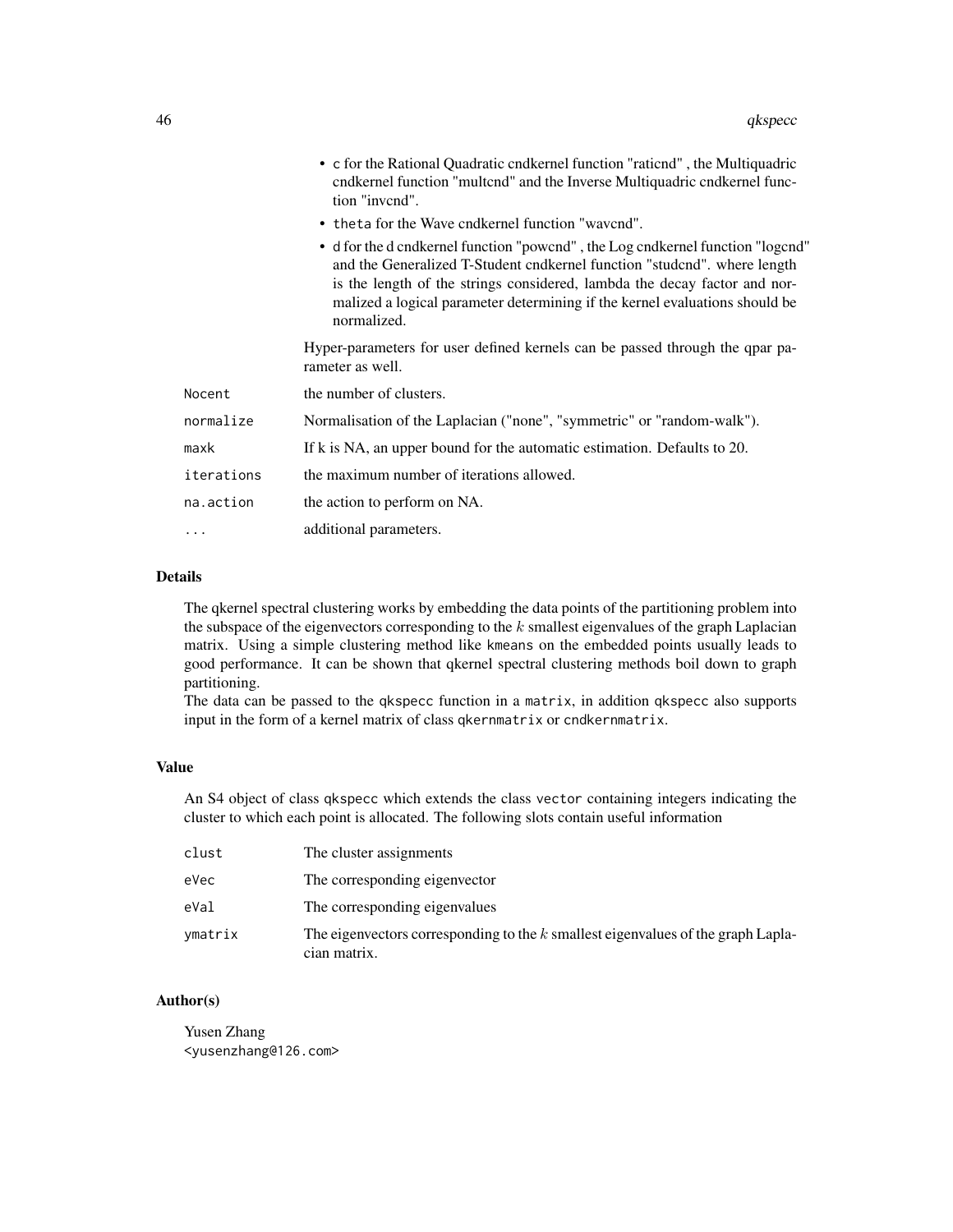|            | • c for the Rational Quadratic cndkernel function "rationd", the Multiquadric<br>endkernel function "multend" and the Inverse Multiquadric endkernel func-<br>tion "invend".                                                                                                                                                          |
|------------|---------------------------------------------------------------------------------------------------------------------------------------------------------------------------------------------------------------------------------------------------------------------------------------------------------------------------------------|
|            | • theta for the Wave cndkernel function "wavend".                                                                                                                                                                                                                                                                                     |
|            | • d for the d cndkernel function "powend", the Log cndkernel function "logend"<br>and the Generalized T-Student cndkernel function "studcnd". where length<br>is the length of the strings considered, lambda the decay factor and nor-<br>malized a logical parameter determining if the kernel evaluations should be<br>normalized. |
|            | Hyper-parameters for user defined kernels can be passed through the qpar pa-<br>rameter as well.                                                                                                                                                                                                                                      |
| Nocent     | the number of clusters.                                                                                                                                                                                                                                                                                                               |
| normalize  | Normalisation of the Laplacian ("none", "symmetric" or "random-walk").                                                                                                                                                                                                                                                                |
| maxk       | If k is NA, an upper bound for the automatic estimation. Defaults to 20.                                                                                                                                                                                                                                                              |
| iterations | the maximum number of iterations allowed.                                                                                                                                                                                                                                                                                             |
| na.action  | the action to perform on NA.                                                                                                                                                                                                                                                                                                          |
| .          | additional parameters.                                                                                                                                                                                                                                                                                                                |

#### Details

The qkernel spectral clustering works by embedding the data points of the partitioning problem into the subspace of the eigenvectors corresponding to the  $k$  smallest eigenvalues of the graph Laplacian matrix. Using a simple clustering method like kmeans on the embedded points usually leads to good performance. It can be shown that qkernel spectral clustering methods boil down to graph partitioning.

The data can be passed to the qkspecc function in a matrix, in addition qkspecc also supports input in the form of a kernel matrix of class qkernmatrix or cndkernmatrix.

#### Value

An S4 object of class qkspecc which extends the class vector containing integers indicating the cluster to which each point is allocated. The following slots contain useful information

| clust   | The cluster assignments                                                                            |
|---------|----------------------------------------------------------------------------------------------------|
| eVec    | The corresponding eigenvector                                                                      |
| eVal    | The corresponding eigenvalues                                                                      |
| ymatrix | The eigenvectors corresponding to the $k$ smallest eigenvalues of the graph Lapla-<br>cian matrix. |

### Author(s)

Yusen Zhang <yusenzhang@126.com>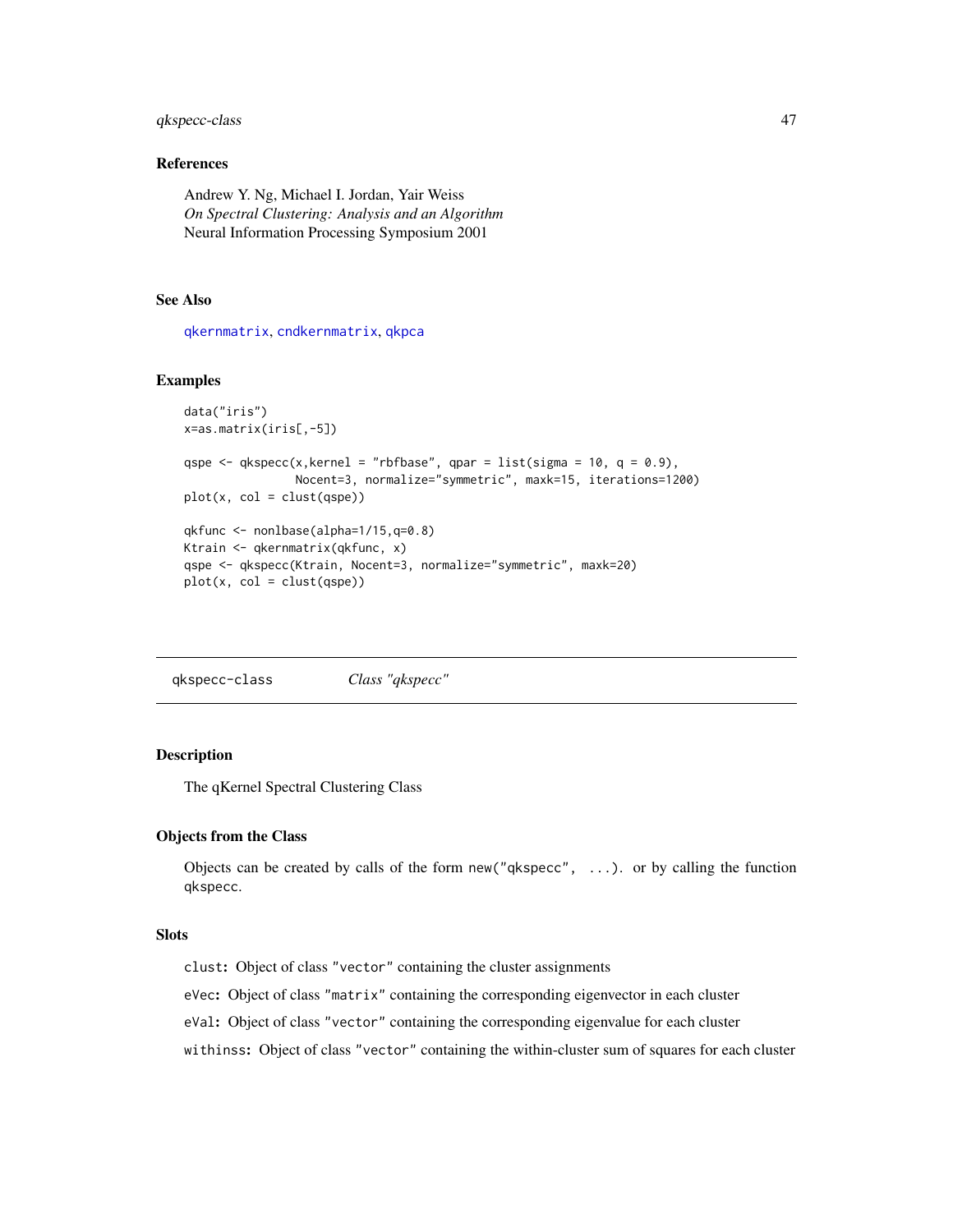### <span id="page-46-0"></span>qkspecc-class 47

### References

Andrew Y. Ng, Michael I. Jordan, Yair Weiss *On Spectral Clustering: Analysis and an Algorithm* Neural Information Processing Symposium 2001

#### See Also

[qkernmatrix](#page-18-1), [cndkernmatrix](#page-7-1), [qkpca](#page-38-1)

#### Examples

```
data("iris")
x=as.matrix(iris[,-5])
qspe <- qkspecc(x, kernel = "rbfbase", qpar = list(sigma = 10, q = 0.9),
                Nocent=3, normalize="symmetric", maxk=15, iterations=1200)
plot(x, col = clust(qspe))qkfunc <- nonlbase(alpha=1/15,q=0.8)
Ktrain <- qkernmatrix(qkfunc, x)
qspe <- qkspecc(Ktrain, Nocent=3, normalize="symmetric", maxk=20)
plot(x, col = clust(qspe))
```
<span id="page-46-1"></span>qkspecc-class *Class "qkspecc"*

#### Description

The qKernel Spectral Clustering Class

#### Objects from the Class

Objects can be created by calls of the form new("qkspecc", ...). or by calling the function qkspecc.

### **Slots**

clust: Object of class "vector" containing the cluster assignments

eVec: Object of class "matrix" containing the corresponding eigenvector in each cluster

eVal: Object of class "vector" containing the corresponding eigenvalue for each cluster

withinss: Object of class "vector" containing the within-cluster sum of squares for each cluster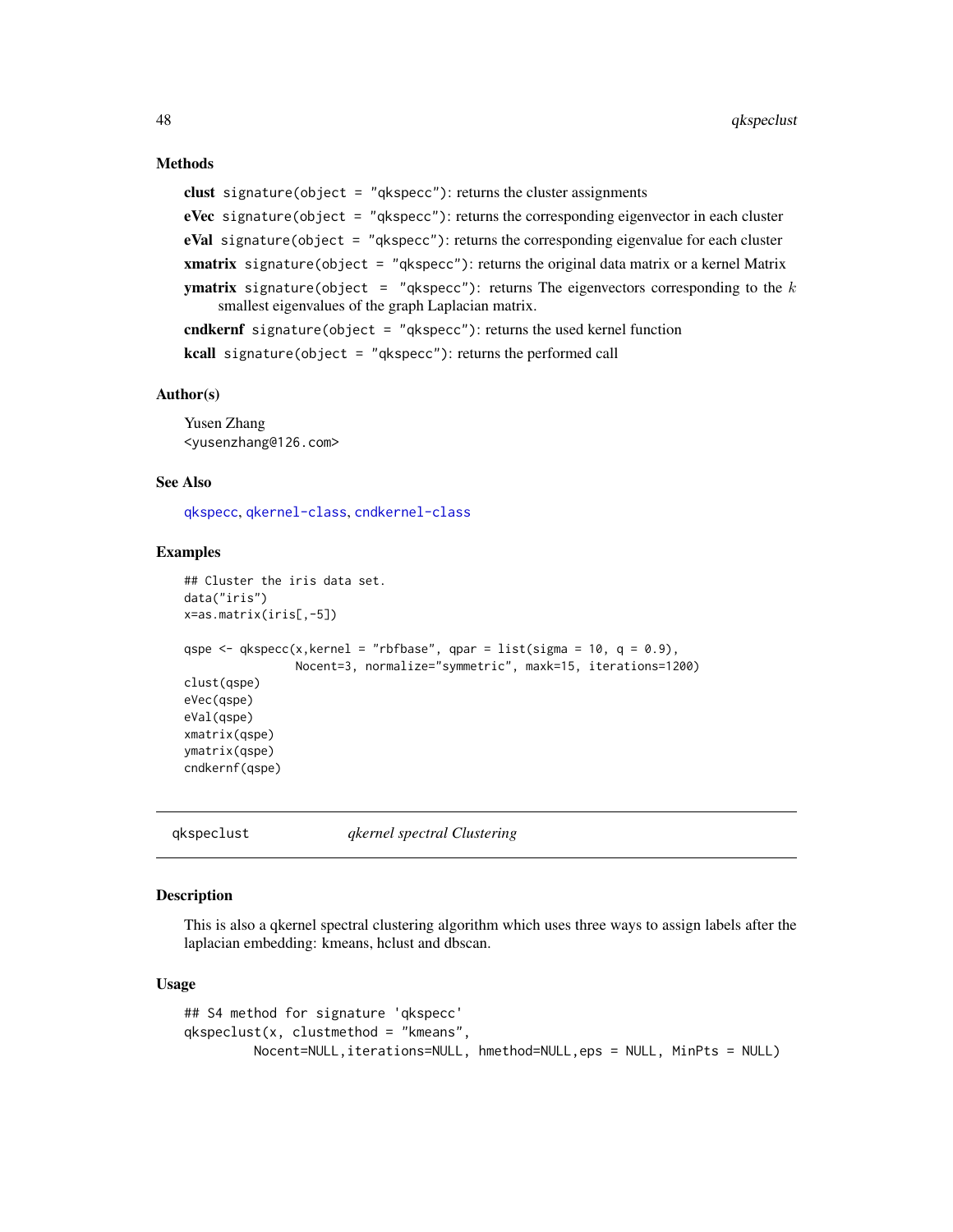#### Methods

```
clust signature(object = "qkspecc"): returns the cluster assignments
eVec signature(object = "qkspecc"): returns the corresponding eigenvector in each cluster
eVal signature(object = "qkspecc"): returns the corresponding eigenvalue for each cluster
xmatrix signature(object = "qkspecc"): returns the original data matrix or a kernel Matrix
ymatrix signature(object = "qkspecc"): returns The eigenvectors corresponding to the ksmallest eigenvalues of the graph Laplacian matrix.
```
cndkernf signature(object = "qkspecc"): returns the used kernel function kcall signature(object = "qkspecc"): returns the performed call

#### Author(s)

Yusen Zhang <yusenzhang@126.com>

#### See Also

[qkspecc](#page-43-1), [qkernel-class](#page-16-1), [cndkernel-class](#page-6-1)

#### Examples

```
## Cluster the iris data set.
data("iris")
x=as.matrix(iris[,-5])
qspe <- qkspecc(x, kernel = "rbfbase", qpar = list(sigma = 10, q = 0.9),
                Nocent=3, normalize="symmetric", maxk=15, iterations=1200)
clust(qspe)
eVec(qspe)
eVal(qspe)
xmatrix(qspe)
ymatrix(qspe)
cndkernf(qspe)
```
qkspeclust *qkernel spectral Clustering*

#### Description

This is also a qkernel spectral clustering algorithm which uses three ways to assign labels after the laplacian embedding: kmeans, hclust and dbscan.

#### Usage

```
## S4 method for signature 'qkspecc'
qkspeclust(x, clustmethod = "kmeans",
         Nocent=NULL,iterations=NULL, hmethod=NULL,eps = NULL, MinPts = NULL)
```
<span id="page-47-0"></span>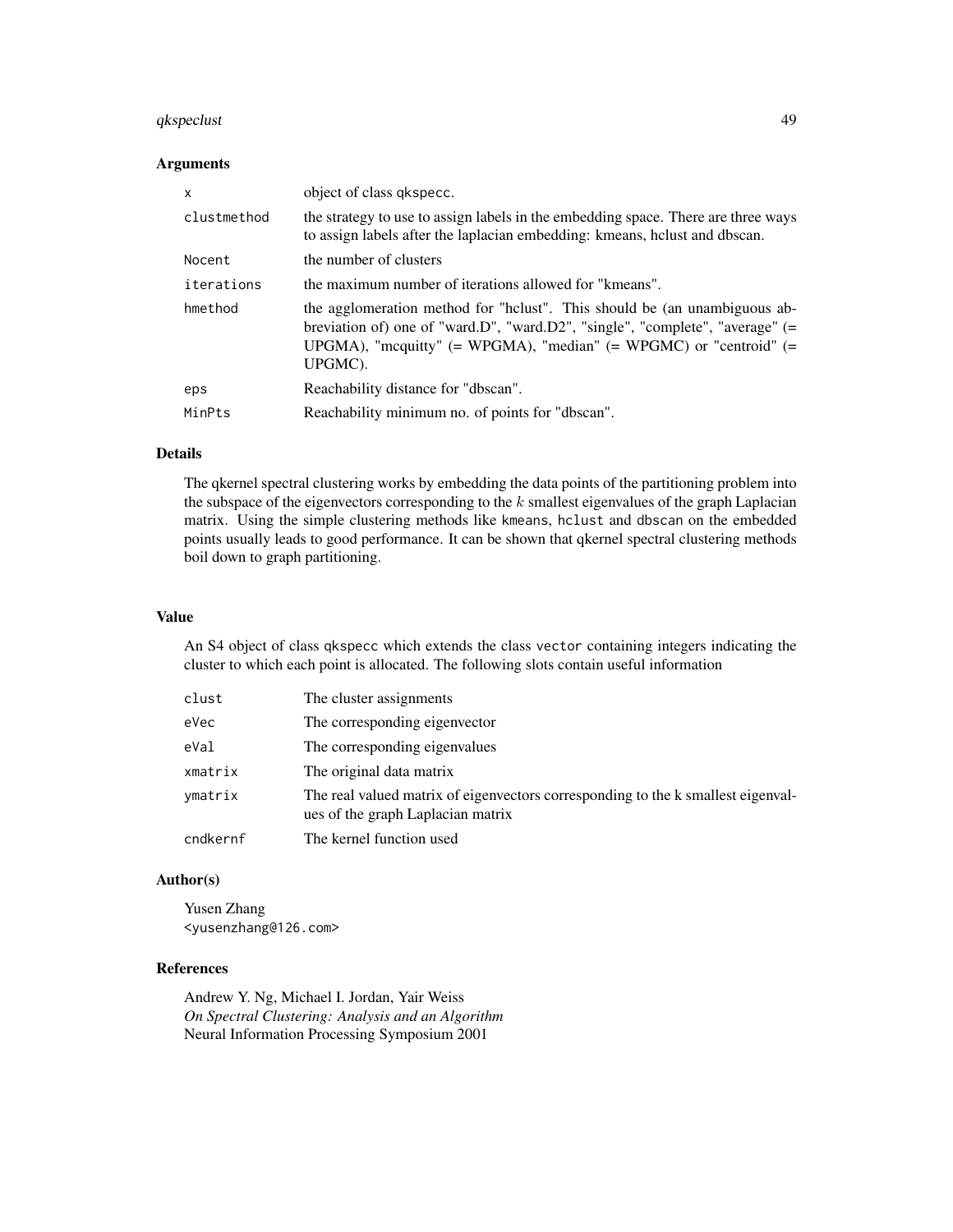### qkspeclust 49

#### Arguments

| $\mathsf{x}$ | object of class <i>qkspecc</i> .                                                                                                                                                                                                                    |
|--------------|-----------------------------------------------------------------------------------------------------------------------------------------------------------------------------------------------------------------------------------------------------|
| clustmethod  | the strategy to use to assign labels in the embedding space. There are three ways<br>to assign labels after the laplacian embedding: kmeans, holust and dbscan.                                                                                     |
| Nocent       | the number of clusters                                                                                                                                                                                                                              |
| iterations   | the maximum number of iterations allowed for "kmeans".                                                                                                                                                                                              |
| hmethod      | the agglomeration method for "helust". This should be (an unambiguous ab-<br>breviation of) one of "ward.D", "ward.D2", "single", "complete", "average" $(=$<br>UPGMA), "mcquitty" $(= WPGMA)$ , "median" $(= WPGMC)$ or "centroid" $(=$<br>UPGMC). |
| eps          | Reachability distance for "dbscan".                                                                                                                                                                                                                 |
| MinPts       | Reachability minimum no. of points for "dbscan".                                                                                                                                                                                                    |

### Details

The qkernel spectral clustering works by embedding the data points of the partitioning problem into the subspace of the eigenvectors corresponding to the  $k$  smallest eigenvalues of the graph Laplacian matrix. Using the simple clustering methods like kmeans, hclust and dbscan on the embedded points usually leads to good performance. It can be shown that qkernel spectral clustering methods boil down to graph partitioning.

#### Value

An S4 object of class qkspecc which extends the class vector containing integers indicating the cluster to which each point is allocated. The following slots contain useful information

| clust    | The cluster assignments                                                                                               |
|----------|-----------------------------------------------------------------------------------------------------------------------|
| eVec     | The corresponding eigenvector                                                                                         |
| eVal     | The corresponding eigenvalues                                                                                         |
| xmatrix  | The original data matrix                                                                                              |
| ymatrix  | The real valued matrix of eigenvectors corresponding to the k smallest eigenval-<br>ues of the graph Laplacian matrix |
| cndkernf | The kernel function used                                                                                              |

#### Author(s)

Yusen Zhang <yusenzhang@126.com>

### References

Andrew Y. Ng, Michael I. Jordan, Yair Weiss *On Spectral Clustering: Analysis and an Algorithm* Neural Information Processing Symposium 2001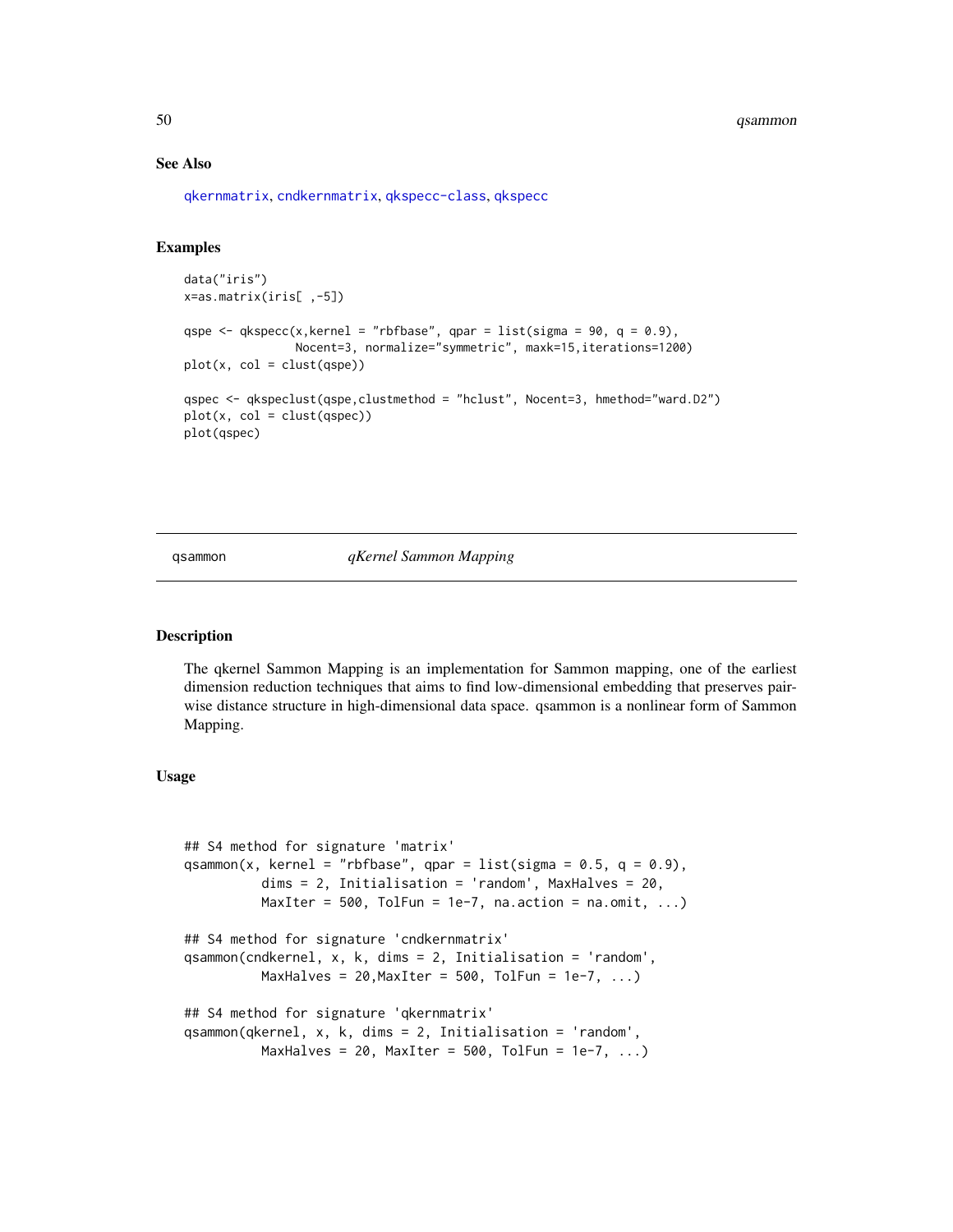#### See Also

[qkernmatrix](#page-18-1), [cndkernmatrix](#page-7-1), [qkspecc-class](#page-46-1), [qkspecc](#page-43-1)

### Examples

```
data("iris")
x=as.matrix(iris[ ,-5])
qspe \leq qkspecc(x, kernel = "rbfbase", qpar = list(sigma = 90, q = 0.9),
                Nocent=3, normalize="symmetric", maxk=15,iterations=1200)
plot(x, col = clust(qspe))qspec <- qkspeclust(qspe,clustmethod = "hclust", Nocent=3, hmethod="ward.D2")
plot(x, col = clust(qspec))plot(qspec)
```
### <span id="page-49-1"></span>qsammon *qKernel Sammon Mapping*

#### Description

The qkernel Sammon Mapping is an implementation for Sammon mapping, one of the earliest dimension reduction techniques that aims to find low-dimensional embedding that preserves pairwise distance structure in high-dimensional data space. qsammon is a nonlinear form of Sammon Mapping.

### Usage

```
## S4 method for signature 'matrix'
qsammon(x, kernal = "rbfbase", qpar = list(sigma = 0.5, q = 0.9),dims = 2, Initialisation = 'random', MaxHalves = 20,
         MaxIter = 500, TolFun = 1e-7, na.action = na.omit, ...)
## S4 method for signature 'cndkernmatrix'
qsammon(cndkernel, x, k, dims = 2, Initialisation = 'random',
         MaxHalves = 20, MaxIter = 500, TolFun = 1e-7, ...)
## S4 method for signature 'qkernmatrix'
qsammon(qkernel, x, k, dims = 2, Initialisation = 'random',
         MaxHalves = 20, MaxIter = 500, TolFun = 1e-7, \dots)
```
<span id="page-49-0"></span>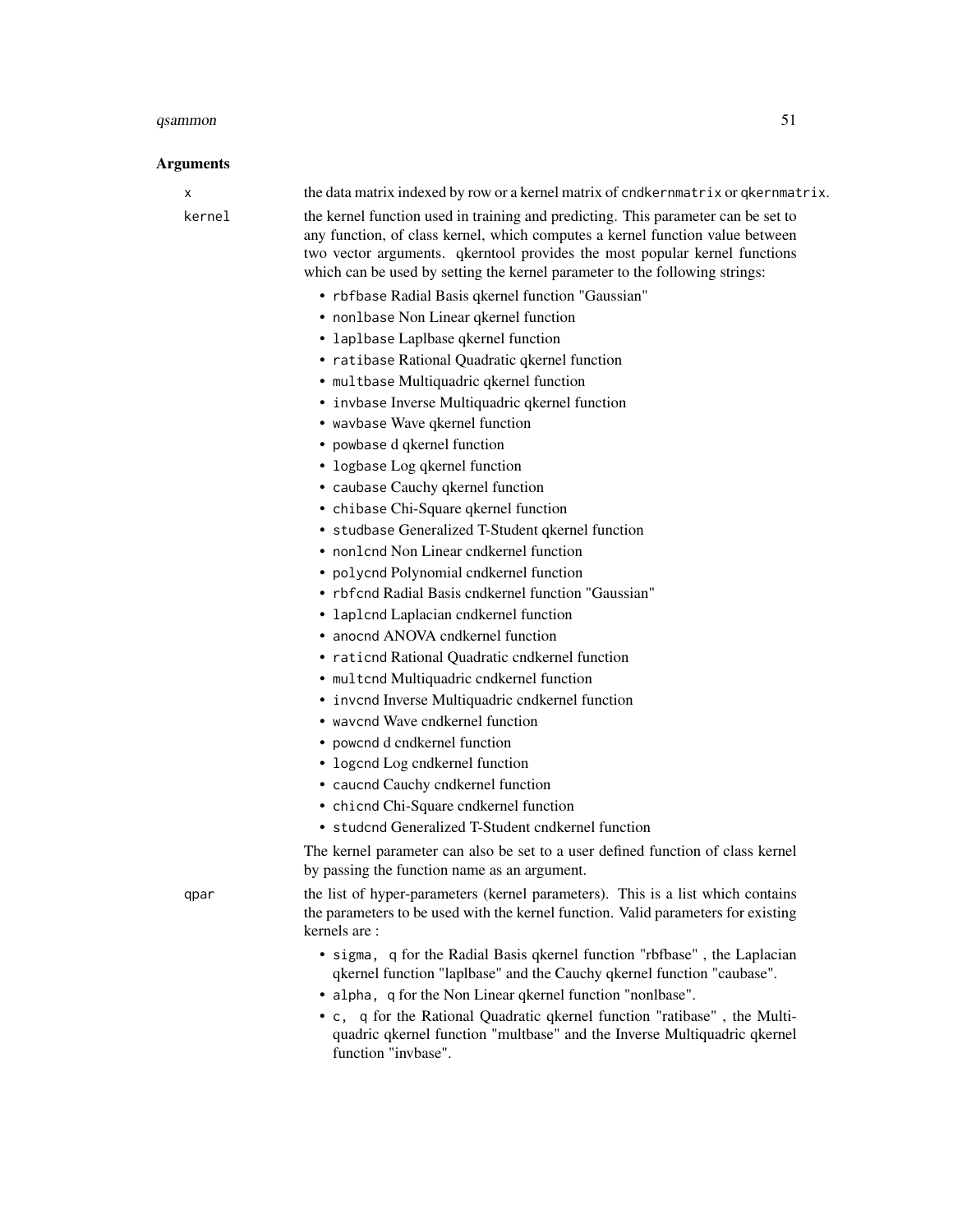#### qsammon 51

### Arguments

| х      | the data matrix indexed by row or a kernel matrix of cndkernmatrix or qkernmatrix.                                                                                                                                                                                                                                              |
|--------|---------------------------------------------------------------------------------------------------------------------------------------------------------------------------------------------------------------------------------------------------------------------------------------------------------------------------------|
| kernel | the kernel function used in training and predicting. This parameter can be set to<br>any function, of class kernel, which computes a kernel function value between<br>two vector arguments. qkerntool provides the most popular kernel functions<br>which can be used by setting the kernel parameter to the following strings: |
|        | • rbfbase Radial Basis qkernel function "Gaussian"                                                                                                                                                                                                                                                                              |
|        | • non1base Non Linear qkernel function                                                                                                                                                                                                                                                                                          |
|        | • laplbase Laplbase qkernel function                                                                                                                                                                                                                                                                                            |
|        | • ratibase Rational Quadratic qkernel function                                                                                                                                                                                                                                                                                  |
|        | • multbase Multiquadric qkernel function                                                                                                                                                                                                                                                                                        |
|        | • invbase Inverse Multiquadric qkernel function                                                                                                                                                                                                                                                                                 |
|        | • wavbase Wave qkernel function                                                                                                                                                                                                                                                                                                 |
|        | • powbase d qkernel function                                                                                                                                                                                                                                                                                                    |
|        | • logbase Log qkernel function                                                                                                                                                                                                                                                                                                  |
|        | • caubase Cauchy qkernel function                                                                                                                                                                                                                                                                                               |
|        | • chibase Chi-Square qkernel function                                                                                                                                                                                                                                                                                           |
|        | • studbase Generalized T-Student qkernel function                                                                                                                                                                                                                                                                               |
|        | • non1cnd Non Linear cndkernel function                                                                                                                                                                                                                                                                                         |
|        | • polycnd Polynomial cndkernel function                                                                                                                                                                                                                                                                                         |
|        | • rbfcnd Radial Basis cndkernel function "Gaussian"                                                                                                                                                                                                                                                                             |
|        | • laplcnd Laplacian cndkernel function                                                                                                                                                                                                                                                                                          |
|        | • anocnd ANOVA cndkernel function                                                                                                                                                                                                                                                                                               |
|        | • rationd Rational Quadratic endkernel function                                                                                                                                                                                                                                                                                 |
|        | • multend Multiquadric endkernel function                                                                                                                                                                                                                                                                                       |
|        | • invend Inverse Multiquadric endkernel function                                                                                                                                                                                                                                                                                |
|        | • wavend Wave endkernel function                                                                                                                                                                                                                                                                                                |
|        | • powend d endkernel function                                                                                                                                                                                                                                                                                                   |
|        | • logcnd Log cndkernel function                                                                                                                                                                                                                                                                                                 |
|        | • caucnd Cauchy endkernel function                                                                                                                                                                                                                                                                                              |
|        | • chicnd Chi-Square cndkernel function                                                                                                                                                                                                                                                                                          |
|        | • studend Generalized T-Student endkernel function                                                                                                                                                                                                                                                                              |
|        | The kernel parameter can also be set to a user defined function of class kernel<br>by passing the function name as an argument.                                                                                                                                                                                                 |
| qpar   | the list of hyper-parameters (kernel parameters). This is a list which contains<br>the parameters to be used with the kernel function. Valid parameters for existing<br>kernels are:                                                                                                                                            |
|        | • sigma, q for the Radial Basis qkernel function "rbfbase", the Laplacian<br>qkernel function "laplbase" and the Cauchy qkernel function "caubase".<br>• alpha, q for the Non Linear qkernel function "nonlbase".                                                                                                               |

• c, q for the Rational Quadratic qkernel function "ratibase" , the Multiquadric qkernel function "multbase" and the Inverse Multiquadric qkernel function "invbase".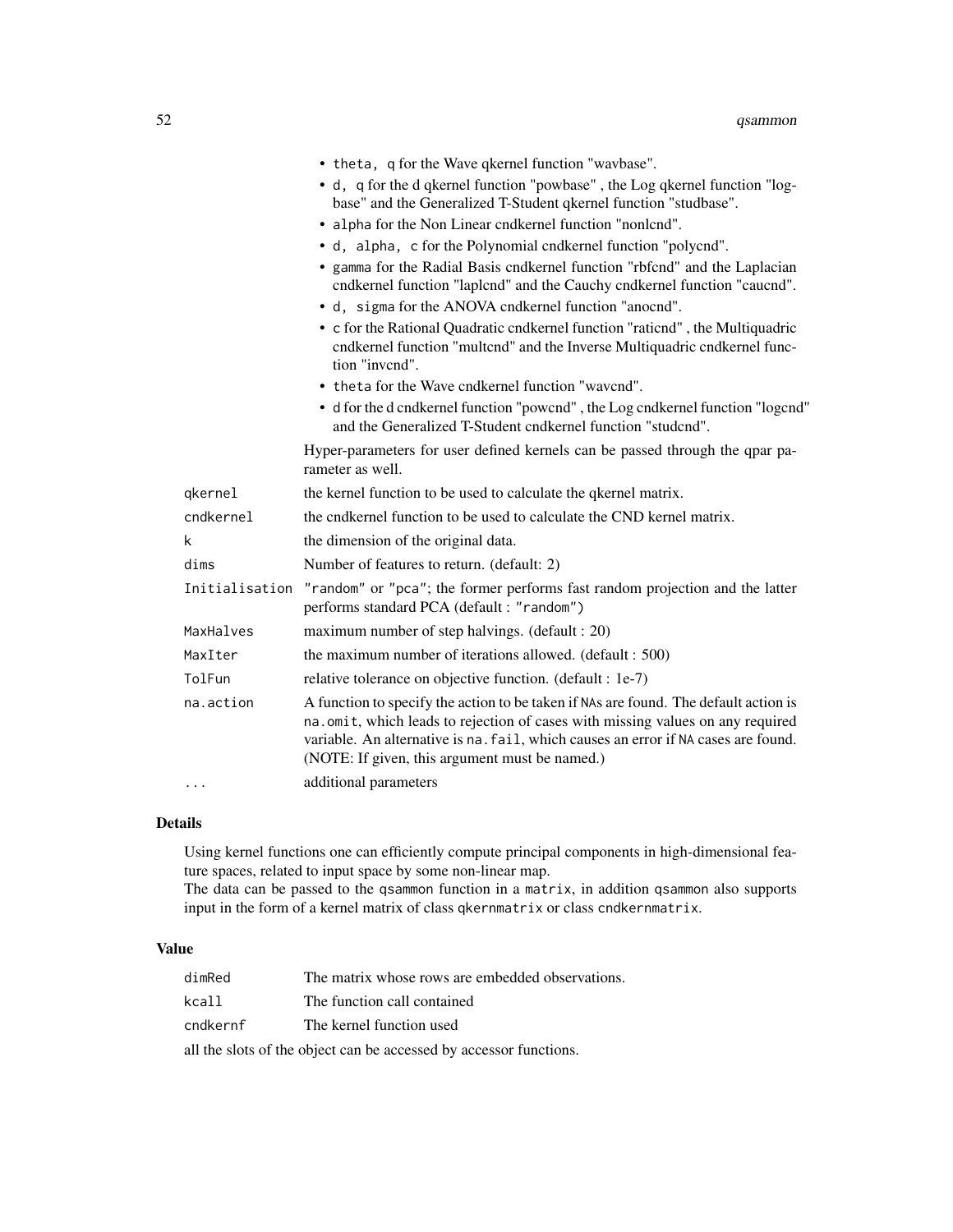|                         | • theta, q for the Wave qkernel function "wavbase".                                                                                                                                                                                                                                                            |
|-------------------------|----------------------------------------------------------------------------------------------------------------------------------------------------------------------------------------------------------------------------------------------------------------------------------------------------------------|
|                         | • d, q for the d qkernel function "powbase", the Log qkernel function "log-<br>base" and the Generalized T-Student qkernel function "studbase".                                                                                                                                                                |
|                         | • alpha for the Non Linear cndkernel function "nonlcnd".                                                                                                                                                                                                                                                       |
|                         | • d, alpha, c for the Polynomial cndkernel function "polycnd".                                                                                                                                                                                                                                                 |
|                         | • gamma for the Radial Basis cndkernel function "rbfcnd" and the Laplacian<br>cndkernel function "laplcnd" and the Cauchy cndkernel function "caucnd".                                                                                                                                                         |
|                         | • d, sigma for the ANOVA cndkernel function "anocnd".                                                                                                                                                                                                                                                          |
|                         | • c for the Rational Quadratic cndkernel function "rationd", the Multiquadric<br>endkernel function "multend" and the Inverse Multiquadric endkernel func-<br>tion "invend".                                                                                                                                   |
|                         | • theta for the Wave cndkernel function "wavend".                                                                                                                                                                                                                                                              |
|                         | • d for the d cndkernel function "powend", the Log cndkernel function "logend"<br>and the Generalized T-Student cndkernel function "studend".                                                                                                                                                                  |
|                         | Hyper-parameters for user defined kernels can be passed through the qpar pa-<br>rameter as well.                                                                                                                                                                                                               |
| qkernel                 | the kernel function to be used to calculate the qkernel matrix.                                                                                                                                                                                                                                                |
| cndkernel               | the cndkernel function to be used to calculate the CND kernel matrix.                                                                                                                                                                                                                                          |
| k                       | the dimension of the original data.                                                                                                                                                                                                                                                                            |
| dims                    | Number of features to return. (default: 2)                                                                                                                                                                                                                                                                     |
| Initialisation          | "random" or "pca"; the former performs fast random projection and the latter<br>performs standard PCA (default: "random")                                                                                                                                                                                      |
| MaxHalves               | maximum number of step halvings. (default : 20)                                                                                                                                                                                                                                                                |
| MaxIter                 | the maximum number of iterations allowed. (default : 500)                                                                                                                                                                                                                                                      |
| TolFun                  | relative tolerance on objective function. (default : 1e-7)                                                                                                                                                                                                                                                     |
| na.action               | A function to specify the action to be taken if NAs are found. The default action is<br>na.omit, which leads to rejection of cases with missing values on any required<br>variable. An alternative is na. fail, which causes an error if NA cases are found.<br>(NOTE: If given, this argument must be named.) |
| $\cdot$ $\cdot$ $\cdot$ | additional parameters                                                                                                                                                                                                                                                                                          |

### Details

Using kernel functions one can efficiently compute principal components in high-dimensional feature spaces, related to input space by some non-linear map.

The data can be passed to the qsammon function in a matrix, in addition qsammon also supports input in the form of a kernel matrix of class qkernmatrix or class cndkernmatrix.

### Value

| dimRed   | The matrix whose rows are embedded observations. |
|----------|--------------------------------------------------|
| kcall    | The function call contained                      |
| cndkernf | The kernel function used                         |
|          |                                                  |

all the slots of the object can be accessed by accessor functions.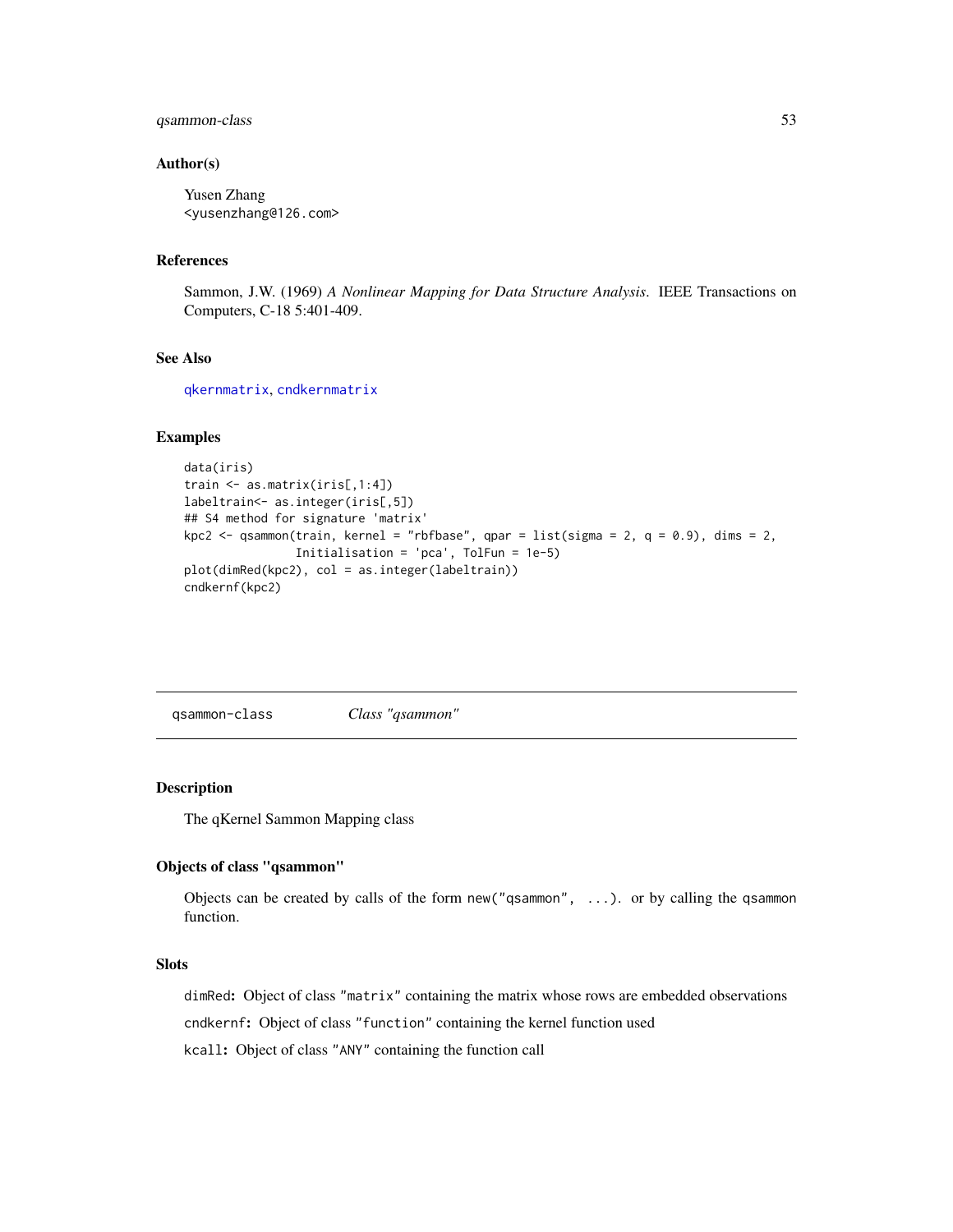### <span id="page-52-0"></span>qsammon-class 53

#### Author(s)

Yusen Zhang <yusenzhang@126.com>

#### References

Sammon, J.W. (1969) *A Nonlinear Mapping for Data Structure Analysis*. IEEE Transactions on Computers, C-18 5:401-409.

### See Also

[qkernmatrix](#page-18-1), [cndkernmatrix](#page-7-1)

### Examples

```
data(iris)
train <- as.matrix(iris[,1:4])
labeltrain<- as.integer(iris[,5])
## S4 method for signature 'matrix'
kpc2 \leftarrow qsammon(train, kernel = "rbfbase", qpar = list(sigma = 2, q = 0.9), dims = 2,
                Initialisation = 'pca', TolFun = 1e-5)
plot(dimRed(kpc2), col = as.integer(labeltrain))
cndkernf(kpc2)
```
qsammon-class *Class "qsammon"*

### Description

The qKernel Sammon Mapping class

#### Objects of class "qsammon"

Objects can be created by calls of the form new("qsammon", ...). or by calling the qsammon function.

#### Slots

dimRed: Object of class "matrix" containing the matrix whose rows are embedded observations cndkernf: Object of class "function" containing the kernel function used kcall: Object of class "ANY" containing the function call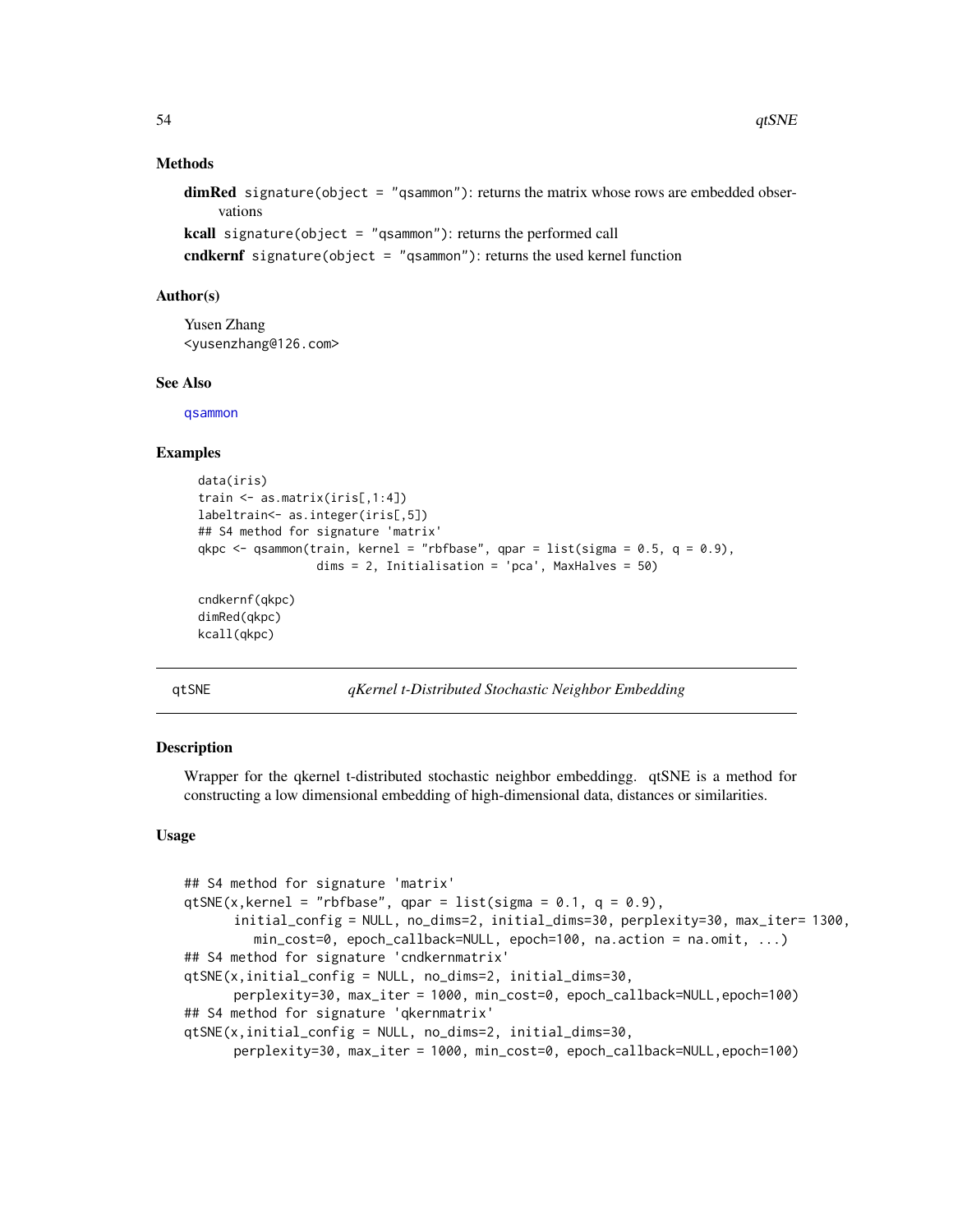#### <span id="page-53-0"></span>Methods

 $dimRed$  signature(object = "qsammon"): returns the matrix whose rows are embedded observations

```
kcall signature(object = "qsammon"): returns the performed call
```
cndkernf signature(object = "qsammon"): returns the used kernel function

#### Author(s)

Yusen Zhang <yusenzhang@126.com>

#### See Also

[qsammon](#page-49-1)

#### Examples

```
data(iris)
train <- as.matrix(iris[,1:4])
labeltrain<- as.integer(iris[,5])
## S4 method for signature 'matrix'
qkpc <- qsammon(train, kernel = "rbfbase", qpar = list(sigma = 0.5, q = 0.9),
                 dims = 2, Initialisation = 'pca', MaxHalves = 50)
cndkernf(qkpc)
```

```
dimRed(qkpc)
kcall(qkpc)
```
<span id="page-53-1"></span>

qtSNE *qKernel t-Distributed Stochastic Neighbor Embedding*

#### **Description**

Wrapper for the qkernel t-distributed stochastic neighbor embeddingg. qtSNE is a method for constructing a low dimensional embedding of high-dimensional data, distances or similarities.

### Usage

```
## S4 method for signature 'matrix'
qtSNE(x, kernel = "rbfbase", qpar = list(sigma = 0.1, q = 0.9),
      initial_config = NULL, no_dims=2, initial_dims=30, perplexity=30, max_iter= 1300,
        min_cost=0, epoch_callback=NULL, epoch=100, na.action = na.omit, ...)
## S4 method for signature 'cndkernmatrix'
qtSNE(x,initial_config = NULL, no_dims=2, initial_dims=30,
      perplexity=30, max_iter = 1000, min_cost=0, epoch_callback=NULL,epoch=100)
## S4 method for signature 'qkernmatrix'
qtSNE(x,initial_config = NULL, no_dims=2, initial_dims=30,
      perplexity=30, max_iter = 1000, min_cost=0, epoch_callback=NULL,epoch=100)
```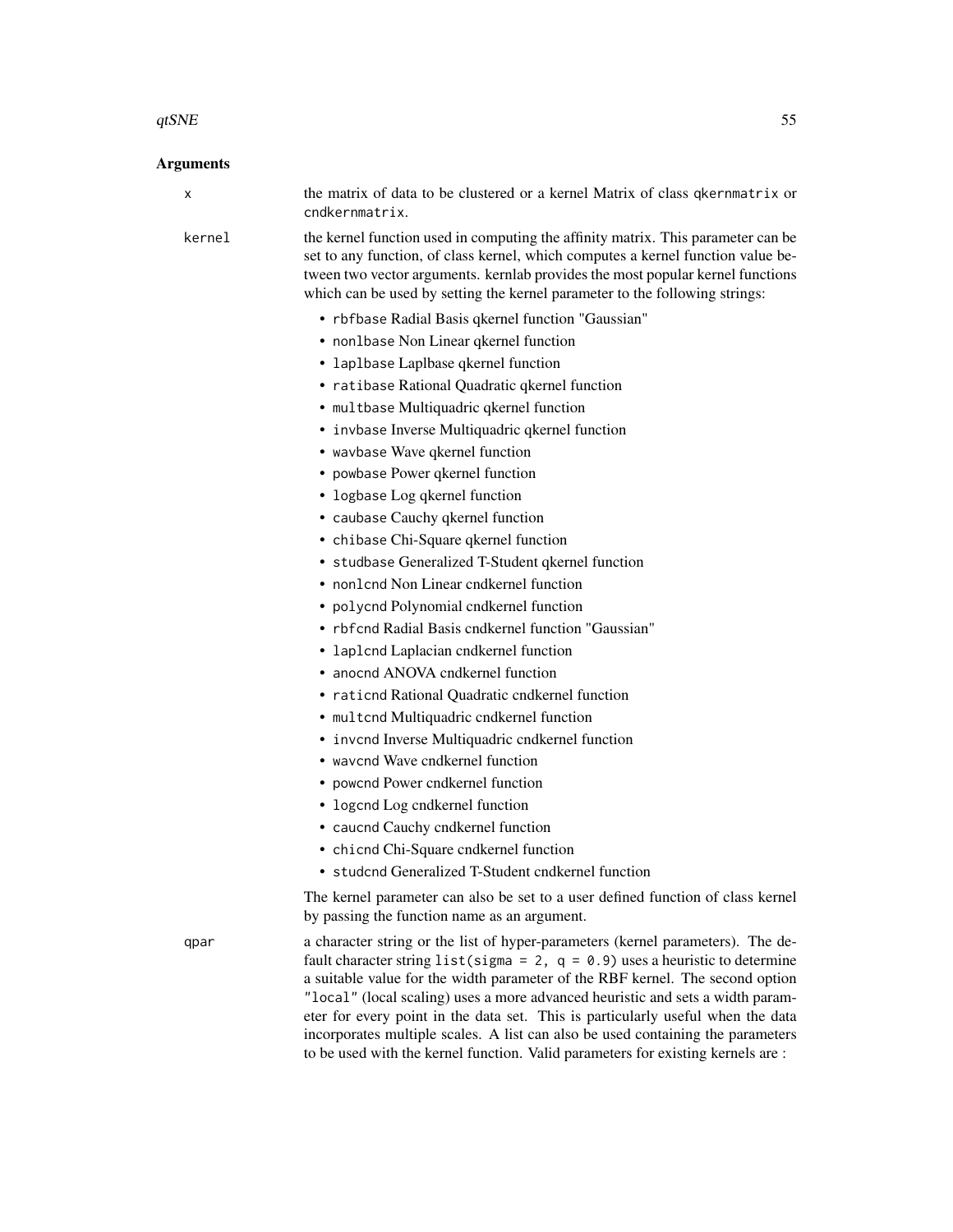#### qtSNE  $\sim$  55

### Arguments

| х      | the matrix of data to be clustered or a kernel Matrix of class qkernmatrix or<br>cndkernmatrix.                                                                                                                                                                                                                                                                                                                                                                                                                                                                                                                                                                                                                                                                                                                                                                                                                                                                                                                                                                                                                                                                     |
|--------|---------------------------------------------------------------------------------------------------------------------------------------------------------------------------------------------------------------------------------------------------------------------------------------------------------------------------------------------------------------------------------------------------------------------------------------------------------------------------------------------------------------------------------------------------------------------------------------------------------------------------------------------------------------------------------------------------------------------------------------------------------------------------------------------------------------------------------------------------------------------------------------------------------------------------------------------------------------------------------------------------------------------------------------------------------------------------------------------------------------------------------------------------------------------|
| kernel | the kernel function used in computing the affinity matrix. This parameter can be<br>set to any function, of class kernel, which computes a kernel function value be-<br>tween two vector arguments. kernlab provides the most popular kernel functions<br>which can be used by setting the kernel parameter to the following strings:                                                                                                                                                                                                                                                                                                                                                                                                                                                                                                                                                                                                                                                                                                                                                                                                                               |
|        | • rbfbase Radial Basis qkernel function "Gaussian"<br>• non1base Non Linear qkernel function<br>• laplbase Laplbase qkernel function<br>• ratibase Rational Quadratic qkernel function<br>· multbase Multiquadric qkernel function<br>• invbase Inverse Multiquadric qkernel function<br>• wavbase Wave qkernel function<br>• powbase Power qkernel function<br>• logbase Log qkernel function<br>• caubase Cauchy qkernel function<br>• chibase Chi-Square qkernel function<br>• studbase Generalized T-Student qkernel function<br>• non1cnd Non Linear cndkernel function<br>· polycnd Polynomial cndkernel function<br>• rbfcnd Radial Basis cndkernel function "Gaussian"<br>• laplcnd Laplacian cndkernel function<br>• anocnd ANOVA cndkernel function<br>• rationd Rational Quadratic endkernel function<br>• multcnd Multiquadric cndkernel function<br>• invend Inverse Multiquadric endkernel function<br>• wavcnd Wave cndkernel function<br>• powend Power endkernel function<br>• logcnd Log cndkernel function<br>• caucnd Cauchy cndkernel function<br>• chicnd Chi-Square cndkernel function<br>· studcnd Generalized T-Student cndkernel function |
|        | The kernel parameter can also be set to a user defined function of class kernel<br>by passing the function name as an argument.                                                                                                                                                                                                                                                                                                                                                                                                                                                                                                                                                                                                                                                                                                                                                                                                                                                                                                                                                                                                                                     |
| qpar   | a character string or the list of hyper-parameters (kernel parameters). The de-<br>fault character string list(sigma = 2, $q = 0.9$ ) uses a heuristic to determine<br>a suitable value for the width parameter of the RBF kernel. The second option<br>"local" (local scaling) uses a more advanced heuristic and sets a width param-                                                                                                                                                                                                                                                                                                                                                                                                                                                                                                                                                                                                                                                                                                                                                                                                                              |

eter for every point in the data set. This is particularly useful when the data incorporates multiple scales. A list can also be used containing the parameters to be used with the kernel function. Valid parameters for existing kernels are :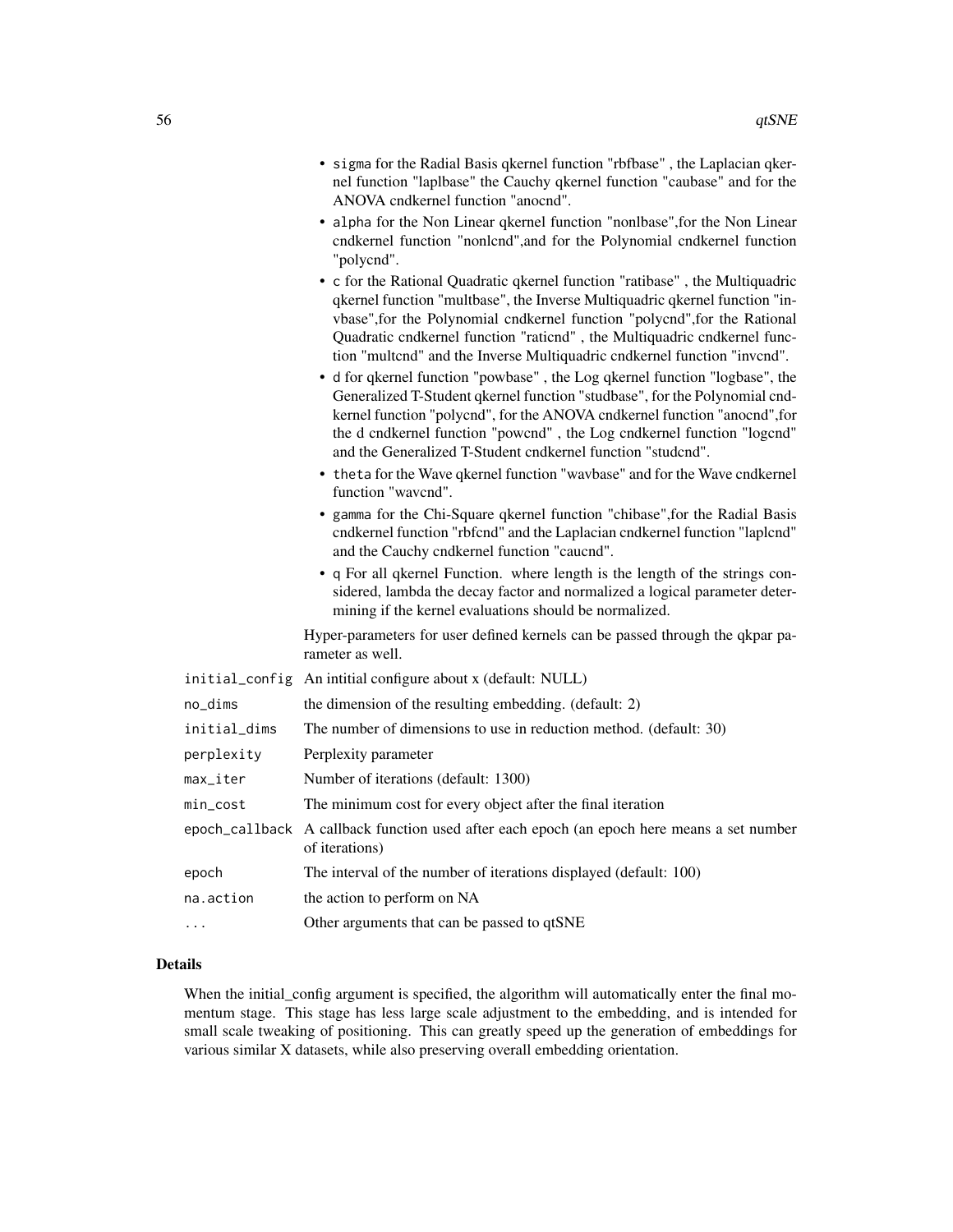|                | • sigma for the Radial Basis qkernel function "rbfbase", the Laplacian qker-<br>nel function "laplbase" the Cauchy qkernel function "caubase" and for the<br>ANOVA cndkernel function "anocnd".                                                                                                                                                                                                  |
|----------------|--------------------------------------------------------------------------------------------------------------------------------------------------------------------------------------------------------------------------------------------------------------------------------------------------------------------------------------------------------------------------------------------------|
|                | • alpha for the Non Linear qkernel function "nonlbase", for the Non Linear<br>cndkernel function "nonlcnd", and for the Polynomial cndkernel function<br>"polycnd".                                                                                                                                                                                                                              |
|                | • c for the Rational Quadratic qkernel function "ratibase", the Multiquadric<br>qkernel function "multbase", the Inverse Multiquadric qkernel function "in-<br>vbase", for the Polynomial cndkernel function "polycnd", for the Rational<br>Quadratic cndkernel function "raticnd", the Multiquadric cndkernel func-<br>tion "multend" and the Inverse Multiquadric endkernel function "invend". |
|                | • d for qkernel function "powbase", the Log qkernel function "logbase", the<br>Generalized T-Student qkernel function "studbase", for the Polynomial cnd-<br>kernel function "polycnd", for the ANOVA cndkernel function "anocnd", for<br>the d cndkernel function "powend", the Log cndkernel function "logend"<br>and the Generalized T-Student cndkernel function "studcnd".                  |
|                | • the ta for the Wave qkernel function "wavbase" and for the Wave cndkernel<br>function "wavend".                                                                                                                                                                                                                                                                                                |
|                | • gamma for the Chi-Square qkernel function "chibase", for the Radial Basis<br>cndkernel function "rbfcnd" and the Laplacian cndkernel function "laplcnd"<br>and the Cauchy cndkernel function "caucnd".                                                                                                                                                                                         |
|                | • q For all qkernel Function. where length is the length of the strings con-<br>sidered, lambda the decay factor and normalized a logical parameter deter-<br>mining if the kernel evaluations should be normalized.                                                                                                                                                                             |
|                | Hyper-parameters for user defined kernels can be passed through the qkpar pa-<br>rameter as well.                                                                                                                                                                                                                                                                                                |
| initial_config | An intitial configure about x (default: NULL)                                                                                                                                                                                                                                                                                                                                                    |
| no_dims        | the dimension of the resulting embedding. (default: 2)                                                                                                                                                                                                                                                                                                                                           |
| initial_dims   | The number of dimensions to use in reduction method. (default: 30)                                                                                                                                                                                                                                                                                                                               |
| perplexity     | Perplexity parameter                                                                                                                                                                                                                                                                                                                                                                             |
| max_iter       | Number of iterations (default: 1300)                                                                                                                                                                                                                                                                                                                                                             |
| min_cost       | The minimum cost for every object after the final iteration                                                                                                                                                                                                                                                                                                                                      |
|                | epoch_callback A callback function used after each epoch (an epoch here means a set number<br>of iterations)                                                                                                                                                                                                                                                                                     |
| epoch          | The interval of the number of iterations displayed (default: 100)                                                                                                                                                                                                                                                                                                                                |
| na.action      | the action to perform on NA                                                                                                                                                                                                                                                                                                                                                                      |
| $\ddotsc$      | Other arguments that can be passed to qtSNE                                                                                                                                                                                                                                                                                                                                                      |

### Details

When the initial\_config argument is specified, the algorithm will automatically enter the final momentum stage. This stage has less large scale adjustment to the embedding, and is intended for small scale tweaking of positioning. This can greatly speed up the generation of embeddings for various similar X datasets, while also preserving overall embedding orientation.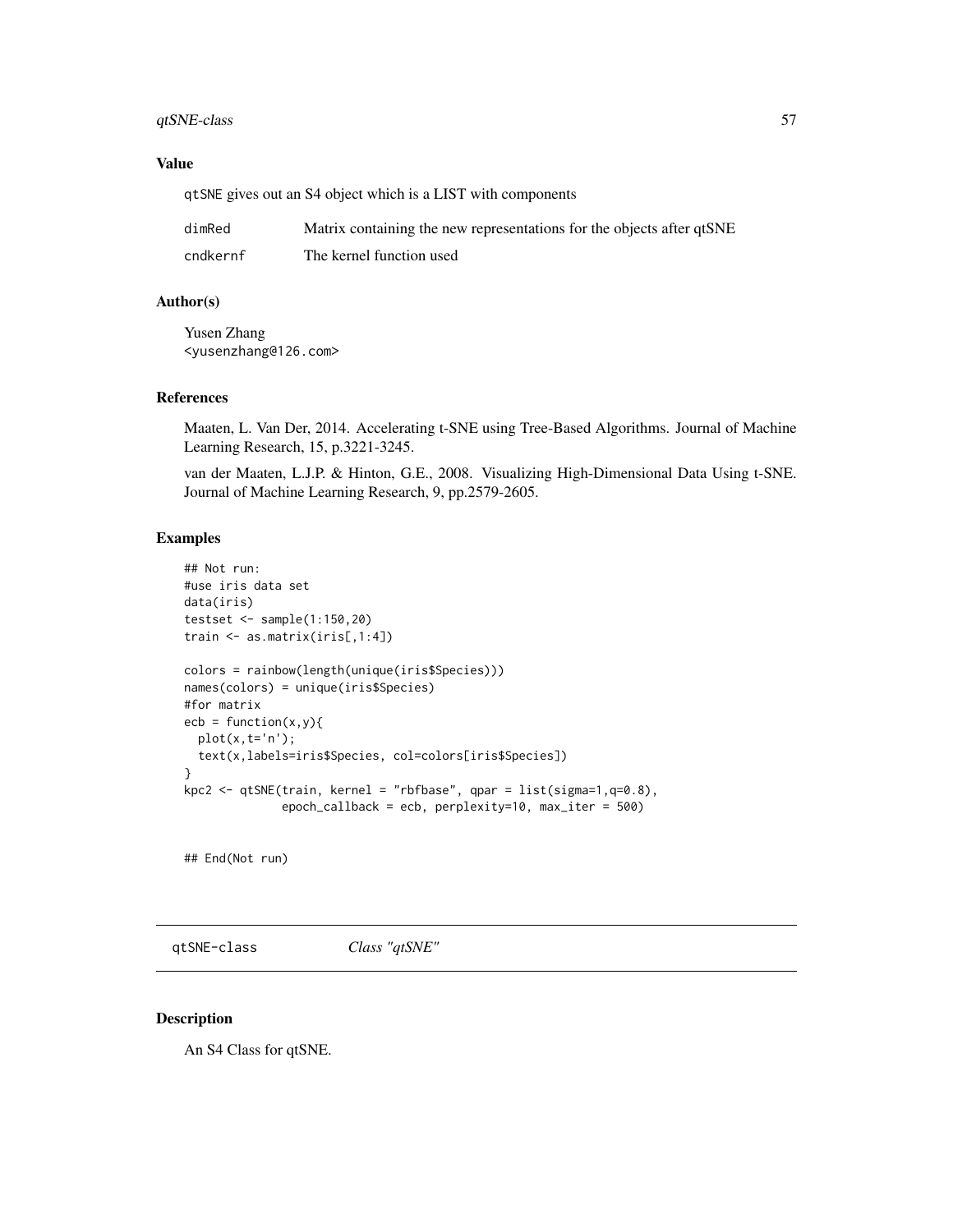### <span id="page-56-0"></span>qtSNE-class 57

### Value

qtSNE gives out an S4 object which is a LIST with components

| dimRed   | Matrix containing the new representations for the objects after qtSNE |
|----------|-----------------------------------------------------------------------|
| cndkernf | The kernel function used                                              |

### Author(s)

Yusen Zhang <yusenzhang@126.com>

### References

Maaten, L. Van Der, 2014. Accelerating t-SNE using Tree-Based Algorithms. Journal of Machine Learning Research, 15, p.3221-3245.

van der Maaten, L.J.P. & Hinton, G.E., 2008. Visualizing High-Dimensional Data Using t-SNE. Journal of Machine Learning Research, 9, pp.2579-2605.

### Examples

```
## Not run:
#use iris data set
data(iris)
testset <- sample(1:150,20)
train <- as.matrix(iris[,1:4])
colors = rainbow(length(unique(iris$Species)))
names(colors) = unique(iris$Species)
#for matrix
ecb = function(x, y)plot(x, t='n');text(x,labels=iris$Species, col=colors[iris$Species])
}
kpc2 <- qtSNE(train, kernel = "rbfbase", qpar = list(sigma=1,q=0.8),
              epoch_callback = ecb, perplexity=10, max_iter = 500)
```
## End(Not run)

qtSNE-class *Class "qtSNE"*

#### Description

An S4 Class for qtSNE.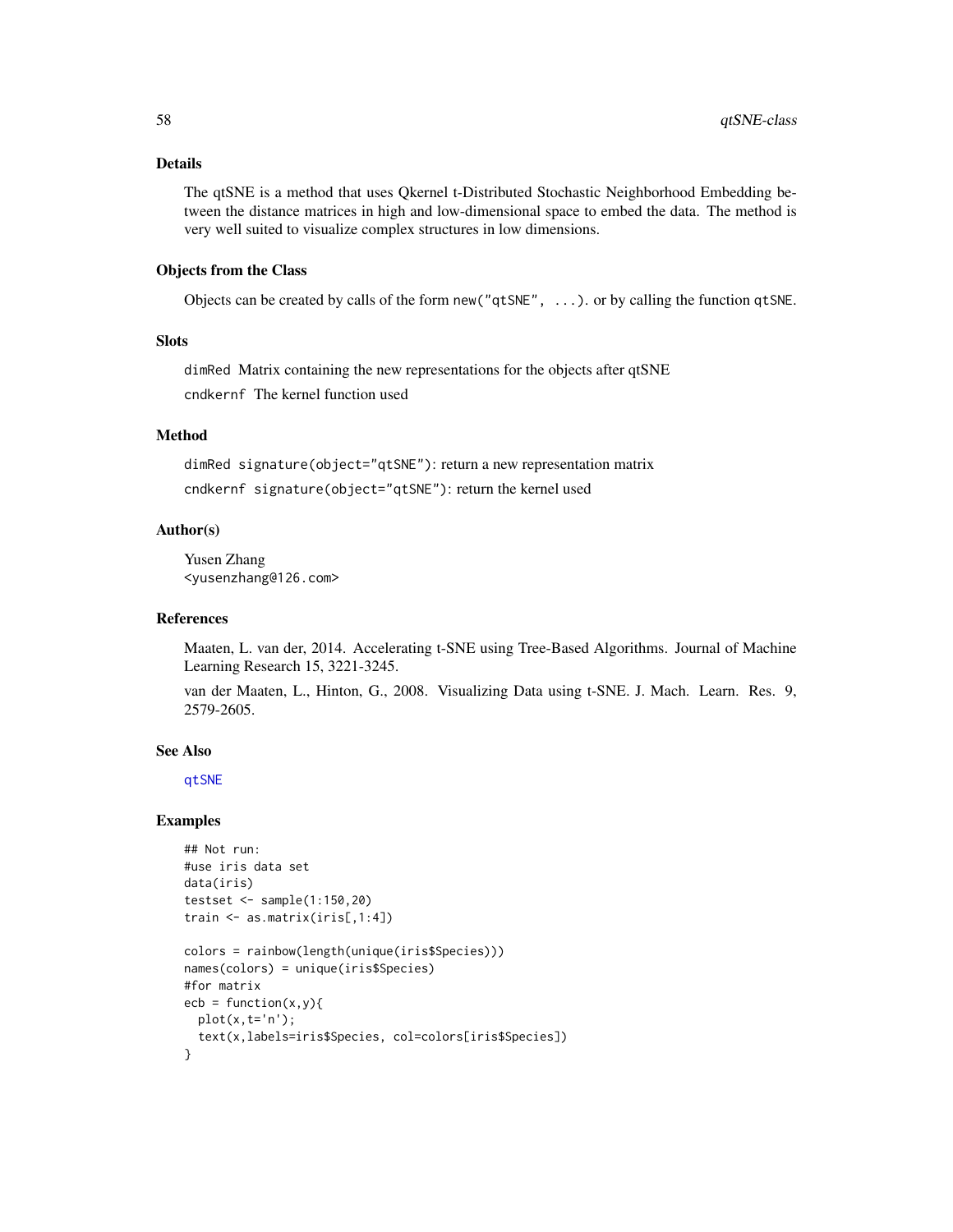#### <span id="page-57-0"></span>Details

The qtSNE is a method that uses Qkernel t-Distributed Stochastic Neighborhood Embedding between the distance matrices in high and low-dimensional space to embed the data. The method is very well suited to visualize complex structures in low dimensions.

#### Objects from the Class

Objects can be created by calls of the form new("qtSNE", ...). or by calling the function qtSNE.

### Slots

dimRed Matrix containing the new representations for the objects after qtSNE cndkernf The kernel function used

### Method

dimRed signature(object="qtSNE"): return a new representation matrix cndkernf signature(object="qtSNE"): return the kernel used

### Author(s)

Yusen Zhang <yusenzhang@126.com>

#### References

Maaten, L. van der, 2014. Accelerating t-SNE using Tree-Based Algorithms. Journal of Machine Learning Research 15, 3221-3245.

van der Maaten, L., Hinton, G., 2008. Visualizing Data using t-SNE. J. Mach. Learn. Res. 9, 2579-2605.

#### See Also

[qtSNE](#page-53-1)

#### Examples

```
## Not run:
#use iris data set
data(iris)
testset <- sample(1:150,20)
train <- as.matrix(iris[,1:4])
colors = rainbow(length(unique(iris$Species)))
names(colors) = unique(iris$Species)
#for matrix
ecb = function(x,y){
 plot(x, t='n');text(x,labels=iris$Species, col=colors[iris$Species])
}
```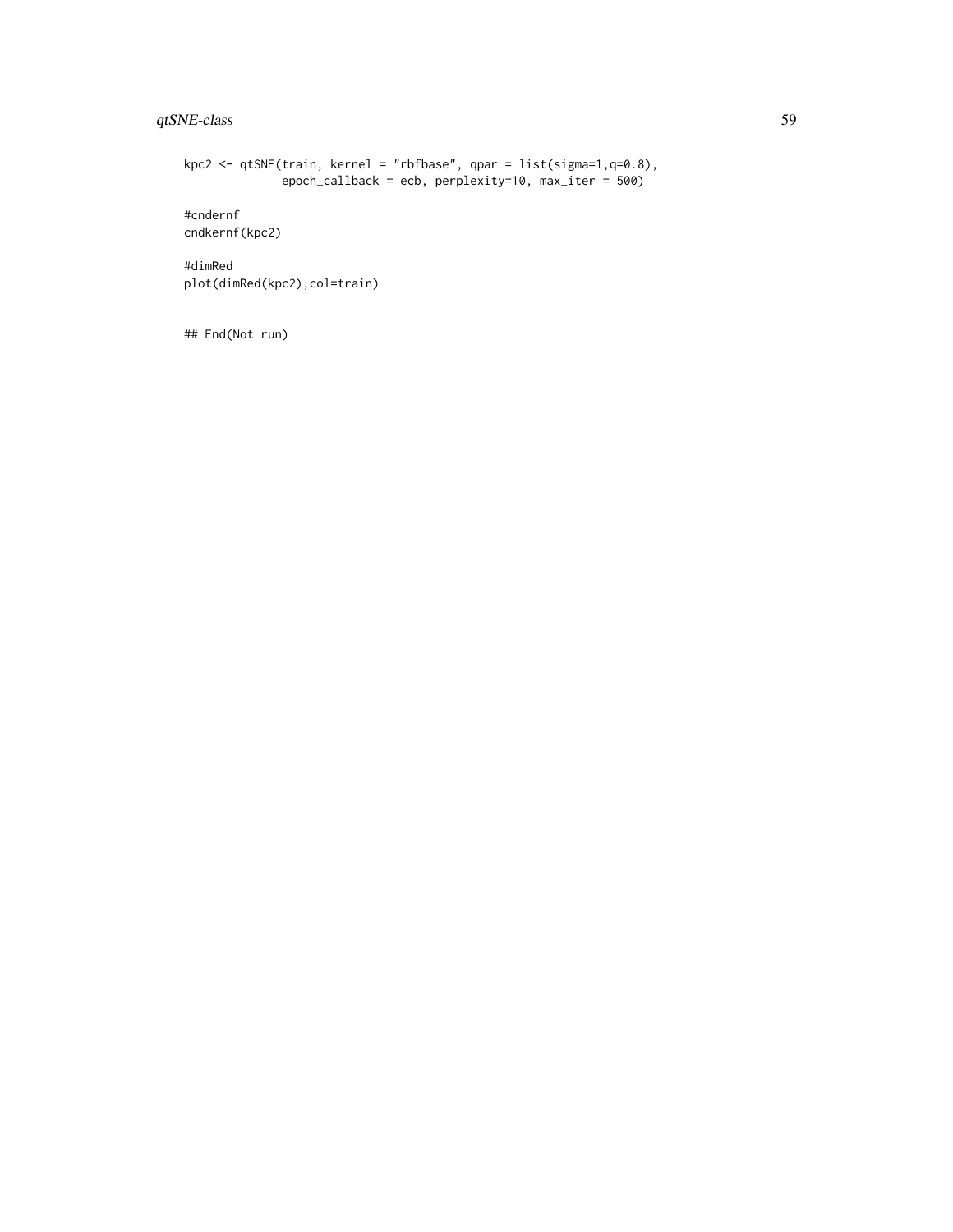### qtSNE-class 59

```
kpc2 <- qtSNE(train, kernel = "rbfbase", qpar = list(sigma=1,q=0.8),
             epoch_callback = ecb, perplexity=10, max_iter = 500)
#cndernf
cndkernf(kpc2)
#dimRed
plot(dimRed(kpc2),col=train)
```
## End(Not run)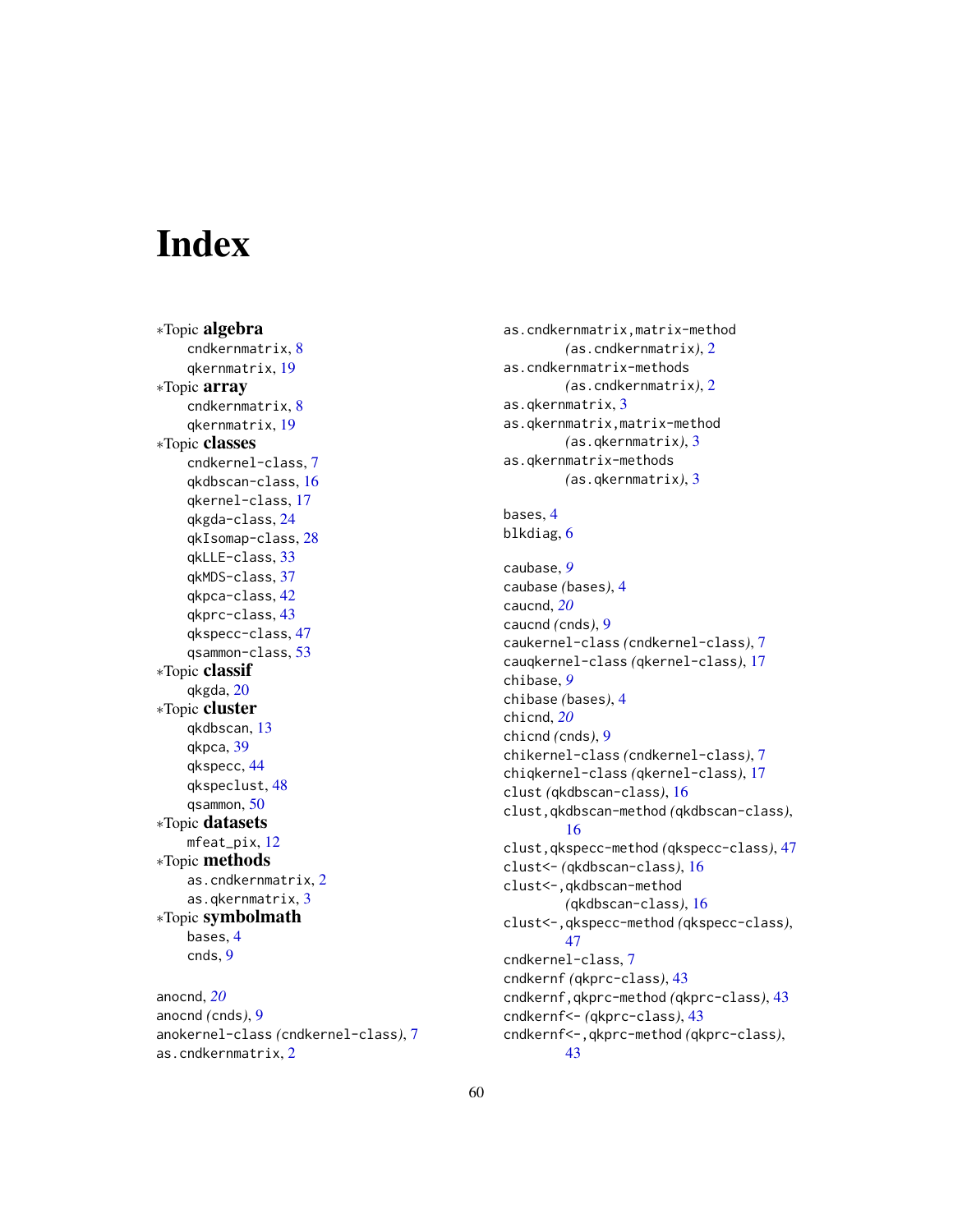# <span id="page-59-0"></span>**Index**

∗Topic algebra cndkernmatrix, [8](#page-7-0) qkernmatrix, [19](#page-18-0) ∗Topic array cndkernmatrix, [8](#page-7-0) qkernmatrix, [19](#page-18-0) ∗Topic classes cndkernel-class, [7](#page-6-0) qkdbscan-class, [16](#page-15-0) qkernel-class, [17](#page-16-0) qkgda-class, [24](#page-23-0) qkIsomap-class, [28](#page-27-0) qkLLE-class, [33](#page-32-0) qkMDS-class, [37](#page-36-0) qkpca-class, [42](#page-41-0) qkprc-class, [43](#page-42-0) qkspecc-class, [47](#page-46-0) qsammon-class, [53](#page-52-0) ∗Topic classif qkgda, [20](#page-19-0) ∗Topic cluster qkdbscan, [13](#page-12-0) qkpca, [39](#page-38-0) qkspecc, [44](#page-43-0) qkspeclust, [48](#page-47-0) qsammon, [50](#page-49-0) ∗Topic datasets mfeat\_pix, [12](#page-11-0) ∗Topic methods as.cndkernmatrix, [2](#page-1-0) as.qkernmatrix, [3](#page-2-0) ∗Topic symbolmath bases, [4](#page-3-0) cnds, [9](#page-8-0)

anocnd, *[20](#page-19-0)* anocnd *(*cnds*)*, [9](#page-8-0) anokernel-class *(*cndkernel-class*)*, [7](#page-6-0) as.cndkernmatrix, [2](#page-1-0)

as.cndkernmatrix,matrix-method *(*as.cndkernmatrix*)*, [2](#page-1-0) as.cndkernmatrix-methods *(*as.cndkernmatrix*)*, [2](#page-1-0) as.qkernmatrix, [3](#page-2-0) as.qkernmatrix,matrix-method *(*as.qkernmatrix*)*, [3](#page-2-0) as.qkernmatrix-methods *(*as.qkernmatrix*)*, [3](#page-2-0) bases, [4](#page-3-0) blkdiag, [6](#page-5-0) caubase, *[9](#page-8-0)* caubase *(*bases*)*, [4](#page-3-0) caucnd, *[20](#page-19-0)* caucnd *(*cnds*)*, [9](#page-8-0) caukernel-class *(*cndkernel-class*)*, [7](#page-6-0) cauqkernel-class *(*qkernel-class*)*, [17](#page-16-0) chibase, *[9](#page-8-0)* chibase *(*bases*)*, [4](#page-3-0) chicnd, *[20](#page-19-0)* chicnd *(*cnds*)*, [9](#page-8-0) chikernel-class *(*cndkernel-class*)*, [7](#page-6-0) chiqkernel-class *(*qkernel-class*)*, [17](#page-16-0) clust *(*qkdbscan-class*)*, [16](#page-15-0) clust,qkdbscan-method *(*qkdbscan-class*)*, [16](#page-15-0) clust,qkspecc-method *(*qkspecc-class*)*, [47](#page-46-0) clust<- *(*qkdbscan-class*)*, [16](#page-15-0) clust<-,qkdbscan-method *(*qkdbscan-class*)*, [16](#page-15-0) clust<-,qkspecc-method *(*qkspecc-class*)*, [47](#page-46-0) cndkernel-class, [7](#page-6-0) cndkernf *(*qkprc-class*)*, [43](#page-42-0) cndkernf,qkprc-method *(*qkprc-class*)*, [43](#page-42-0) cndkernf<- *(*qkprc-class*)*, [43](#page-42-0) cndkernf<-,qkprc-method *(*qkprc-class*)*,

60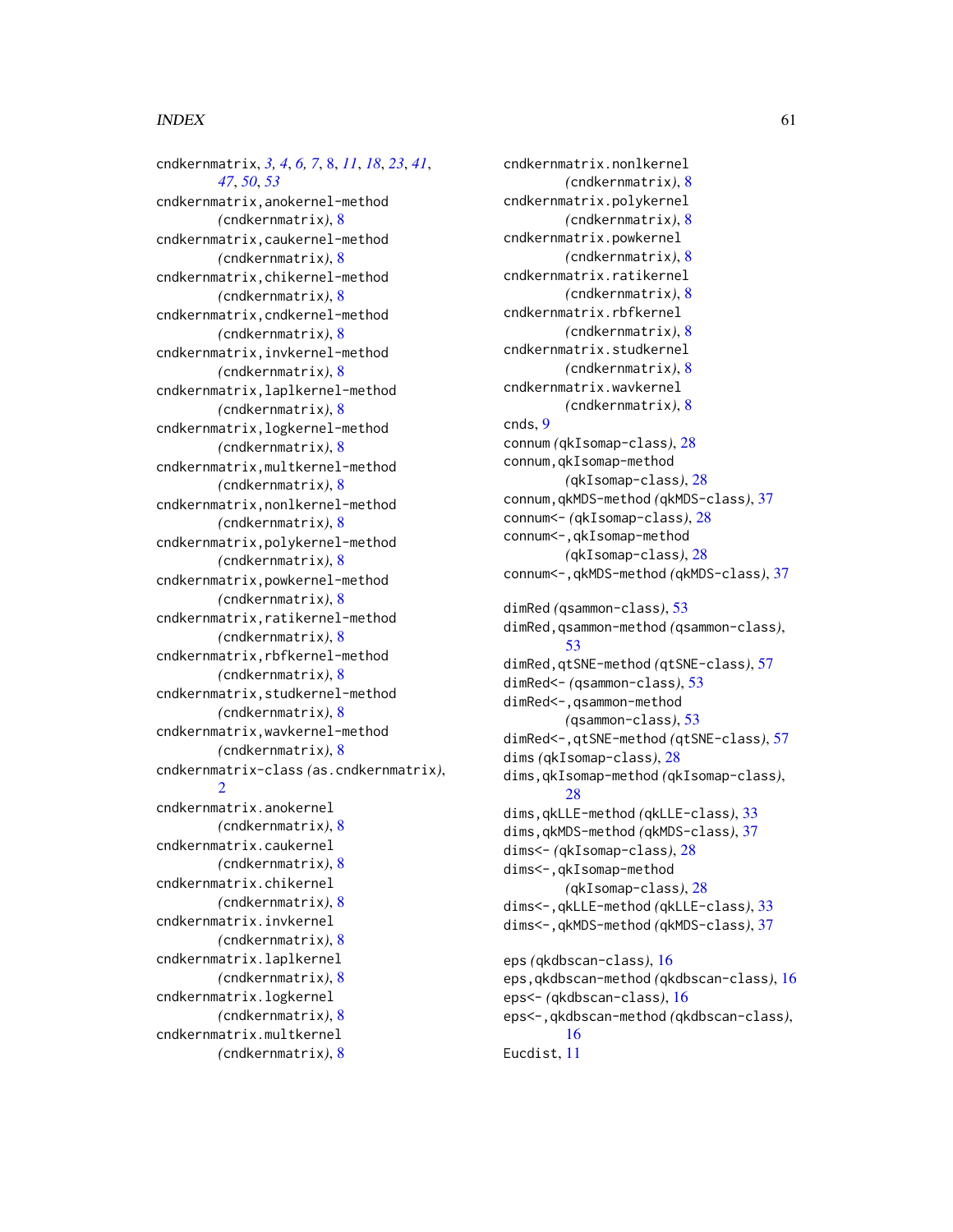#### $I$ NDEX 61

cndkernmatrix, *[3,](#page-2-0) [4](#page-3-0)*, *[6,](#page-5-0) [7](#page-6-0)*, [8,](#page-7-0) *[11](#page-10-0)*, *[18](#page-17-0)*, *[23](#page-22-0)*, *[41](#page-40-0)*, *[47](#page-46-0)*, *[50](#page-49-0)*, *[53](#page-52-0)* cndkernmatrix,anokernel-method *(*cndkernmatrix*)*, [8](#page-7-0) cndkernmatrix,caukernel-method *(*cndkernmatrix*)*, [8](#page-7-0) cndkernmatrix,chikernel-method *(*cndkernmatrix*)*, [8](#page-7-0) cndkernmatrix,cndkernel-method *(*cndkernmatrix*)*, [8](#page-7-0) cndkernmatrix,invkernel-method *(*cndkernmatrix*)*, [8](#page-7-0) cndkernmatrix,laplkernel-method *(*cndkernmatrix*)*, [8](#page-7-0) cndkernmatrix,logkernel-method *(*cndkernmatrix*)*, [8](#page-7-0) cndkernmatrix,multkernel-method *(*cndkernmatrix*)*, [8](#page-7-0) cndkernmatrix,nonlkernel-method *(*cndkernmatrix*)*, [8](#page-7-0) cndkernmatrix,polykernel-method *(*cndkernmatrix*)*, [8](#page-7-0) cndkernmatrix,powkernel-method *(*cndkernmatrix*)*, [8](#page-7-0) cndkernmatrix,ratikernel-method *(*cndkernmatrix*)*, [8](#page-7-0) cndkernmatrix,rbfkernel-method *(*cndkernmatrix*)*, [8](#page-7-0) cndkernmatrix,studkernel-method *(*cndkernmatrix*)*, [8](#page-7-0) cndkernmatrix,wavkernel-method *(*cndkernmatrix*)*, [8](#page-7-0) cndkernmatrix-class *(*as.cndkernmatrix*)*,  $\mathcal{D}$ cndkernmatrix.anokernel *(*cndkernmatrix*)*, [8](#page-7-0) cndkernmatrix.caukernel *(*cndkernmatrix*)*, [8](#page-7-0) cndkernmatrix.chikernel *(*cndkernmatrix*)*, [8](#page-7-0) cndkernmatrix.invkernel *(*cndkernmatrix*)*, [8](#page-7-0) cndkernmatrix.laplkernel *(*cndkernmatrix*)*, [8](#page-7-0) cndkernmatrix.logkernel *(*cndkernmatrix*)*, [8](#page-7-0) cndkernmatrix.multkernel *(*cndkernmatrix*)*, [8](#page-7-0)

cndkernmatrix.nonlkernel *(*cndkernmatrix*)*, [8](#page-7-0) cndkernmatrix.polykernel *(*cndkernmatrix*)*, [8](#page-7-0) cndkernmatrix.powkernel *(*cndkernmatrix*)*, [8](#page-7-0) cndkernmatrix.ratikernel *(*cndkernmatrix*)*, [8](#page-7-0) cndkernmatrix.rbfkernel *(*cndkernmatrix*)*, [8](#page-7-0) cndkernmatrix.studkernel *(*cndkernmatrix*)*, [8](#page-7-0) cndkernmatrix.wavkernel *(*cndkernmatrix*)*, [8](#page-7-0) cnds, [9](#page-8-0) connum *(*qkIsomap-class*)*, [28](#page-27-0) connum,qkIsomap-method *(*qkIsomap-class*)*, [28](#page-27-0) connum,qkMDS-method *(*qkMDS-class*)*, [37](#page-36-0) connum<- *(*qkIsomap-class*)*, [28](#page-27-0) connum<-,qkIsomap-method *(*qkIsomap-class*)*, [28](#page-27-0) connum<-,qkMDS-method *(*qkMDS-class*)*, [37](#page-36-0) dimRed *(*qsammon-class*)*, [53](#page-52-0) dimRed,qsammon-method *(*qsammon-class*)*, [53](#page-52-0) dimRed,qtSNE-method *(*qtSNE-class*)*, [57](#page-56-0) dimRed<- *(*qsammon-class*)*, [53](#page-52-0) dimRed<-,qsammon-method *(*qsammon-class*)*, [53](#page-52-0) dimRed<-,qtSNE-method *(*qtSNE-class*)*, [57](#page-56-0) dims *(*qkIsomap-class*)*, [28](#page-27-0) dims,qkIsomap-method *(*qkIsomap-class*)*, [28](#page-27-0) dims,qkLLE-method *(*qkLLE-class*)*, [33](#page-32-0) dims,qkMDS-method *(*qkMDS-class*)*, [37](#page-36-0) dims<- *(*qkIsomap-class*)*, [28](#page-27-0) dims<-,qkIsomap-method *(*qkIsomap-class*)*, [28](#page-27-0) dims<-,qkLLE-method *(*qkLLE-class*)*, [33](#page-32-0) dims<-,qkMDS-method *(*qkMDS-class*)*, [37](#page-36-0) eps *(*qkdbscan-class*)*, [16](#page-15-0) eps,qkdbscan-method *(*qkdbscan-class*)*, [16](#page-15-0) eps<- *(*qkdbscan-class*)*, [16](#page-15-0) eps<-,qkdbscan-method *(*qkdbscan-class*)*, [16](#page-15-0) Eucdist, [11](#page-10-0)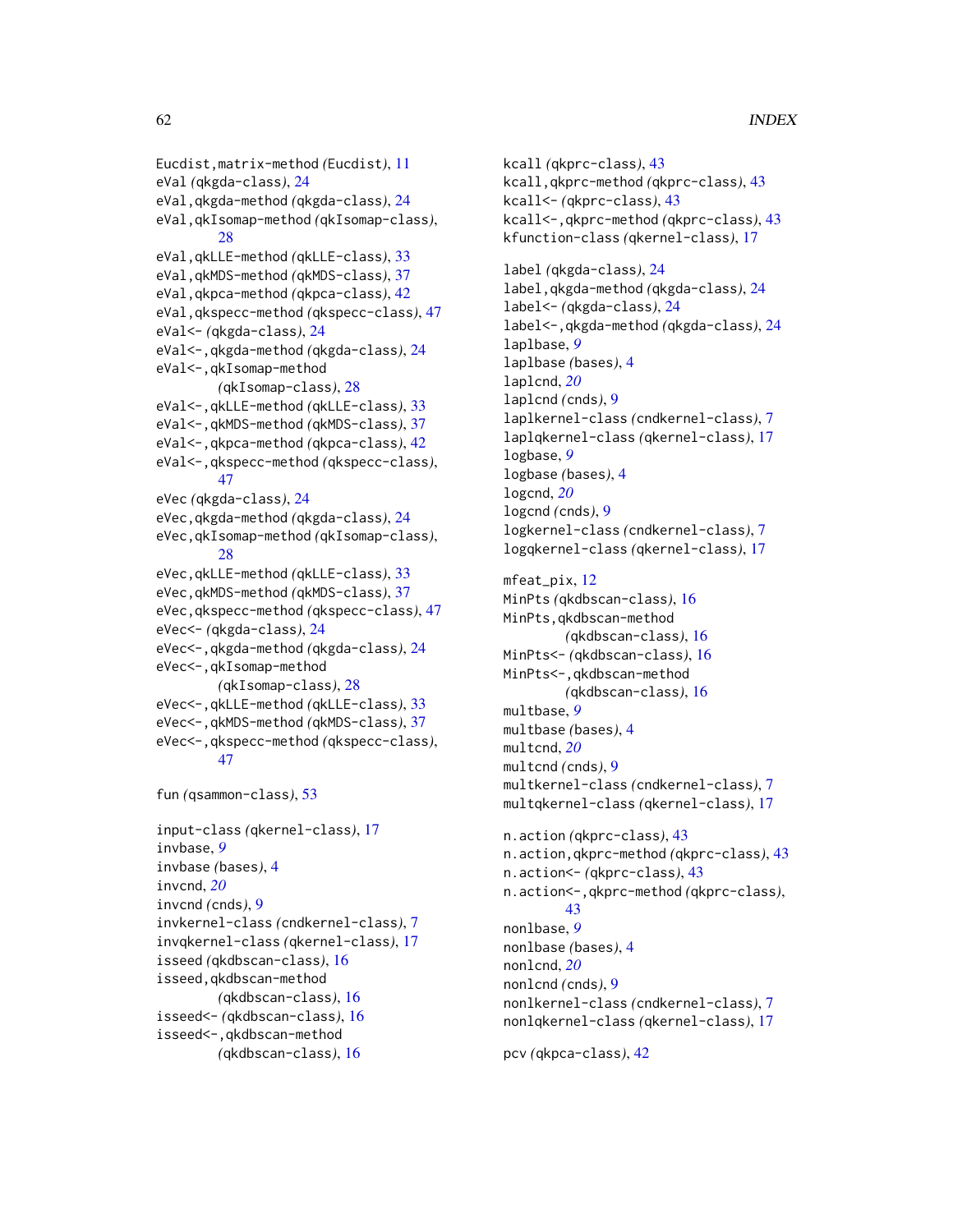Eucdist,matrix-method *(*Eucdist*)*, [11](#page-10-0) eVal *(*qkgda-class*)*, [24](#page-23-0) eVal,qkgda-method *(*qkgda-class*)*, [24](#page-23-0) eVal,qkIsomap-method *(*qkIsomap-class*)*, [28](#page-27-0) eVal,qkLLE-method *(*qkLLE-class*)*, [33](#page-32-0) eVal,qkMDS-method *(*qkMDS-class*)*, [37](#page-36-0) eVal,qkpca-method *(*qkpca-class*)*, [42](#page-41-0) eVal,qkspecc-method *(*qkspecc-class*)*, [47](#page-46-0) eVal<- *(*qkgda-class*)*, [24](#page-23-0) eVal<-,qkgda-method *(*qkgda-class*)*, [24](#page-23-0) eVal<-, qkIsomap-method *(*qkIsomap-class*)*, [28](#page-27-0) eVal<-,qkLLE-method *(*qkLLE-class*)*, [33](#page-32-0) eVal<-,qkMDS-method *(*qkMDS-class*)*, [37](#page-36-0) eVal<-,qkpca-method *(*qkpca-class*)*, [42](#page-41-0) eVal<-,qkspecc-method *(*qkspecc-class*)*, [47](#page-46-0) eVec *(*qkgda-class*)*, [24](#page-23-0) eVec,qkgda-method *(*qkgda-class*)*, [24](#page-23-0) eVec,qkIsomap-method *(*qkIsomap-class*)*, [28](#page-27-0) eVec,qkLLE-method *(*qkLLE-class*)*, [33](#page-32-0) eVec,qkMDS-method *(*qkMDS-class*)*, [37](#page-36-0) eVec,qkspecc-method *(*qkspecc-class*)*, [47](#page-46-0) eVec<- *(*qkgda-class*)*, [24](#page-23-0) eVec<-,qkgda-method *(*qkgda-class*)*, [24](#page-23-0) eVec<-,qkIsomap-method *(*qkIsomap-class*)*, [28](#page-27-0) eVec<-,qkLLE-method *(*qkLLE-class*)*, [33](#page-32-0) eVec<-,qkMDS-method *(*qkMDS-class*)*, [37](#page-36-0) eVec<-,qkspecc-method *(*qkspecc-class*)*, [47](#page-46-0) fun *(*qsammon-class*)*, [53](#page-52-0)

input-class *(*qkernel-class*)*, [17](#page-16-0) invbase, *[9](#page-8-0)* invbase *(*bases*)*, [4](#page-3-0) invcnd, *[20](#page-19-0)* invcnd *(*cnds*)*, [9](#page-8-0) invkernel-class *(*cndkernel-class*)*, [7](#page-6-0) invqkernel-class *(*qkernel-class*)*, [17](#page-16-0) isseed *(*qkdbscan-class*)*, [16](#page-15-0) isseed,qkdbscan-method *(*qkdbscan-class*)*, [16](#page-15-0) isseed<- *(*qkdbscan-class*)*, [16](#page-15-0) isseed<-,qkdbscan-method *(*qkdbscan-class*)*, [16](#page-15-0)

kcall *(*qkprc-class*)*, [43](#page-42-0) kcall,qkprc-method *(*qkprc-class*)*, [43](#page-42-0) kcall<- *(*qkprc-class*)*, [43](#page-42-0) kcall<-,qkprc-method *(*qkprc-class*)*, [43](#page-42-0) kfunction-class *(*qkernel-class*)*, [17](#page-16-0) label *(*qkgda-class*)*, [24](#page-23-0) label,qkgda-method *(*qkgda-class*)*, [24](#page-23-0) label<- *(*qkgda-class*)*, [24](#page-23-0) label<-,qkgda-method *(*qkgda-class*)*, [24](#page-23-0) laplbase, *[9](#page-8-0)* laplbase *(*bases*)*, [4](#page-3-0) laplcnd, *[20](#page-19-0)* laplcnd *(*cnds*)*, [9](#page-8-0) laplkernel-class *(*cndkernel-class*)*, [7](#page-6-0) laplqkernel-class *(*qkernel-class*)*, [17](#page-16-0) logbase, *[9](#page-8-0)* logbase *(*bases*)*, [4](#page-3-0) logcnd, *[20](#page-19-0)* logcnd *(*cnds*)*, [9](#page-8-0) logkernel-class *(*cndkernel-class*)*, [7](#page-6-0) logqkernel-class *(*qkernel-class*)*, [17](#page-16-0) mfeat\_pix, [12](#page-11-0) MinPts *(*qkdbscan-class*)*, [16](#page-15-0) MinPts,qkdbscan-method *(*qkdbscan-class*)*, [16](#page-15-0) MinPts<- *(*qkdbscan-class*)*, [16](#page-15-0) MinPts<-,qkdbscan-method *(*qkdbscan-class*)*, [16](#page-15-0) multbase, *[9](#page-8-0)* multbase *(*bases*)*, [4](#page-3-0) multcnd, *[20](#page-19-0)* multcnd *(*cnds*)*, [9](#page-8-0) multkernel-class *(*cndkernel-class*)*, [7](#page-6-0) multqkernel-class *(*qkernel-class*)*, [17](#page-16-0) n.action *(*qkprc-class*)*, [43](#page-42-0) n.action,qkprc-method *(*qkprc-class*)*, [43](#page-42-0) n.action<- *(*qkprc-class*)*, [43](#page-42-0) n.action<-,qkprc-method *(*qkprc-class*)*, [43](#page-42-0) nonlbase, *[9](#page-8-0)* nonlbase *(*bases*)*, [4](#page-3-0) nonlcnd, *[20](#page-19-0)* nonlcnd *(*cnds*)*, [9](#page-8-0) nonlkernel-class *(*cndkernel-class*)*, [7](#page-6-0) nonlqkernel-class *(*qkernel-class*)*, [17](#page-16-0) pcv *(*qkpca-class*)*, [42](#page-41-0)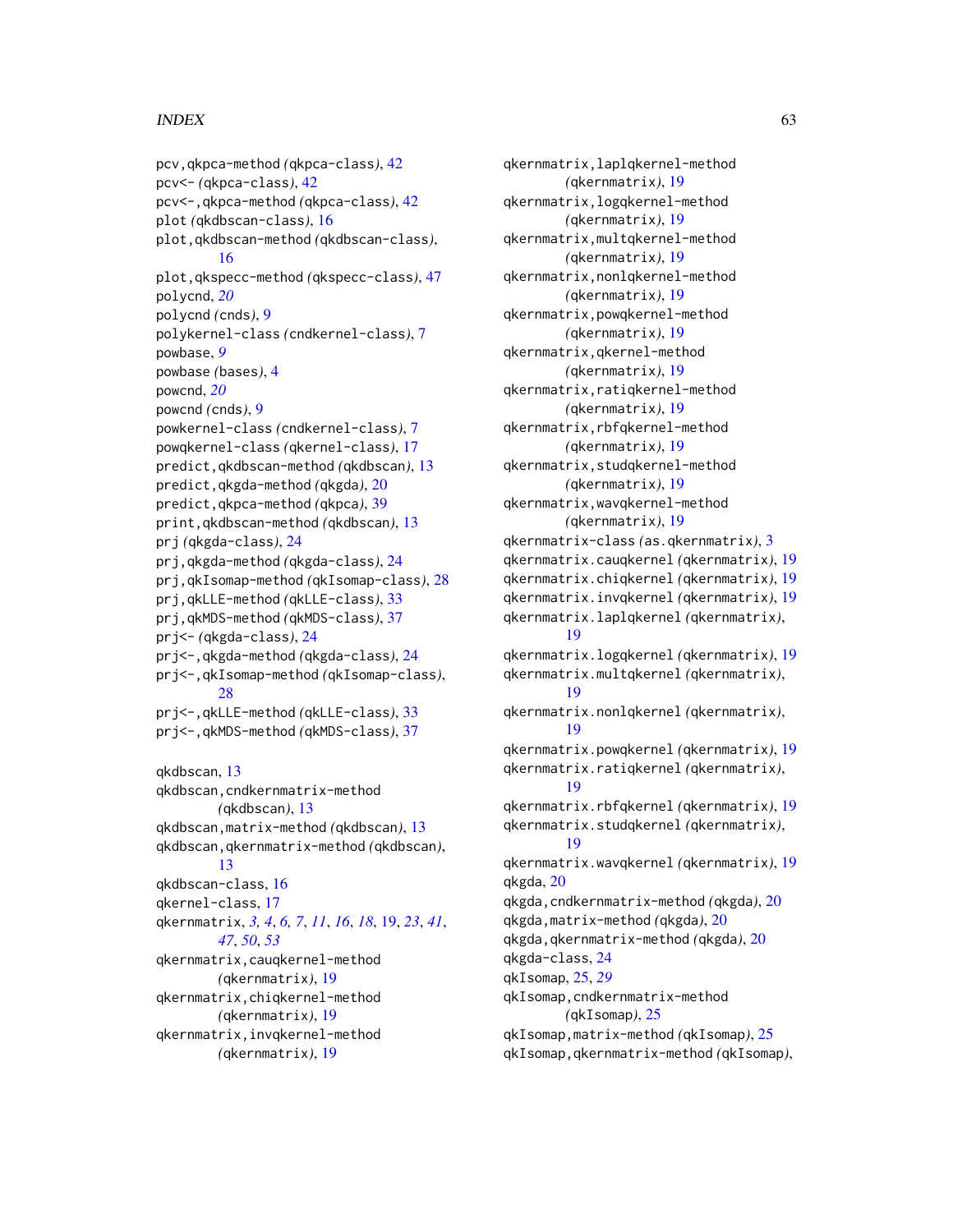#### $I<sub>N</sub>DEX$  63

```
pcv,qkpca-method (qkpca-class), 42
pcv<- (qkpca-class), 42
pcv<-,qkpca-method (qkpca-class), 42
plot (qkdbscan-class), 16
plot,qkdbscan-method (qkdbscan-class),
        16
plot,qkspecc-method (qkspecc-class), 47
polycnd, 20
polycnd (cnds), 9
polykernel-class (cndkernel-class), 7
powbase, 9
powbase (bases), 4
powcnd, 20
powcnd (cnds), 9
powkernel-class (cndkernel-class), 7
powqkernel-class (qkernel-class), 17
predict,qkdbscan-method (qkdbscan), 13
predict,qkgda-method (qkgda), 20
predict,qkpca-method (qkpca), 39
print,qkdbscan-method (qkdbscan), 13
prj (qkgda-class), 24
prj,qkgda-method (qkgda-class), 24
prj,qkIsomap-method (qkIsomap-class), 28
prj,qkLLE-method (qkLLE-class), 33
prj,qkMDS-method (qkMDS-class), 37
prj<- (qkgda-class), 24
prj<-,qkgda-method (qkgda-class), 24
prj<-,qkIsomap-method (qkIsomap-class),
        28
prj<-,qkLLE-method (qkLLE-class), 33
prj<-,qkMDS-method (qkMDS-class), 37
qkdbscan, 13
qkdbscan,cndkernmatrix-method
        (qkdbscan), 13
qkdbscan,matrix-method (qkdbscan), 13
qkdbscan,qkernmatrix-method (qkdbscan),
        13
qkdbscan-class, 16
qkernel-class, 17
qkernmatrix, 3, 4, 6, 7, 11, 16, 18, 19, 23, 41,
        47, 50, 53
qkernmatrix,cauqkernel-method
        (qkernmatrix), 19
qkernmatrix,chiqkernel-method
        (qkernmatrix), 19
qkernmatrix,invqkernel-method
```

```
(qkernmatrix), 19
```
qkernmatrix,laplqkernel-method *(*qkernmatrix*)*, [19](#page-18-0) qkernmatrix,logqkernel-method *(*qkernmatrix*)*, [19](#page-18-0) qkernmatrix,multqkernel-method *(*qkernmatrix*)*, [19](#page-18-0) qkernmatrix,nonlqkernel-method *(*qkernmatrix*)*, [19](#page-18-0) qkernmatrix,powqkernel-method *(*qkernmatrix*)*, [19](#page-18-0) qkernmatrix,qkernel-method *(*qkernmatrix*)*, [19](#page-18-0) qkernmatrix,ratiqkernel-method *(*qkernmatrix*)*, [19](#page-18-0) qkernmatrix,rbfqkernel-method *(*qkernmatrix*)*, [19](#page-18-0) qkernmatrix,studqkernel-method *(*qkernmatrix*)*, [19](#page-18-0) qkernmatrix,wavqkernel-method *(*qkernmatrix*)*, [19](#page-18-0) qkernmatrix-class *(*as.qkernmatrix*)*, [3](#page-2-0) qkernmatrix.cauqkernel *(*qkernmatrix*)*, [19](#page-18-0) qkernmatrix.chiqkernel *(*qkernmatrix*)*, [19](#page-18-0) qkernmatrix.invqkernel *(*qkernmatrix*)*, [19](#page-18-0) qkernmatrix.laplqkernel *(*qkernmatrix*)*, [19](#page-18-0) qkernmatrix.logqkernel *(*qkernmatrix*)*, [19](#page-18-0) qkernmatrix.multqkernel *(*qkernmatrix*)*, [19](#page-18-0) qkernmatrix.nonlqkernel *(*qkernmatrix*)*, [19](#page-18-0) qkernmatrix.powqkernel *(*qkernmatrix*)*, [19](#page-18-0) qkernmatrix.ratiqkernel *(*qkernmatrix*)*, [19](#page-18-0) qkernmatrix.rbfqkernel *(*qkernmatrix*)*, [19](#page-18-0) qkernmatrix.studqkernel *(*qkernmatrix*)*, [19](#page-18-0) qkernmatrix.wavqkernel *(*qkernmatrix*)*, [19](#page-18-0) qkgda, [20](#page-19-0) qkgda,cndkernmatrix-method *(*qkgda*)*, [20](#page-19-0) qkgda,matrix-method *(*qkgda*)*, [20](#page-19-0) qkgda,qkernmatrix-method *(*qkgda*)*, [20](#page-19-0) qkgda-class, [24](#page-23-0) qkIsomap, [25,](#page-24-0) *[29](#page-28-0)* qkIsomap,cndkernmatrix-method *(*qkIsomap*)*, [25](#page-24-0) qkIsomap,matrix-method *(*qkIsomap*)*, [25](#page-24-0) qkIsomap,qkernmatrix-method *(*qkIsomap*)*,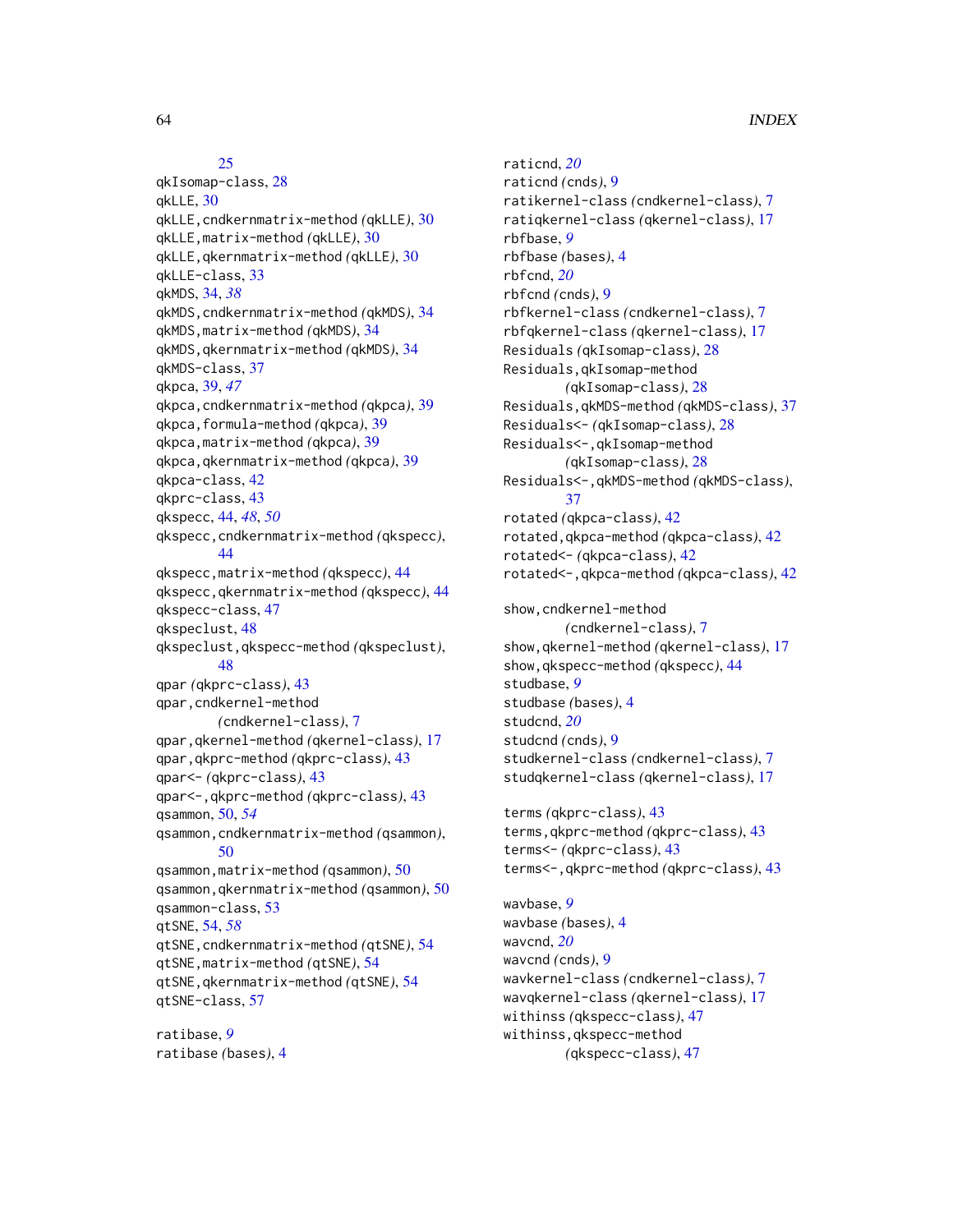#### [25](#page-24-0)

qkIsomap-class, [28](#page-27-0) qkLLE, [30](#page-29-0) qkLLE,cndkernmatrix-method *(*qkLLE*)*, [30](#page-29-0) qkLLE,matrix-method *(*qkLLE*)*, [30](#page-29-0) qkLLE,qkernmatrix-method *(*qkLLE*)*, [30](#page-29-0) qkLLE-class, [33](#page-32-0) qkMDS, [34,](#page-33-0) *[38](#page-37-0)* qkMDS,cndkernmatrix-method *(*qkMDS*)*, [34](#page-33-0) qkMDS,matrix-method *(*qkMDS*)*, [34](#page-33-0) qkMDS,qkernmatrix-method *(*qkMDS*)*, [34](#page-33-0) qkMDS-class, [37](#page-36-0) qkpca, [39,](#page-38-0) *[47](#page-46-0)* qkpca,cndkernmatrix-method *(*qkpca*)*, [39](#page-38-0) qkpca,formula-method *(*qkpca*)*, [39](#page-38-0) qkpca,matrix-method *(*qkpca*)*, [39](#page-38-0) qkpca,qkernmatrix-method *(*qkpca*)*, [39](#page-38-0) qkpca-class, [42](#page-41-0) qkprc-class, [43](#page-42-0) qkspecc, [44,](#page-43-0) *[48](#page-47-0)*, *[50](#page-49-0)* qkspecc,cndkernmatrix-method *(*qkspecc*)*, [44](#page-43-0) qkspecc,matrix-method *(*qkspecc*)*, [44](#page-43-0) qkspecc,qkernmatrix-method *(*qkspecc*)*, [44](#page-43-0) qkspecc-class, [47](#page-46-0) qkspeclust, [48](#page-47-0) qkspeclust,qkspecc-method *(*qkspeclust*)*, [48](#page-47-0) qpar *(*qkprc-class*)*, [43](#page-42-0) qpar,cndkernel-method *(*cndkernel-class*)*, [7](#page-6-0) qpar,qkernel-method *(*qkernel-class*)*, [17](#page-16-0) qpar,qkprc-method *(*qkprc-class*)*, [43](#page-42-0) qpar<- *(*qkprc-class*)*, [43](#page-42-0) qpar<-,qkprc-method *(*qkprc-class*)*, [43](#page-42-0) qsammon, [50,](#page-49-0) *[54](#page-53-0)* qsammon,cndkernmatrix-method *(*qsammon*)*, [50](#page-49-0) qsammon,matrix-method *(*qsammon*)*, [50](#page-49-0) qsammon,qkernmatrix-method *(*qsammon*)*, [50](#page-49-0) qsammon-class, [53](#page-52-0) qtSNE, [54,](#page-53-0) *[58](#page-57-0)* qtSNE,cndkernmatrix-method *(*qtSNE*)*, [54](#page-53-0) qtSNE,matrix-method *(*qtSNE*)*, [54](#page-53-0) qtSNE,qkernmatrix-method *(*qtSNE*)*, [54](#page-53-0) qtSNE-class, [57](#page-56-0)

ratibase, *[9](#page-8-0)* ratibase *(*bases*)*, [4](#page-3-0) raticnd, *[20](#page-19-0)* raticnd *(*cnds*)*, [9](#page-8-0) ratikernel-class *(*cndkernel-class*)*, [7](#page-6-0) ratiqkernel-class *(*qkernel-class*)*, [17](#page-16-0) rbfbase, *[9](#page-8-0)* rbfbase *(*bases*)*, [4](#page-3-0) rbfcnd, *[20](#page-19-0)* rbfcnd *(*cnds*)*, [9](#page-8-0) rbfkernel-class *(*cndkernel-class*)*, [7](#page-6-0) rbfqkernel-class *(*qkernel-class*)*, [17](#page-16-0) Residuals *(*qkIsomap-class*)*, [28](#page-27-0) Residuals,qkIsomap-method *(*qkIsomap-class*)*, [28](#page-27-0) Residuals,qkMDS-method *(*qkMDS-class*)*, [37](#page-36-0) Residuals<- *(*qkIsomap-class*)*, [28](#page-27-0) Residuals<-,qkIsomap-method *(*qkIsomap-class*)*, [28](#page-27-0) Residuals<-,qkMDS-method *(*qkMDS-class*)*, [37](#page-36-0) rotated *(*qkpca-class*)*, [42](#page-41-0) rotated,qkpca-method *(*qkpca-class*)*, [42](#page-41-0) rotated<- *(*qkpca-class*)*, [42](#page-41-0) rotated<-,qkpca-method *(*qkpca-class*)*, [42](#page-41-0) show,cndkernel-method *(*cndkernel-class*)*, [7](#page-6-0) show,qkernel-method *(*qkernel-class*)*, [17](#page-16-0) show,qkspecc-method *(*qkspecc*)*, [44](#page-43-0) studbase, *[9](#page-8-0)* studbase *(*bases*)*, [4](#page-3-0) studcnd, *[20](#page-19-0)* studcnd *(*cnds*)*, [9](#page-8-0) studkernel-class *(*cndkernel-class*)*, [7](#page-6-0) studqkernel-class *(*qkernel-class*)*, [17](#page-16-0) terms *(*qkprc-class*)*, [43](#page-42-0) terms,qkprc-method *(*qkprc-class*)*, [43](#page-42-0) terms<- *(*qkprc-class*)*, [43](#page-42-0) terms<-,qkprc-method *(*qkprc-class*)*, [43](#page-42-0) wavbase, *[9](#page-8-0)* wavbase *(*bases*)*, [4](#page-3-0) wavcnd, *[20](#page-19-0)* wavcnd *(*cnds*)*, [9](#page-8-0) wavkernel-class *(*cndkernel-class*)*, [7](#page-6-0) wavqkernel-class *(*qkernel-class*)*, [17](#page-16-0)

withinss,qkspecc-method *(*qkspecc-class*)*, [47](#page-46-0)

withinss *(*qkspecc-class*)*, [47](#page-46-0)